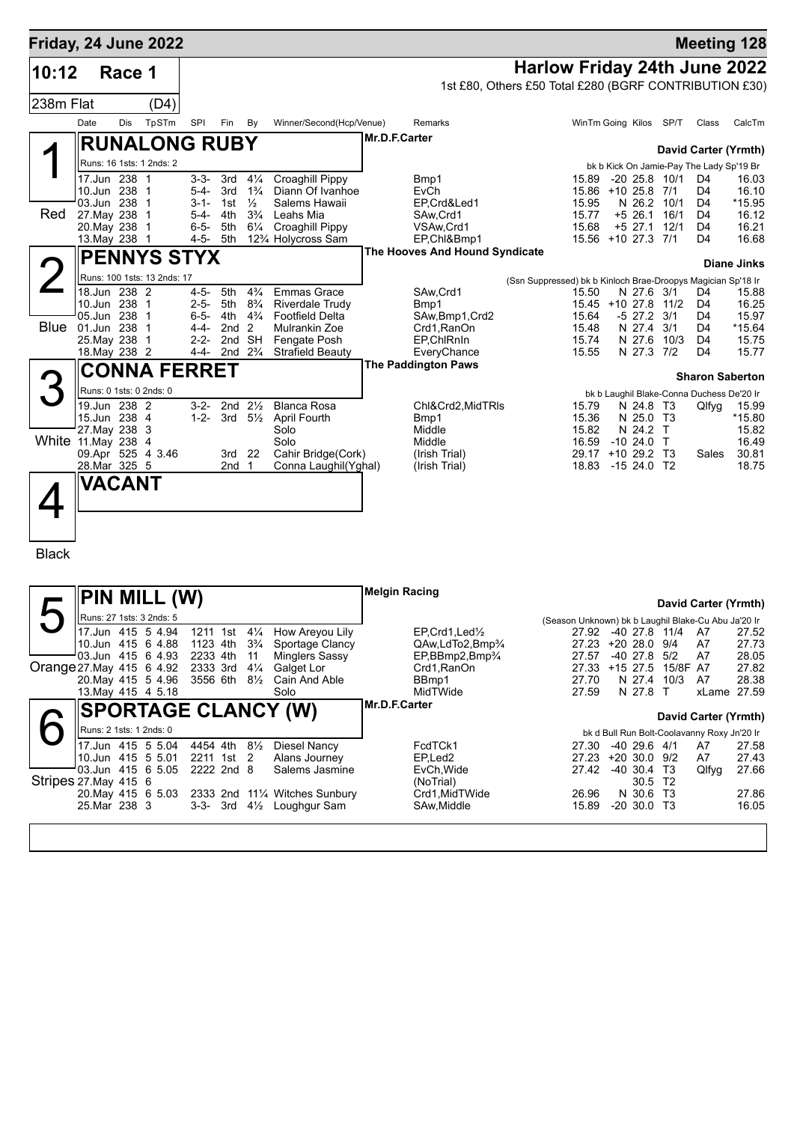| Friday, 24 June 2022     |                                         |        |                                        |                        |                                        |                                      |                                                            |                      |                                                        |                                                              |                                                              |                            |                 |                                                | <b>Meeting 128</b>     |
|--------------------------|-----------------------------------------|--------|----------------------------------------|------------------------|----------------------------------------|--------------------------------------|------------------------------------------------------------|----------------------|--------------------------------------------------------|--------------------------------------------------------------|--------------------------------------------------------------|----------------------------|-----------------|------------------------------------------------|------------------------|
| 10:12                    |                                         | Race 1 |                                        |                        |                                        |                                      |                                                            |                      |                                                        | Harlow Friday 24th June 2022                                 |                                                              |                            |                 |                                                |                        |
|                          |                                         |        |                                        |                        |                                        |                                      |                                                            |                      | 1st £80, Others £50 Total £280 (BGRF CONTRIBUTION £30) |                                                              |                                                              |                            |                 |                                                |                        |
| 238m Flat                |                                         |        | (D4)                                   |                        |                                        |                                      |                                                            |                      |                                                        |                                                              |                                                              |                            |                 |                                                |                        |
|                          | Date                                    | Dis    | TpSTm                                  | SPI                    | Fin                                    | By                                   | Winner/Second(Hcp/Venue)                                   |                      | Remarks                                                |                                                              | WinTm Going Kilos SP/T                                       |                            |                 | Class                                          | CalcTm                 |
|                          |                                         |        | <b>RUNALONG RUBY</b>                   |                        |                                        |                                      |                                                            | Mr.D.F.Carter        |                                                        |                                                              |                                                              |                            |                 |                                                |                        |
|                          |                                         |        | Runs: 16 1sts: 1 2nds: 2               |                        |                                        |                                      |                                                            |                      |                                                        |                                                              |                                                              |                            |                 |                                                | David Carter (Yrmth)   |
|                          | 17.Jun 238                              |        | $\mathbf 1$                            | $3 - 3 -$              | 3rd                                    | $4\frac{1}{4}$                       | Croaghill Pippy                                            |                      | Bmp1                                                   |                                                              | 15.89                                                        | $-2025.8$                  | 10/1            | bk b Kick On Jamie-Pay The Lady Sp'19 Br<br>D4 | 16.03                  |
|                          | 10.Jun 238                              |        | -1                                     | 5-4-                   | 3rd                                    | $1\frac{3}{4}$                       | Diann Of Ivanhoe                                           |                      | EvCh                                                   |                                                              | 15.86 +10 25.8                                               |                            | 7/1             | D4                                             | 16.10                  |
| Red                      | 03.Jun 238<br>27. May 238               |        | $\mathbf 1$<br>$\overline{1}$          | $3 - 1 -$<br>$5 - 4 -$ | 1st<br>4th                             | $\frac{1}{2}$<br>$3\frac{3}{4}$      | Salems Hawaii<br>Leahs Mia                                 |                      | EP,Crd&Led1<br>SAw, Crd1                               |                                                              | 15.95<br>15.77                                               | N 26.2<br>+5 26.1          | 10/1<br>16/1    | D <sub>4</sub><br>D4                           | $*15.95$<br>16.12      |
|                          | 20. May 238                             |        | $\overline{1}$                         | $6 - 5 -$              | 5th                                    | $6\frac{1}{4}$                       | Croaghill Pippy                                            |                      | VSAw, Crd1                                             |                                                              | 15.68                                                        | $+5$ 27.1                  | 12/1            | D <sub>4</sub>                                 | 16.21                  |
|                          | 13. May 238                             |        | $\overline{1}$                         | $4 - 5 -$              | 5th                                    |                                      | 12% Holycross Sam                                          |                      | EP,Chl&Bmp1                                            |                                                              | 15.56 +10 27.3 7/1                                           |                            |                 | D4                                             | 16.68                  |
|                          |                                         |        | <b>PENNYS STYX</b>                     |                        |                                        |                                      |                                                            |                      | The Hooves And Hound Syndicate                         |                                                              |                                                              |                            |                 |                                                | <b>Diane Jinks</b>     |
|                          |                                         |        | Runs: 100 1sts: 13 2nds: 17            |                        |                                        |                                      |                                                            |                      |                                                        | (Ssn Suppressed) bk b Kinloch Brae-Droopys Magician Sp'18 Ir |                                                              |                            |                 |                                                |                        |
|                          | 18.Jun 238 2                            |        |                                        | $4 - 5 -$              | 5th                                    | $4\frac{3}{4}$                       | <b>Emmas Grace</b>                                         |                      | SAw, Crd1                                              |                                                              | 15.50                                                        | N 27.6                     | 3/1             | D4                                             | 15.88                  |
|                          | 10.Jun 238 1<br>05.Jun 238              |        | $\overline{1}$                         | $2 - 5 -$<br>$6 - 5 -$ | 5th                                    | $8\frac{3}{4}$<br>4th $4\frac{3}{4}$ | <b>Riverdale Trudy</b><br><b>Footfield Delta</b>           |                      | Bmp1<br>SAw, Bmp1, Crd2                                |                                                              | 15.45 +10 27.8<br>15.64                                      | -5 27.2                    | 11/2<br>3/1     | D4<br>D4                                       | 16.25<br>15.97         |
|                          | <b>Blue</b> 01.Jun 238                  |        | $\overline{1}$                         | 4-4-                   | 2nd <sub>2</sub>                       |                                      | Mulrankin Zoe                                              |                      | Crd1, RanOn                                            |                                                              | 15.48                                                        | N 27.4                     | 3/1             | D4                                             | *15.64                 |
|                          | 25. May 238<br>18. May 238 2            |        | $\overline{1}$                         | $2 - 2 -$<br>4-4-      | 2nd $2\frac{3}{4}$                     | 2nd SH                               | Fengate Posh<br>Strafield Beauty                           |                      | EP.ChlRnIn<br>EveryChance                              |                                                              | 15.74<br>15.55                                               | N 27.6<br>N 27.3 7/2       | 10/3            | D <sub>4</sub><br>D4                           | 15.75<br>15.77         |
|                          |                                         |        | CONNA FERRET                           |                        |                                        |                                      |                                                            |                      | <b>The Paddington Paws</b>                             |                                                              |                                                              |                            |                 |                                                |                        |
|                          |                                         |        |                                        |                        |                                        |                                      |                                                            |                      |                                                        |                                                              |                                                              |                            |                 |                                                | <b>Sharon Saberton</b> |
|                          | Runs: 0 1sts: 0 2nds: 0<br>19.Jun 238 2 |        |                                        | $3-2-$                 | 2nd $2\frac{1}{2}$                     |                                      | <b>Blanca Rosa</b>                                         |                      | Chl&Crd2,MidTRIs                                       |                                                              | 15.79                                                        | N 24.8 T3                  |                 | bk b Laughil Blake-Conna Duchess De'20 Ir      |                        |
|                          | 15.Jun 238 4                            |        |                                        | $1 - 2 -$              |                                        | $3rd \quad 5\frac{1}{2}$             | <b>April Fourth</b>                                        |                      | Bmp1                                                   |                                                              | 15.36                                                        | N 25.0 T3                  |                 | Qlfyg                                          | 15.99<br>*15.80        |
|                          | 27. May 238                             |        | 3                                      |                        |                                        |                                      | Solo                                                       |                      | Middle                                                 |                                                              | 15.82                                                        | N 24.2 T                   |                 |                                                | 15.82                  |
| White 11 May 238         |                                         |        | 4<br>09.Apr 525 4 3.46                 |                        | 3rd 22                                 |                                      | Solo<br>Cahir Bridge(Cork)                                 |                      | Middle<br>(Irish Trial)                                |                                                              | 16.59<br>29.17 +10 29.2 T3                                   | $-1024.0$ T                |                 | Sales                                          | 16.49<br>30.81         |
|                          | 28.Mar 325 5                            |        |                                        |                        | 2nd                                    | -1                                   | Conna Laughil(Yghal)                                       |                      | (Irish Trial)                                          |                                                              | 18.83                                                        | $-1524.0$ T2               |                 |                                                | 18.75                  |
|                          | VACANT                                  |        |                                        |                        |                                        |                                      |                                                            |                      |                                                        |                                                              |                                                              |                            |                 |                                                |                        |
|                          |                                         |        |                                        |                        |                                        |                                      |                                                            |                      |                                                        |                                                              |                                                              |                            |                 |                                                |                        |
|                          |                                         |        |                                        |                        |                                        |                                      |                                                            |                      |                                                        |                                                              |                                                              |                            |                 |                                                |                        |
|                          |                                         |        |                                        |                        |                                        |                                      |                                                            |                      |                                                        |                                                              |                                                              |                            |                 |                                                |                        |
| <b>Black</b>             |                                         |        |                                        |                        |                                        |                                      |                                                            |                      |                                                        |                                                              |                                                              |                            |                 |                                                |                        |
|                          |                                         |        |                                        |                        |                                        |                                      |                                                            |                      |                                                        |                                                              |                                                              |                            |                 |                                                |                        |
|                          |                                         |        | PIN MILL (W)                           |                        |                                        |                                      |                                                            | <b>Melgin Racing</b> |                                                        |                                                              |                                                              |                            |                 |                                                |                        |
|                          |                                         |        | Runs: 27 1sts: 3 2nds: 5               |                        |                                        |                                      |                                                            |                      |                                                        |                                                              |                                                              |                            |                 |                                                | David Carter (Yrmth)   |
|                          |                                         |        | 17.Jun 415 5 4.94                      |                        | 1211 1st $4\frac{1}{4}$                |                                      | How Areyou Lily                                            |                      | EP, Crd1, Led <sup>1</sup> / <sub>2</sub>              |                                                              | (Season Unknown) bk b Laughil Blake-Cu Abu Ja'20 Ir<br>27.92 | -40 27.8                   | 11/4            | A7                                             | 27.52                  |
|                          |                                         |        | 10.Jun 415 6 4.88                      |                        | 1123 4th 3 <sup>3</sup> / <sub>4</sub> |                                      | Sportage Clancy                                            |                      | QAw,LdTo2,Bmp <sup>3</sup> /4                          |                                                              | 27.23 +20 28.0 9/4                                           |                            |                 | A7                                             | 27.73                  |
| Orange 27 May 415 6 4.92 |                                         |        | 03.Jun 415 6 4.93                      |                        | 2233 4th<br>2333 3rd                   | 11<br>$4\frac{1}{4}$                 | <b>Minglers Sassy</b><br>Galget Lor                        |                      | $EP, BBmp2, Bmp\%$<br>Crd1, RanOn                      |                                                              | 27.57<br>27.33 +15 27.5                                      | $-40$ 27.8                 | 5/2<br>15/8F A7 | A7                                             | 28.05<br>27.82         |
|                          |                                         |        | 20. May 415 5 4.96                     |                        |                                        |                                      | 3556 6th 81/ <sub>2</sub> Cain And Able                    |                      | BBmp1                                                  |                                                              | 27.70                                                        | N 27.4                     | 10/3            | A7                                             | 28.38                  |
|                          |                                         |        | 13 May 415 4 5.18                      |                        |                                        |                                      | Solo                                                       | Mr.D.F.Carter        | MidTWide                                               |                                                              | 27.59                                                        | N 27.8 T                   |                 |                                                | xLame 27.59            |
|                          |                                         |        |                                        |                        |                                        |                                      | <b>SPORTAGE CLANCY (W)</b>                                 |                      |                                                        |                                                              |                                                              |                            |                 |                                                | David Carter (Yrmth)   |
|                          | Runs: 2 1sts: 1 2nds: 0                 |        |                                        |                        |                                        |                                      |                                                            |                      |                                                        |                                                              |                                                              |                            |                 | bk d Bull Run Bolt-Coolavanny Roxy Jn'20 Ir    |                        |
|                          |                                         |        | 17.Jun 415 5 5.04                      |                        | 4454 4th 81/2                          |                                      | <b>Diesel Nancy</b>                                        |                      | FcdTCk1                                                |                                                              | 27.30                                                        | $-40$ 29.6 $4/1$           |                 | A7                                             | 27.58                  |
|                          |                                         |        | 10.Jun 415 5 5.01<br>03.Jun 415 6 5.05 |                        | 2211 1st 2<br>2222 2nd 8               |                                      | Alans Journey<br>Salems Jasmine                            |                      | EP, Led <sub>2</sub><br>EvCh, Wide                     |                                                              | 27.23 +20 30.0 9/2<br>27.42 -40 30.4 T3                      |                            |                 | A7<br>Qlfyg                                    | 27.43<br>27.66         |
| Stripes 27 May 415 6     |                                         |        |                                        |                        |                                        |                                      |                                                            |                      | (NoTrial)                                              |                                                              |                                                              | 30.5 T2                    |                 |                                                |                        |
|                          | 25.Mar 238 3                            |        | 20. May 415 6 5.03                     |                        |                                        |                                      | 2333 2nd 111/4 Witches Sunbury<br>3-3- 3rd 4½ Loughgur Sam |                      | Crd1, MidTWide<br>SAw, Middle                          |                                                              | 26.96<br>15.89                                               | N 30.6 T3<br>$-20$ 30.0 T3 |                 |                                                | 27.86<br>16.05         |
|                          |                                         |        |                                        |                        |                                        |                                      |                                                            |                      |                                                        |                                                              |                                                              |                            |                 |                                                |                        |
|                          |                                         |        |                                        |                        |                                        |                                      |                                                            |                      |                                                        |                                                              |                                                              |                            |                 |                                                |                        |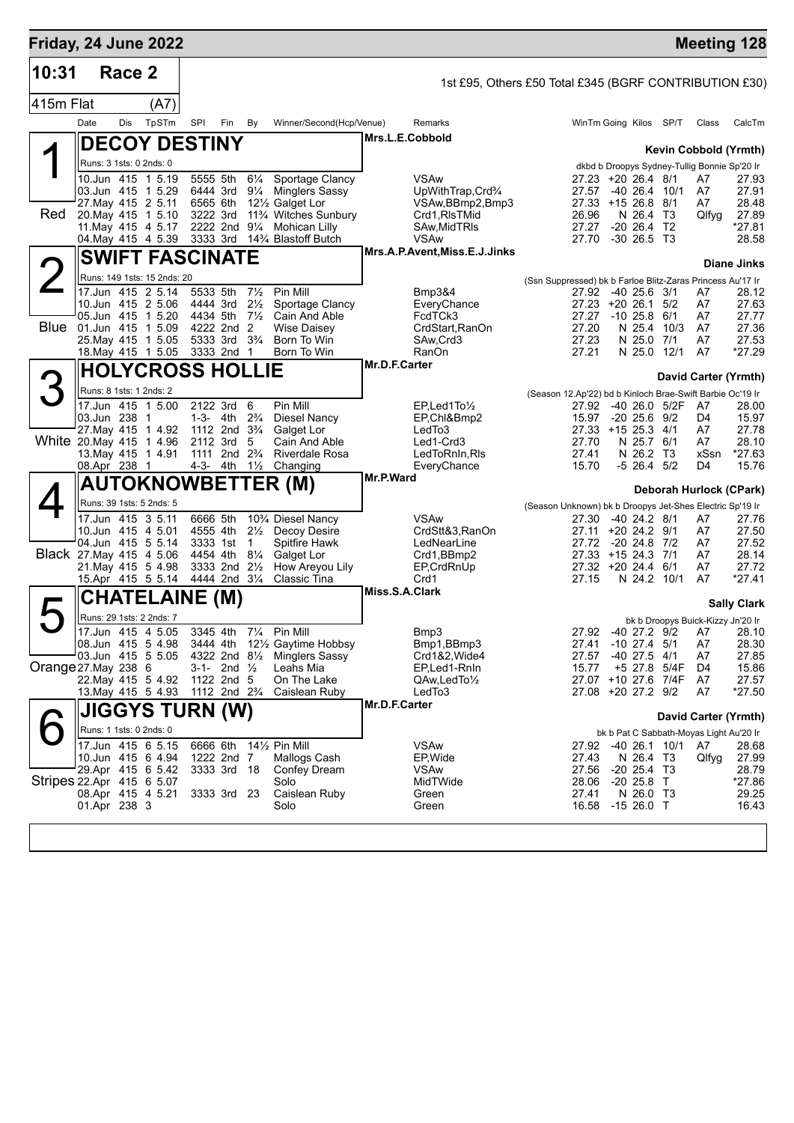| 10:31<br>415m Flat        | Date                    | Race 2<br>Dis | (A7)                                             |                                                    |                           |                                  |                                                                    |                |                                                        |                                                            |                |                                          |               |                                              |                         |
|---------------------------|-------------------------|---------------|--------------------------------------------------|----------------------------------------------------|---------------------------|----------------------------------|--------------------------------------------------------------------|----------------|--------------------------------------------------------|------------------------------------------------------------|----------------|------------------------------------------|---------------|----------------------------------------------|-------------------------|
|                           |                         |               |                                                  |                                                    |                           |                                  |                                                                    |                | 1st £95, Others £50 Total £345 (BGRF CONTRIBUTION £30) |                                                            |                |                                          |               |                                              |                         |
|                           |                         |               |                                                  |                                                    |                           |                                  |                                                                    |                |                                                        |                                                            |                |                                          |               |                                              |                         |
|                           |                         |               | TpSTm                                            | SPI                                                | Fin                       | By                               | Winner/Second(Hcp/Venue)                                           |                | Remarks                                                |                                                            |                | WinTm Going Kilos SP/T                   |               | Class                                        | CalcTm                  |
|                           |                         |               | <b>DECOY DESTINY</b>                             |                                                    |                           |                                  |                                                                    |                | Mrs.L.E.Cobbold                                        |                                                            |                |                                          |               |                                              | Kevin Cobbold (Yrmth)   |
|                           | Runs: 3 1sts: 0 2nds: 0 |               |                                                  |                                                    |                           |                                  |                                                                    |                |                                                        |                                                            |                |                                          |               | dkbd b Droopys Sydney-Tullig Bonnie Sp'20 Ir |                         |
|                           |                         |               | 10.Jun 415 1 5.19                                | 5555 5th                                           |                           | $6\frac{1}{4}$                   | Sportage Clancy                                                    |                | <b>VSAw</b>                                            |                                                            |                | 27.23 +20 26.4 8/1                       |               | A7                                           | 27.93                   |
|                           |                         |               | 03.Jun 415 1 5.29<br>27. May 415 2 5.11          | 6444 3rd<br>6565 6th                               |                           | $9\frac{1}{4}$                   | <b>Minglers Sassy</b><br>12 <sup>1</sup> / <sub>2</sub> Galget Lor |                | UpWithTrap,Crd <sup>3</sup> /4<br>VSAw, BBmp2, Bmp3    |                                                            | 27.57          | -40 26.4 10/1<br>27.33 +15 26.8 8/1      |               | A7<br>A7                                     | 27.91<br>28.48          |
| Red                       |                         |               | 20. May 415 1 5.10                               | 3222 3rd                                           |                           |                                  | 11% Witches Sunbury                                                |                | Crd1, RIsTMid                                          |                                                            | 26.96          | N 26.4 T3                                |               | Qlfyg                                        | 27.89                   |
|                           |                         |               | 11 May 415 4 5.17                                | 2222 2nd 91/4                                      |                           |                                  | <b>Mohican Lilly</b>                                               |                | SAw, Mid TRIs                                          |                                                            | 27.27          | $-20$ 26.4 T2                            |               |                                              | $*27.81$                |
|                           |                         |               | 04. May 415 4 5.39                               | 3333 3rd                                           |                           |                                  | 14% Blastoff Butch                                                 |                | <b>VSAw</b><br>Mrs.A.P.Avent,Miss.E.J.Jinks            |                                                            | 27.70          | $-30, 26.5, 13$                          |               |                                              | 28.58                   |
|                           |                         |               | <b>SWIFT FASCINATE</b>                           |                                                    |                           |                                  |                                                                    |                |                                                        |                                                            |                |                                          |               |                                              | Diane Jinks             |
|                           |                         |               | Runs: 149 1sts: 15 2nds: 20<br>17.Jun 415 2 5.14 | 5533 5th                                           |                           | $7\frac{1}{2}$                   | Pin Mill                                                           |                | Bmp3&4                                                 | (Ssn Suppressed) bk b Farloe Blitz-Zaras Princess Au'17 Ir |                | 27.92 -40 25.6 3/1                       |               | A7                                           | 28.12                   |
|                           |                         |               | 10.Jun 415 2 5.06                                | 4444 3rd                                           |                           | $2\frac{1}{2}$                   | Sportage Clancy                                                    |                | EveryChance                                            |                                                            |                | 27.23 +20 26.1 5/2                       |               | A7                                           | 27.63                   |
|                           |                         |               | 05.Jun 415 1 5.20                                | 4434 5th                                           |                           | $7\frac{1}{2}$                   | Cain And Able                                                      |                | FcdTCk3                                                |                                                            |                | 27.27 -10 25.8 6/1                       |               | A7                                           | 27.77                   |
| <b>Blue</b>               |                         |               | 01.Jun 415 1 5.09<br>25. May 415 1 5.05          | 4222 2nd<br>5333 3rd 3 <sup>3</sup> / <sub>4</sub> |                           | 2                                | Wise Daisey<br>Born To Win                                         |                | CrdStart, RanOn<br>SAw, Crd3                           |                                                            | 27.20<br>27.23 | N 25.4 10/3<br>N 25.0 7/1                |               | A7<br>A7                                     | 27.36<br>27.53          |
|                           |                         |               | 18. May 415 1 5.05                               | 3333 2nd                                           |                           | -1                               | Born To Win                                                        |                | RanOn                                                  |                                                            | 27.21          | N 25.0 12/1                              |               | A7                                           | *27.29                  |
|                           |                         |               | <b>HOLYCROSS HOLLIE</b>                          |                                                    |                           |                                  |                                                                    | Mr.D.F.Carter  |                                                        |                                                            |                |                                          |               |                                              | David Carter (Yrmth)    |
|                           | Runs: 8 1sts: 1 2nds: 2 |               |                                                  |                                                    |                           |                                  |                                                                    |                |                                                        | (Season 12.Ap'22) bd b Kinloch Brae-Swift Barbie Oc'19 Ir  |                |                                          |               |                                              |                         |
|                           |                         |               | 17.Jun 415 1 5.00                                | 2122 3rd                                           |                           | 6                                | Pin Mill                                                           |                | EP.Led1To1/2                                           |                                                            | 27.92          | -40 26.0 5/2F                            |               | A7                                           | 28.00                   |
|                           | 03.Jun 238 1            |               |                                                  | 1-3- 4th<br>1112 2nd 3 <sup>3</sup> / <sub>4</sub> |                           | $2\frac{3}{4}$                   | Diesel Nancy                                                       |                | EP,Chl&Bmp2                                            |                                                            | 15.97          | $-20$ 25.6 $9/2$<br>27.33 +15 25.3 4/1   |               | D4<br>A7                                     | 15.97                   |
| White 20 May 415 1 4.96   |                         |               | 27. May 415 1 4.92                               | 2112 3rd                                           |                           | 5                                | Galget Lor<br>Cain And Able                                        |                | LedTo3<br>Led1-Crd3                                    |                                                            | 27.70          | N 25.7 6/1                               |               | A7                                           | 27.78<br>28.10          |
|                           |                         |               | 13. May 415 1 4.91                               | 1111 2nd                                           |                           | $2\frac{3}{4}$                   | Riverdale Rosa                                                     |                | LedToRnIn, RIs                                         |                                                            | 27.41          | N 26.2 T3                                |               | xSsn                                         | *27.63                  |
|                           | 08.Apr 238 1            |               |                                                  | 4-3- 4th                                           |                           | $1\frac{1}{2}$                   | Changing                                                           | Mr.P.Ward      | EveryChance                                            |                                                            | 15.70          | $-5$ 26.4 $5/2$                          |               | D4                                           | 15.76                   |
|                           |                         |               |                                                  |                                                    |                           |                                  | <b>AUTOKNOWBETTER (M)</b>                                          |                |                                                        |                                                            |                |                                          |               |                                              | Deborah Hurlock (CPark) |
|                           |                         |               | Runs: 39 1sts: 5 2nds: 5                         |                                                    |                           |                                  |                                                                    |                |                                                        | (Season Unknown) bk b Droopys Jet-Shes Electric Sp'19 Ir   |                |                                          |               |                                              |                         |
|                           |                         |               | 17.Jun 415 3 5.11<br>10.Jun 415 4 5.01           | 6666 5th<br>4555 4th                               |                           | $2\frac{1}{2}$                   | 10% Diesel Nancy<br>Decoy Desire                                   |                | <b>VSAw</b><br>CrdStt&3,RanOn                          |                                                            | 27.30          | -40 24.2 8/1<br>27.11 +20 24.2 9/1       |               | A7<br>A7                                     | 27.76<br>27.50          |
|                           |                         |               | 04.Jun 415 5 5.14                                | 3333 1st                                           |                           | $\mathbf{1}$                     | Spitfire Hawk                                                      |                | LedNearLine                                            |                                                            | 27.72          | -20 24.8 7/2                             |               | A7                                           | 27.52                   |
| Black 27. May 415 4 5.06  |                         |               | 21. May 415 5 4.98                               | 4454 4th<br>3333 2nd                               |                           | $8\frac{1}{4}$<br>$2\frac{1}{2}$ | Galget Lor<br>How Areyou Lily                                      |                | Crd1,BBmp2                                             |                                                            |                | 27.33 +15 24.3 7/1<br>27.32 +20 24.4 6/1 |               | A7<br>A7                                     | 28.14<br>27.72          |
|                           |                         |               | 15.Apr 415 5 5.14                                | 4444 2nd 31/4                                      |                           |                                  | Classic Tina                                                       |                | EP, CrdRnUp<br>Crd1                                    |                                                            | 27.15          | N 24.2 10/1                              |               | A7                                           | *27.41                  |
|                           |                         |               | <b>CHATELAINE (M)</b>                            |                                                    |                           |                                  |                                                                    | Miss.S.A.Clark |                                                        |                                                            |                |                                          |               |                                              |                         |
|                           |                         |               | Runs: 29 1sts: 2 2nds: 7                         |                                                    |                           |                                  |                                                                    |                |                                                        |                                                            |                |                                          |               | bk b Droopys Buick-Kizzy Jn'20 Ir            | <b>Sally Clark</b>      |
|                           |                         |               | $\overline{17.$ Jun 415 4 5.05                   |                                                    |                           |                                  | 3345 4th 71/4 Pin Mill                                             |                | Bmp3                                                   |                                                            |                |                                          |               | 27.92 -40 27.2 9/2 A7                        | 28.10                   |
|                           |                         |               | 08.Jun 415 5 4.98                                |                                                    |                           |                                  | 3444 4th 121/2 Gaytime Hobbsy                                      |                | Bmp1,BBmp3                                             |                                                            |                | 27.41 -10 27.4 5/1                       |               | A7                                           | 28.30                   |
| Orange 27. May 238 6      |                         |               | 03.Jun 415 5 5.05                                |                                                    | 3-1- 2nd $\frac{1}{2}$    |                                  | 4322 2nd 81/2 Minglers Sassy<br>Leahs Mia                          |                | Crd1&2, Wide4<br>EP,Led1-RnIn                          |                                                            | 27.57<br>15.77 | $-40$ 27.5 $4/1$<br>+5 27.8 5/4F         |               | A7<br>D4                                     | 27.85<br>15.86          |
|                           |                         |               | 22. May 415 5 4.92                               | 1122 2nd 5                                         |                           |                                  | On The Lake                                                        |                | $QAw, LedTo\frac{1}{2}$                                |                                                            |                | 27.07 +10 27.6 7/4F                      |               | A7                                           | 27.57                   |
|                           |                         |               | 13. May 415 5 4.93                               | 1112 2nd 2 <sup>3</sup> / <sub>4</sub>             |                           |                                  | Caislean Ruby                                                      |                | LedTo3                                                 |                                                            |                | 27.08 +20 27.2 9/2                       |               | A7                                           | *27.50                  |
|                           |                         |               | <b>JIGGYS TURN (W)</b>                           |                                                    |                           |                                  |                                                                    | Mr.D.F.Carter  |                                                        |                                                            |                |                                          |               |                                              | David Carter (Yrmth)    |
|                           | Runs: 1 1sts: 0 2nds: 0 |               |                                                  |                                                    |                           |                                  |                                                                    |                |                                                        |                                                            |                |                                          |               | bk b Pat C Sabbath-Moyas Light Au'20 Ir      |                         |
|                           |                         |               | 17.Jun 415 6 5.15                                | 6666 6th                                           |                           |                                  | 141/ <sub>2</sub> Pin Mill                                         |                | VSAw                                                   |                                                            | 27.92          |                                          | -40 26.1 10/1 | A7                                           | 28.68                   |
|                           |                         |               | 10.Jun 415 6 4.94<br>29.Apr 415 6 5.42           |                                                    | 1222 2nd 7<br>3333 3rd 18 |                                  | Mallogs Cash<br>Confey Dream                                       |                | EP, Wide<br><b>VSAw</b>                                |                                                            | 27.43<br>27.56 | N 26.4 T3<br>$-20$ 25.4 T3               |               | Qlfyg                                        | 27.99<br>28.79          |
| Stripes 22.Apr 415 6 5.07 |                         |               |                                                  |                                                    |                           |                                  | Solo                                                               |                | MidTWide                                               |                                                            | 28.06          | $-20, 25.8$ T                            |               |                                              | *27.86                  |
|                           | 01.Apr 238 3            |               | 08.Apr 415 4 5.21                                |                                                    | 3333 3rd 23               |                                  | Caislean Ruby<br>Solo                                              |                | Green<br>Green                                         |                                                            | 27.41<br>16.58 | N 26.0 T3<br>$-1526.0$ T                 |               |                                              | 29.25<br>16.43          |
|                           |                         |               |                                                  |                                                    |                           |                                  |                                                                    |                |                                                        |                                                            |                |                                          |               |                                              |                         |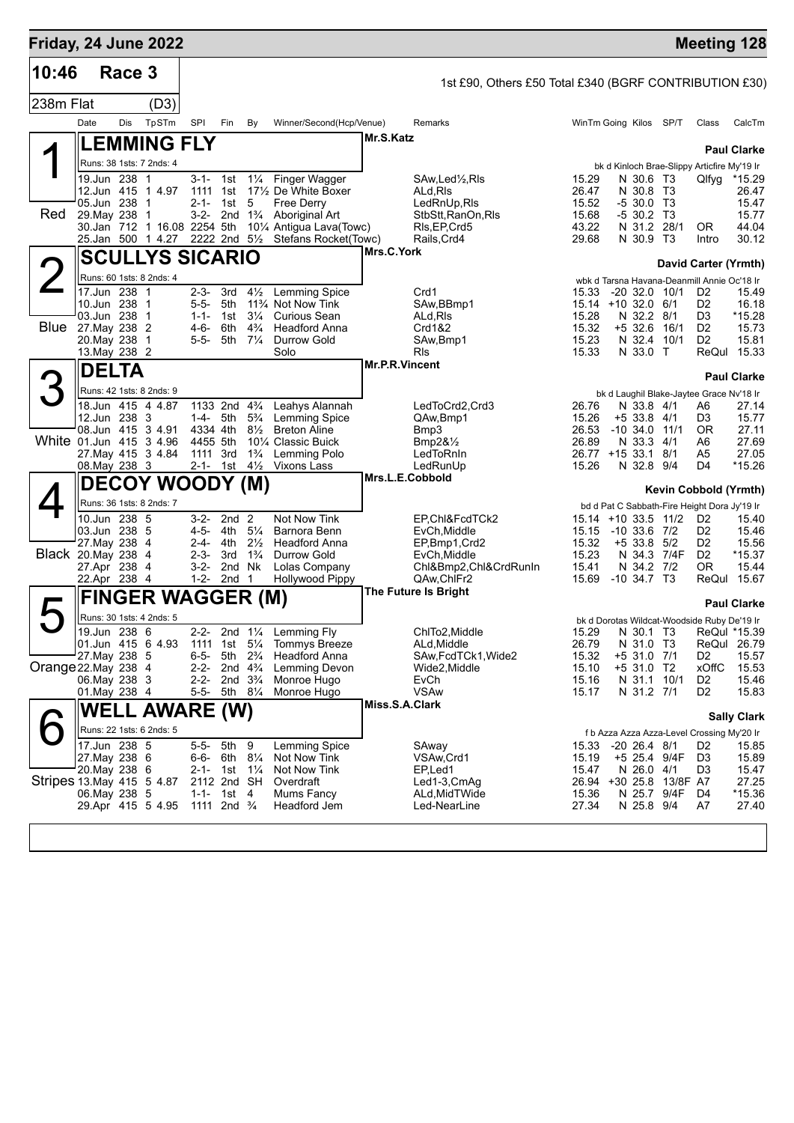|                      |                                          | Friday, 24 June 2022       |                                              |                                  |                                                  |                |                                                        |                |                                                                     |              |                                  | <b>Meeting 128</b>   |
|----------------------|------------------------------------------|----------------------------|----------------------------------------------|----------------------------------|--------------------------------------------------|----------------|--------------------------------------------------------|----------------|---------------------------------------------------------------------|--------------|----------------------------------|----------------------|
| 10:46                |                                          | Race 3                     |                                              |                                  |                                                  |                | 1st £90, Others £50 Total £340 (BGRF CONTRIBUTION £30) |                |                                                                     |              |                                  |                      |
| 238m Flat            |                                          | (D3)                       |                                              |                                  |                                                  |                |                                                        |                |                                                                     |              |                                  |                      |
|                      | Date                                     | TpSTm<br>Dis               | <b>SPI</b><br>Fin                            | By                               | Winner/Second(Hcp/Venue)                         |                | Remarks                                                |                | WinTm Going Kilos SP/T                                              |              | Class                            | CalcTm               |
|                      |                                          | <b>LEMMING FLY</b>         |                                              |                                  |                                                  | Mr.S.Katz      |                                                        |                |                                                                     |              |                                  |                      |
|                      |                                          | Runs: 38 1sts: 7 2nds: 4   |                                              |                                  |                                                  |                |                                                        |                | bk d Kinloch Brae-Slippy Articfire My'19 Ir                         |              |                                  | <b>Paul Clarke</b>   |
|                      | 19.Jun 238 1                             |                            | $3 - 1 -$<br>1st                             | $1\frac{1}{4}$                   | Finger Wagger                                    |                | SAw,Led½,Rls                                           | 15.29          | N 30.6 T3                                                           |              | Qlfyg                            | *15.29               |
|                      | 05.Jun 238 1                             | 12.Jun 415 1 4.97          | 1111<br>1st<br>$2 - 1 -$<br>1st              | 5                                | 171/2 De White Boxer<br><b>Free Derry</b>        |                | ALd,RIs<br>LedRnUp, RIs                                | 26.47<br>15.52 | N 30.8 T3<br>-5 30.0 T3                                             |              |                                  | 26.47<br>15.47       |
| Red                  | 29. May 238 1                            |                            | $3 - 2 -$<br>2nd                             | $1\frac{3}{4}$                   | Aboriginal Art                                   |                | StbStt, RanOn, RIs                                     | 15.68          | $-530.2$ T3                                                         |              |                                  | 15.77                |
|                      |                                          | 25.Jan 500 1 4.27          | 30.Jan 712 1 16.08 2254 5th<br>2222 2nd 51/2 |                                  | 101/4 Antigua Lava(Towc)<br>Stefans Rocket(Towc) |                | RIs, EP, Crd5<br>Rails, Crd4                           | 43.22<br>29.68 | N 31.2 28/1<br>N 30.9 T3                                            |              | 0R                               | 44.04<br>30.12       |
|                      |                                          |                            |                                              |                                  |                                                  | Mrs.C.York     |                                                        |                |                                                                     |              | Intro                            |                      |
|                      |                                          |                            | <b>SCULLYS SICARIO</b>                       |                                  |                                                  |                |                                                        |                |                                                                     |              | David Carter (Yrmth)             |                      |
|                      | 17.Jun 238 1                             | Runs: 60 1sts: 8 2nds: 4   | $2 - 3 -$<br>3rd                             | $4\frac{1}{2}$                   | <b>Lemming Spice</b>                             |                | Crd1                                                   | 15.33          | wbk d Tarsna Havana-Deanmill Annie Oc'18 Ir<br>$-20$ 32.0 10/1      |              | D <sub>2</sub>                   | 15.49                |
|                      | 10.Jun 238 1                             |                            | $5 - 5 -$<br>5th                             |                                  | 11% Not Now Tink                                 |                | SAw, BBmp1                                             |                | 15.14 +10 32.0 6/1                                                  |              | D <sub>2</sub>                   | 16.18                |
|                      | 03.Jun 238                               | $\overline{1}$             | $1 - 1 -$<br>1st                             | $3\frac{1}{4}$                   | <b>Curious Sean</b>                              |                | ALd, RIs                                               | 15.28          | N 32.2 8/1                                                          |              | D <sub>3</sub>                   | *15.28               |
|                      | <b>Blue</b> 27. May 238 2<br>20. May 238 | -1                         | 6th<br>4-6-<br>5th<br>$5 - 5 -$              | $4\frac{3}{4}$<br>$7\frac{1}{4}$ | <b>Headford Anna</b><br>Durrow Gold              |                | Crd1&2<br>SAw, Bmp1                                    | 15.32<br>15.23 | $+5$ 32.6<br>N 32.4                                                 | 16/1<br>10/1 | D <sub>2</sub><br>D <sub>2</sub> | 15.73<br>15.81       |
|                      | 13. May 238 2                            |                            |                                              |                                  | Solo                                             |                | <b>R</b> ls                                            | 15.33          | N 33.0 T                                                            |              |                                  | ReQul 15.33          |
|                      | <b>DELTA</b>                             |                            |                                              |                                  |                                                  | Mr.P.R.Vincent |                                                        |                |                                                                     |              |                                  | <b>Paul Clarke</b>   |
|                      |                                          | Runs: 42 1sts: 8 2nds: 9   |                                              |                                  |                                                  |                |                                                        |                | bk d Laughil Blake-Jaytee Grace Nv'18 Ir                            |              |                                  |                      |
|                      |                                          | 18.Jun 415 4 4.87          | 1133 2nd 4 <sup>3</sup> / <sub>4</sub>       |                                  | Leahys Alannah                                   |                | LedToCrd2,Crd3                                         | 26.76          | N 33.8 4/1                                                          |              | A6                               | 27.14                |
|                      | 12.Jun 238 3                             | 08.Jun 415 3 4.91          | 1-4- 5th<br>4334 4th                         | $5\frac{3}{4}$<br>$8\frac{1}{2}$ | <b>Lemming Spice</b><br><b>Breton Aline</b>      |                | QAw,Bmp1<br>Bmp3                                       | 15.26<br>26.53 | +5 33.8 4/1<br>$-10, 34.0$                                          | 11/1         | D3<br><b>OR</b>                  | 15.77<br>27.11       |
|                      |                                          | White 01.Jun 415 3 4.96    | 4455 5th                                     |                                  | 10 <sup>1</sup> / <sub>4</sub> Classic Buick     |                | Bmp2 $8\frac{1}{2}$                                    | 26.89          | N 33.3                                                              | 4/1          | A6                               | 27.69                |
|                      | 08. May 238 3                            | 27. May 415 3 4.84         | 1111 3rd<br>2-1- 1st $4\frac{1}{2}$          | $1\frac{3}{4}$                   | Lemming Polo<br>Vixons Lass                      |                | LedToRnIn<br>LedRunUp                                  | 15.26          | 26.77 +15 33.1 8/1<br>N 32.8 9/4                                    |              | A5<br>D4                         | 27.05<br>$*15.26$    |
|                      |                                          |                            |                                              |                                  |                                                  |                | Mrs.L.E.Cobbold                                        |                |                                                                     |              |                                  |                      |
|                      |                                          |                            | <b>DECOY WOODY (M)</b>                       |                                  |                                                  |                |                                                        |                |                                                                     |              | Kevin Cobbold (Yrmth)            |                      |
|                      | 10.Jun 238 5                             | Runs: 36 1sts: 8 2nds: 7   | $3 - 2 -$<br>2nd <sub>2</sub>                |                                  | Not Now Tink                                     |                | EP.Chl&FcdTCk2                                         |                | bd d Pat C Sabbath-Fire Height Dora Jy'19 Ir<br>15.14 +10 33.5 11/2 |              | D <sub>2</sub>                   | 15.40                |
|                      | 03.Jun 238 5                             |                            | $4 - 5 -$<br>4th                             | $5\frac{1}{4}$                   | Barnora Benn                                     |                | EvCh, Middle                                           | 15.15          | $-10$ 33.6 $7/2$                                                    |              | D <sub>2</sub>                   | 15.46                |
|                      | 27. May 238<br>Black 20.May 238          | 4                          | $2 - 4 -$<br>4th                             | $2\frac{1}{2}$                   | <b>Headford Anna</b><br><b>Durrow Gold</b>       |                | EP,Bmp1,Crd2                                           | 15.32<br>15.23 | $+5$ 33.8                                                           | 5/2          | D2<br>D <sub>2</sub>             | 15.56                |
|                      | 27.Apr 238                               | 4<br>-4                    | $2 - 3 -$<br>3rd<br>$3-2-$                   | $1\frac{3}{4}$<br>2nd Nk         | Lolas Company                                    |                | EvCh, Middle<br>Chl&Bmp2,Chl&CrdRunIn                  | 15.41          | N 34.3 7/4F<br>N 34.2 7/2                                           |              | 0R                               | *15.37<br>15.44      |
|                      | 22.Apr 238 4                             |                            | 1-2-<br>2nd <sub>1</sub>                     |                                  | Hollywood Pippy                                  |                | QAw, ChlFr2                                            | 15.69          | $-10$ 34.7 T3                                                       |              |                                  | ReQul 15.67          |
|                      |                                          |                            | <b>FINGER WAGGER (M)</b>                     |                                  |                                                  |                | <b>The Future Is Bright</b>                            |                |                                                                     |              |                                  | <b>Paul Clarke</b>   |
|                      |                                          | Runs: 30 1sts: 4 2nds: 5   |                                              |                                  |                                                  |                |                                                        |                | bk d Dorotas Wildcat-Woodside Ruby De'19 Ir                         |              |                                  |                      |
| $\blacktriangledown$ | 19.Jun 238 6                             |                            | $2 - 2 -$                                    | 2nd $1\frac{1}{4}$               | Lemming Fly                                      |                | ChITo2, Middle                                         | 15.29          | N 30.1 T3                                                           |              | ReQul *15.39                     |                      |
|                      | 27. May 238 5                            | 01.Jun 415 6 4.93          | 1111<br>1st<br>$6 - 5 -$<br>5th              | $5\frac{1}{4}$<br>$2\frac{3}{4}$ | <b>Tommys Breeze</b><br><b>Headford Anna</b>     |                | ALd, Middle<br>SAw, FcdTCk1, Wide2                     | 26.79<br>15.32 | N 31.0 T3<br>+5 31.0 7/1                                            |              | D <sub>2</sub>                   | ReQul 26.79<br>15.57 |
| Orange 22. May 238 4 |                                          |                            | $2 - 2 -$                                    | 2nd $4\frac{3}{4}$               | Lemming Devon                                    |                | Wide2,Middle                                           | 15.10          | +5 31.0 T2                                                          |              | <b>xOffC</b>                     | 15.53                |
|                      | 06. May 238 3<br>01. May 238 4           |                            | $2 - 2 -$<br>$5 - 5 -$                       | 2nd $3\frac{3}{4}$<br>5th 81/4   | Monroe Hugo<br>Monroe Hugo                       |                | EvCh<br><b>VSAw</b>                                    | 15.16<br>15.17 | N 31.1 10/1<br>N 31.2 7/1                                           |              | D <sub>2</sub><br>D <sub>2</sub> | 15.46<br>15.83       |
|                      |                                          |                            |                                              |                                  |                                                  | Miss.S.A.Clark |                                                        |                |                                                                     |              |                                  |                      |
|                      |                                          |                            | <b>WELL AWARE (W)</b>                        |                                  |                                                  |                |                                                        |                |                                                                     |              |                                  | <b>Sally Clark</b>   |
|                      | 17.Jun 238 5                             | Runs: 22 1sts: 6 2nds: 5   | $5 - 5 -$<br>5th                             | 9                                | Lemming Spice                                    |                | SAway                                                  | 15.33          | f b Azza Azza Azza-Level Crossing My'20 Ir<br>$-20$ 26.4 $8/1$      |              | D <sub>2</sub>                   | 15.85                |
|                      | 27. May 238 6                            |                            | 6-6- 6th 81/4                                |                                  | Not Now Tink                                     |                | VSAw,Crd1                                              | 15.19          | +5 25.4 9/4F                                                        |              | D3                               | 15.89                |
|                      | 20. May 238 6                            |                            | 2-1- 1st $1\frac{1}{4}$                      |                                  | Not Now Tink                                     |                | EP,Led1                                                | 15.47          | N 26.0 4/1                                                          |              | D3                               | 15.47                |
|                      | 06. May 238 5                            | Stripes 13. May 415 5 4.87 | 2112 2nd SH<br>1-1- 1st 4                    |                                  | Overdraft<br>Mums Fancy                          |                | Led1-3,CmAg<br>ALd,MidTWide                            | 15.36          | 26.94 +30 25.8<br>N 25.7 9/4F                                       | 13/8F A7     | D4                               | 27.25<br>*15.36      |
|                      |                                          | 29.Apr 415 5 4.95          | 1111 2nd <sup>3</sup> / <sub>4</sub>         |                                  | Headford Jem                                     |                | Led-NearLine                                           | 27.34          | N 25.8 9/4                                                          |              | A7                               | 27.40                |
|                      |                                          |                            |                                              |                                  |                                                  |                |                                                        |                |                                                                     |              |                                  |                      |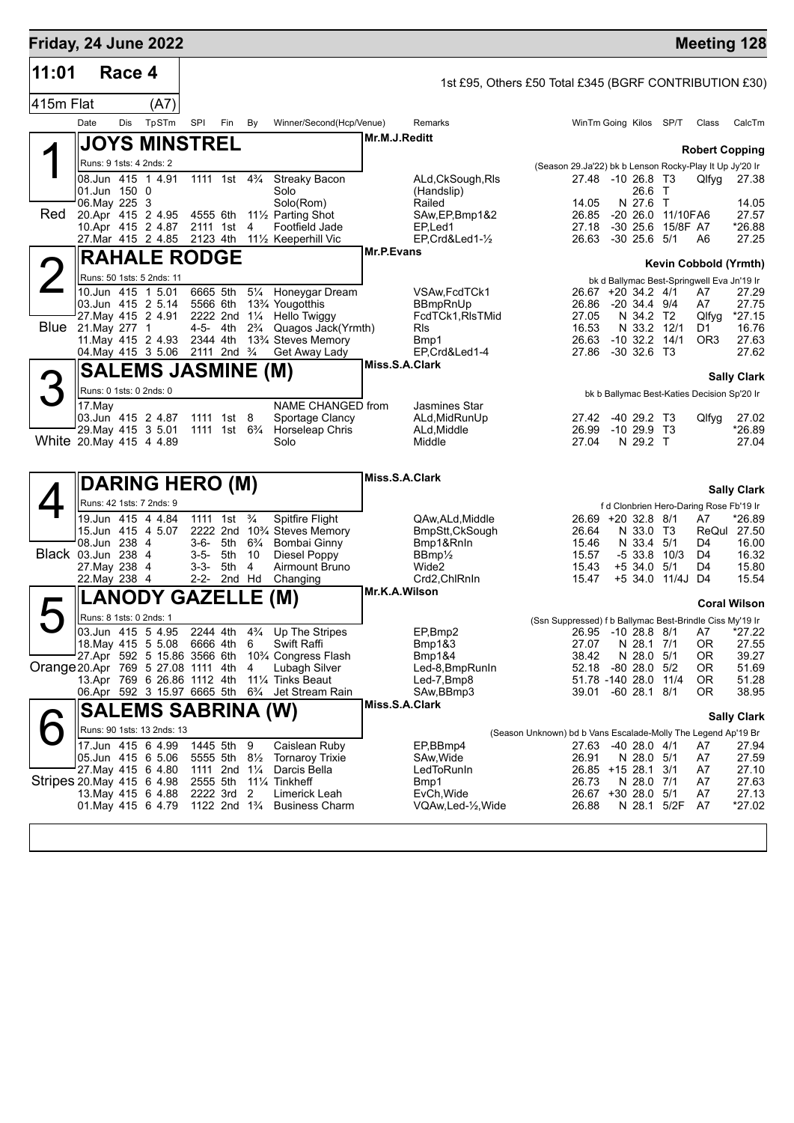| Friday, 24 June 2022               |                                                                                                                                                                      |                           |       |                                                                                                              |     |                                                         |                                                                                                                                                                            |                   |                                                                                                 |                                                                                              |  |                                                                                                                      |                                         |                                                                                          | <b>Meeting 128</b>                                        |
|------------------------------------|----------------------------------------------------------------------------------------------------------------------------------------------------------------------|---------------------------|-------|--------------------------------------------------------------------------------------------------------------|-----|---------------------------------------------------------|----------------------------------------------------------------------------------------------------------------------------------------------------------------------------|-------------------|-------------------------------------------------------------------------------------------------|----------------------------------------------------------------------------------------------|--|----------------------------------------------------------------------------------------------------------------------|-----------------------------------------|------------------------------------------------------------------------------------------|-----------------------------------------------------------|
| 11:01                              |                                                                                                                                                                      | Race 4                    |       |                                                                                                              |     |                                                         |                                                                                                                                                                            |                   | 1st £95, Others £50 Total £345 (BGRF CONTRIBUTION £30)                                          |                                                                                              |  |                                                                                                                      |                                         |                                                                                          |                                                           |
| 415m Flat                          |                                                                                                                                                                      |                           | (A7)  |                                                                                                              |     |                                                         |                                                                                                                                                                            |                   |                                                                                                 |                                                                                              |  |                                                                                                                      |                                         |                                                                                          |                                                           |
|                                    | Date                                                                                                                                                                 | Dis                       | TpSTm | SPI                                                                                                          | Fin | By                                                      | Winner/Second(Hcp/Venue)                                                                                                                                                   |                   | Remarks                                                                                         |                                                                                              |  |                                                                                                                      | WinTm Going Kilos SP/T                  | Class                                                                                    | CalcTm                                                    |
|                                    | <b>JOYS MINSTREL</b>                                                                                                                                                 |                           |       |                                                                                                              |     |                                                         |                                                                                                                                                                            | Mr.M.J.Reditt     |                                                                                                 |                                                                                              |  |                                                                                                                      |                                         |                                                                                          |                                                           |
|                                    | Runs: 9 1sts: 4 2nds: 2                                                                                                                                              |                           |       |                                                                                                              |     |                                                         |                                                                                                                                                                            |                   |                                                                                                 |                                                                                              |  |                                                                                                                      |                                         |                                                                                          | <b>Robert Copping</b>                                     |
|                                    | 08.Jun 415 1 4.91<br>01.Jun 150 0<br>06. May 225 3                                                                                                                   |                           |       | 1111 1st                                                                                                     |     | $4\frac{3}{4}$                                          | <b>Streaky Bacon</b><br>Solo<br>Solo(Rom)                                                                                                                                  |                   | ALd, CkSough, RIs<br>(Handslip)<br>Railed                                                       | (Season 29.Ja'22) bk b Lenson Rocky-Play It Up Jy'20 Ir<br>14.05                             |  | 27.48 -10 26.8 T3<br>26.6 T<br>N 27.6 T                                                                              |                                         | Qlfyg                                                                                    | 27.38<br>14.05                                            |
| Red                                | 20.Apr 415 2 4.95<br>10.Apr 415 2 4.87<br>27. Mar 415 2 4.85                                                                                                         |                           |       | 4555 6th<br>2111 1st<br>2123 4th                                                                             |     | 4                                                       | 11 <sup>1</sup> / <sub>2</sub> Parting Shot<br>Footfield Jade<br>111/ <sub>2</sub> Keeperhill Vic                                                                          |                   | SAw, EP, Bmp1&2<br>EP <sub>Led1</sub><br>EP, Crd&Led1-1/2                                       | 26.85<br>27.18<br>26.63                                                                      |  | $-30$ 25.6 $5/1$                                                                                                     | -20 26.0 11/10FA6<br>-30 25.6 15/8F A7  | A6                                                                                       | 27.57<br>*26.88<br>27.25                                  |
|                                    |                                                                                                                                                                      |                           |       |                                                                                                              |     |                                                         |                                                                                                                                                                            | <b>Mr.P.Evans</b> |                                                                                                 |                                                                                              |  |                                                                                                                      |                                         |                                                                                          |                                                           |
|                                    |                                                                                                                                                                      | <b>RAHALE RODGE</b>       |       |                                                                                                              |     |                                                         |                                                                                                                                                                            |                   |                                                                                                 |                                                                                              |  |                                                                                                                      |                                         |                                                                                          | Kevin Cobbold (Yrmth)                                     |
|                                    | Runs: 50 1sts: 5 2nds: 11<br>10.Jun 415 1 5.01<br>03.Jun 415 2 5.14<br>27 May 415 2 4.91<br><b>Blue</b> 21 May 277 1<br>11. May 415 2 4.93<br>04. May 415 3 5.06     |                           |       | 6665 5th<br>5566 6th<br>2222 2nd 11/4<br>4-5- 4th<br>2344 4th<br>2111 2nd <sup>3</sup> / <sub>4</sub>        |     | $5\frac{1}{4}$<br>$2\frac{3}{4}$                        | Honeygar Dream<br>13 <sup>3</sup> / <sub>4</sub> Yougotthis<br>Hello Twiggy<br>Quagos Jack(Yrmth)<br>13 <sup>3</sup> / <sub>4</sub> Steves Memory<br>Get Away Lady         |                   | VSAw, FcdTCk1<br><b>BBmpRnUp</b><br>FcdTCk1, RIsTMid<br><b>RIs</b><br>Bmp1<br>EP, Crd&Led1-4    | 26.86<br>27.05<br>16.53<br>26.63<br>27.86                                                    |  | 26.67 +20 34.2 4/1<br>$-20, 34.4, 9/4$<br>N 34.2 T2<br>N 33.2 12/1<br>$-10$ 32.2 $14/1$<br>$-30$ 32.6 T <sub>3</sub> |                                         | bk d Ballymac Best-Springwell Eva Jn'19 Ir<br>A7<br>A7<br>Qlfyg<br>D1<br>OR <sub>3</sub> | 27.29<br>27.75<br>*27.15<br>16.76<br>27.63<br>27.62       |
|                                    | <b>SALEMS JASMINE (M)</b>                                                                                                                                            |                           |       |                                                                                                              |     |                                                         |                                                                                                                                                                            | Miss.S.A.Clark    |                                                                                                 |                                                                                              |  |                                                                                                                      |                                         |                                                                                          | <b>Sally Clark</b>                                        |
|                                    | Runs: 0 1sts: 0 2nds: 0                                                                                                                                              |                           |       |                                                                                                              |     |                                                         |                                                                                                                                                                            |                   |                                                                                                 |                                                                                              |  |                                                                                                                      |                                         | bk b Ballymac Best-Katies Decision Sp'20 Ir                                              |                                                           |
| White 20. May 415 4 4.89           | 17.May<br>03.Jun 415 2 4.87<br>29. May 415 3 5.01                                                                                                                    |                           |       | 1111 1st 8<br>1111 1st 6 <sup>3</sup> / <sub>4</sub>                                                         |     |                                                         | NAME CHANGED from<br>Sportage Clancy<br>Horseleap Chris<br>Solo                                                                                                            |                   | <b>Jasmines Star</b><br>ALd, MidRunUp<br>ALd, Middle<br>Middle                                  | 27.42<br>26.99<br>27.04                                                                      |  | -40 29.2 T3<br>-10 29.9 T3<br>N 29.2 T                                                                               |                                         | Qlfyg                                                                                    | 27.02<br>*26.89<br>27.04                                  |
|                                    |                                                                                                                                                                      |                           |       |                                                                                                              |     |                                                         |                                                                                                                                                                            | Miss.S.A.Clark    |                                                                                                 |                                                                                              |  |                                                                                                                      |                                         |                                                                                          |                                                           |
|                                    |                                                                                                                                                                      | <b>DARING HERO (M)</b>    |       |                                                                                                              |     |                                                         |                                                                                                                                                                            |                   |                                                                                                 |                                                                                              |  |                                                                                                                      |                                         |                                                                                          | <b>Sally Clark</b>                                        |
| Black 03.Jun 238 4                 | Runs: 42 1sts: 7 2nds: 9<br>19.Jun 415 4 4.84<br>15.Jun 415 4 5.07<br>08.Jun 238 4<br>27. May 238 4<br>22. May 238 4                                                 |                           |       | 1111 1st<br>3-6- 5th<br>3-5- 5th<br>3-3- 5th<br>2-2- 2nd Hd                                                  |     | $\frac{3}{4}$<br>$6\frac{3}{4}$<br>10<br>$\overline{4}$ | Spitfire Flight<br>2222 2nd 10 <sup>3</sup> / <sub>4</sub> Steves Memory<br>Bombai Ginny<br>Diesel Poppy<br>Airmount Bruno<br>Changing                                     |                   | QAw, ALd, Middle<br>BmpStt, CkSough<br>Bmp1&RnIn<br>$BBmp\frac{1}{2}$<br>Wide2<br>Crd2, ChlRnIn | 26.64<br>15.46<br>15.57<br>15.43<br>15.47                                                    |  | 26.69 +20 32.8 8/1<br>N 33.0 T3<br>N 33.4 5/1<br>$+5$ 34.0                                                           | $-533.810/3$<br>5/1<br>+5 34.0 11/4J D4 | f d Clonbrien Hero-Daring Rose Fb'19 Ir<br>A7<br>D4<br>D4<br>D4                          | *26.89<br>ReQul 27.50<br>16.00<br>16.32<br>15.80<br>15.54 |
|                                    |                                                                                                                                                                      | <b>LANODY GAZELLE</b>     |       |                                                                                                              |     |                                                         | (M)                                                                                                                                                                        | Mr.K.A.Wilson     |                                                                                                 |                                                                                              |  |                                                                                                                      |                                         |                                                                                          | <b>Coral Wilson</b>                                       |
| Orange 20 Apr 769 5 27.08 1111 4th | Runs: 8 1sts: 0 2nds: 1<br>03.Jun 415 5 4.95<br>18. May 415 5 5.08<br>27.Apr 592 5 15.86 3566 6th<br>13.Apr 769 6 26.86 1112 4th<br>06.Apr 592 3 15.97 6665 5th 63/4 |                           |       | 2244 4th<br>6666 4th                                                                                         |     | 6<br>4                                                  | 4 <sup>3</sup> / <sub>4</sub> Up The Stripes<br><b>Swift Raffi</b><br>10% Congress Flash<br>Lubagh Silver<br>11 <sup>1</sup> / <sub>4</sub> Tinks Beaut<br>Jet Stream Rain | Miss.S.A.Clark    | EP,Bmp2<br>Bmp1&3<br>Bmp1&4<br>Led-8, BmpRunIn<br>Led-7, Bmp8<br>SAw, BBmp3                     | (Ssn Suppressed) f b Ballymac Best-Brindle Ciss My'19 Ir<br>27.07<br>38.42<br>52.18<br>39.01 |  | 26.95 -10 28.8 8/1<br>N 28.1 7/1<br>N 28.0 5/1<br>$-80$ 28.0 $5/2$<br>51.78 -140 28.0 11/4<br>$-60$ 28.1 $8/1$       |                                         | A7<br>OR.<br>0R<br>0R<br>0R<br>OR.                                                       | $*27.22$<br>27.55<br>39.27<br>51.69<br>51.28<br>38.95     |
|                                    |                                                                                                                                                                      | <b>SALEMS SABRINA (W)</b> |       |                                                                                                              |     |                                                         |                                                                                                                                                                            |                   |                                                                                                 |                                                                                              |  |                                                                                                                      |                                         |                                                                                          | <b>Sally Clark</b>                                        |
| Stripes 20 May 415 6 4.98          | Runs: 90 1sts: 13 2nds: 13<br>17.Jun 415 6 4.99<br>05.Jun 415 6 5.06<br>27. May 415 6 4.80<br>13 May 415 6 4.88<br>01.May 415 6 4.79                                 |                           |       | 1445 5th<br>5555 5th 81/2<br>1111 2nd 11/4<br>2555 5th<br>2222 3rd<br>1122 2nd 1 <sup>3</sup> / <sub>4</sub> |     | 9<br>2                                                  | Caislean Ruby<br><b>Tornaroy Trixie</b><br>Darcis Bella<br>11 <sup>%</sup> Tinkheff<br>Limerick Leah<br><b>Business Charm</b>                                              |                   | EP,BBmp4<br>SAw, Wide<br>LedToRunIn<br>Bmp1<br>EvCh, Wide<br>VQAw,Led-1/2, Wide                 | (Season Unknown) bd b Vans Escalade-Molly The Legend Ap'19 Br<br>26.91<br>26.73<br>26.88     |  | 27.63 -40 28.0 4/1<br>N 28.0 5/1<br>26.85 +15 28.1 3/1<br>N 28.0 7/1<br>26.67 +30 28.0 5/1                           | N 28.1 5/2F                             | A7<br>A7<br>A7<br>A7<br>A7<br>A7                                                         | 27.94<br>27.59<br>27.10<br>27.63<br>27.13<br>*27.02       |
|                                    |                                                                                                                                                                      |                           |       |                                                                                                              |     |                                                         |                                                                                                                                                                            |                   |                                                                                                 |                                                                                              |  |                                                                                                                      |                                         |                                                                                          |                                                           |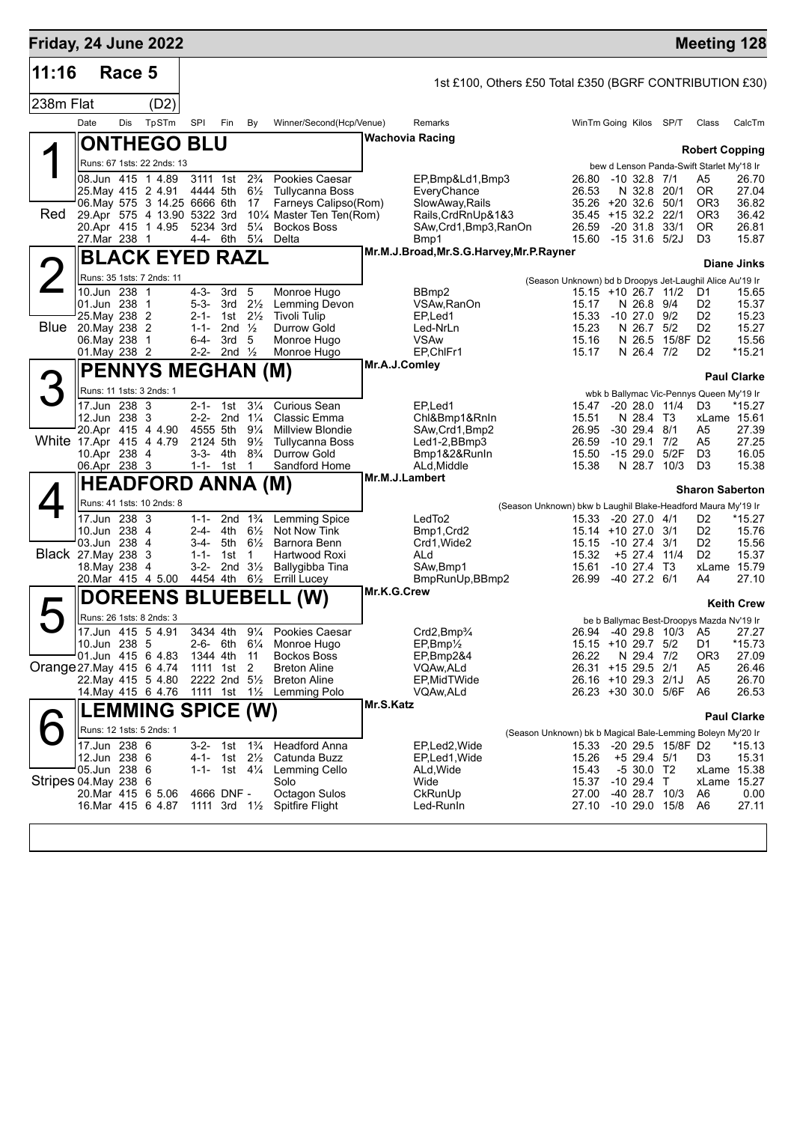| Friday, 24 June 2022     |                                |        |                                                    |                      |                                              |                                      |                                                    |                |                                                         |                                                              |                                            |                                  |                   | <b>Meeting 128</b>                                                 |                    |
|--------------------------|--------------------------------|--------|----------------------------------------------------|----------------------|----------------------------------------------|--------------------------------------|----------------------------------------------------|----------------|---------------------------------------------------------|--------------------------------------------------------------|--------------------------------------------|----------------------------------|-------------------|--------------------------------------------------------------------|--------------------|
| 11:16                    |                                | Race 5 |                                                    |                      |                                              |                                      |                                                    |                | 1st £100, Others £50 Total £350 (BGRF CONTRIBUTION £30) |                                                              |                                            |                                  |                   |                                                                    |                    |
| 238m Flat                |                                |        | (D2)                                               |                      |                                              |                                      |                                                    |                |                                                         |                                                              |                                            |                                  |                   |                                                                    |                    |
|                          | Date                           | Dis    | TpSTm                                              | SPI                  | Fin                                          | By                                   | Winner/Second(Hcp/Venue)                           |                | Remarks                                                 |                                                              | WinTm Going Kilos SP/T                     |                                  |                   | Class                                                              | CalcTm             |
|                          |                                |        | <b>ONTHEGO BLU</b>                                 |                      |                                              |                                      |                                                    |                | <b>Wachovia Racing</b>                                  |                                                              |                                            |                                  |                   |                                                                    |                    |
|                          |                                |        | Runs: 67 1sts: 22 2nds: 13                         |                      |                                              |                                      |                                                    |                |                                                         |                                                              |                                            |                                  |                   | <b>Robert Copping</b><br>bew d Lenson Panda-Swift Starlet My'18 Ir |                    |
|                          |                                |        | 08.Jun 415 1 4.89                                  | 3111 1st             |                                              | $2\frac{3}{4}$                       | Pookies Caesar                                     |                | EP,Bmp&Ld1,Bmp3                                         |                                                              | 26.80 -10 32.8 7/1                         |                                  |                   | A5                                                                 | 26.70              |
|                          |                                |        | 25. May 415 2 4.91<br>06. May 575 3 14.25 6666 6th | 4444 5th             |                                              | $6\frac{1}{2}$<br>17                 | Tullycanna Boss<br>Farneys Calipso(Rom)            |                | EveryChance<br>SlowAway, Rails                          |                                                              | 26.53<br>35.26 +20 32.6 50/1               | N 32.8                           | 20/1              | 0R<br>OR <sub>3</sub>                                              | 27.04<br>36.82     |
| Red                      |                                |        | 29.Apr 575 4 13.90 5322 3rd                        |                      |                                              |                                      | 101⁄4 Master Ten Ten(Rom)                          |                | Rails, CrdRnUp&1&3                                      |                                                              | 35.45 +15 32.2 22/1                        |                                  |                   | OR <sub>3</sub>                                                    | 36.42              |
|                          | 27. Mar 238 1                  |        | 20.Apr 415 1 4.95                                  | 5234 3rd<br>4-4- 6th |                                              | $5\frac{1}{4}$<br>$5\frac{1}{4}$     | <b>Bockos Boss</b><br>Delta                        |                | SAw, Crd1, Bmp3, RanOn<br>Bmp1                          |                                                              | 26.59<br>15.60                             | $-20$ 31.8 33/1<br>$-1531.65/2J$ |                   | <b>OR</b><br>D <sub>3</sub>                                        | 26.81<br>15.87     |
|                          |                                |        |                                                    |                      |                                              |                                      |                                                    |                | Mr.M.J.Broad, Mr.S.G.Harvey, Mr.P.Rayner                |                                                              |                                            |                                  |                   |                                                                    |                    |
|                          |                                |        | <b>BLACK EYED RAZL</b>                             |                      |                                              |                                      |                                                    |                |                                                         |                                                              |                                            |                                  |                   |                                                                    | <b>Diane Jinks</b> |
|                          | 10.Jun 238 1                   |        | Runs: 35 1sts: 7 2nds: 11                          | 4-3-                 | 3rd                                          | 5                                    | Monroe Hugo                                        |                | BBmp2                                                   | (Season Unknown) bd b Droopys Jet-Laughil Alice Au'19 Ir     | 15.15 +10 26.7 11/2                        |                                  |                   | D1                                                                 | 15.65              |
|                          | 01.Jun 238 1                   |        |                                                    | $5 - 3 -$            | $3rd \t 2\frac{1}{2}$                        |                                      | Lemming Devon                                      |                | VSAw, RanOn                                             |                                                              | 15.17                                      | N 26.8 9/4                       |                   | D <sub>2</sub>                                                     | 15.37              |
| Blue                     | 25. May 238 2<br>20. May 238 2 |        |                                                    | $1 - 1 -$            | 2-1- 1st $2\frac{1}{2}$<br>2nd $\frac{1}{2}$ |                                      | <b>Tivoli Tulip</b><br>Durrow Gold                 |                | EP,Led1<br>Led-NrLn                                     |                                                              | 15.33<br>15.23                             | $-10$ 27.0 $9/2$<br>N 26.7 5/2   |                   | D <sub>2</sub><br>D <sub>2</sub>                                   | 15.23<br>15.27     |
|                          | 06. May 238 1                  |        |                                                    | 6-4-                 | 3rd                                          | 5                                    | Monroe Hugo                                        |                | <b>VSAw</b>                                             |                                                              | 15.16                                      |                                  | N 26.5 15/8F D2   |                                                                    | 15.56              |
|                          | 01. May 238 2                  |        |                                                    | $2 - 2 -$            | 2nd $\frac{1}{2}$                            |                                      | Monroe Hugo                                        | Mr.A.J.Comley  | EP.ChlFr1                                               |                                                              | 15.17                                      | N 26.4 7/2                       |                   | D <sub>2</sub>                                                     | *15.21             |
|                          |                                |        | <b>PENNYS MEGHAN (M)</b>                           |                      |                                              |                                      |                                                    |                |                                                         |                                                              |                                            |                                  |                   |                                                                    | <b>Paul Clarke</b> |
|                          |                                |        | Runs: 11 1sts: 3 2nds: 1                           |                      |                                              |                                      |                                                    |                |                                                         |                                                              |                                            |                                  |                   | wbk b Ballymac Vic-Pennys Queen My'19 Ir                           |                    |
|                          | 17.Jun 238 3<br>12.Jun 238 3   |        |                                                    |                      | 2-1- 1st<br>2-2- 2nd $1\frac{1}{4}$          | $3\frac{1}{4}$                       | Curious Sean<br>Classic Emma                       |                | EP.Led1<br>Chl&Bmp1&RnIn                                |                                                              | 15.47<br>15.51                             | $-20$ 28.0 11/4<br>N 28.4 T3     |                   | D <sub>3</sub><br>xLame 15.61                                      | *15.27             |
|                          |                                |        | 20.Apr 415 4 4.90                                  | 4555 5th             |                                              | $9\frac{1}{4}$                       | <b>Millview Blondie</b>                            |                | SAw, Crd1, Bmp2                                         |                                                              | 26.95                                      | $-30$ 29.4 $8/1$                 |                   | A5                                                                 | 27.39              |
| White 17.Apr 415 4 4.79  | 10.Apr 238 4                   |        |                                                    | 2124 5th<br>3-3- 4th |                                              | $9\frac{1}{2}$<br>$8\frac{3}{4}$     | <b>Tullycanna Boss</b><br>Durrow Gold              |                | Led1-2,BBmp3<br>Bmp1&2&RunIn                            |                                                              | 26.59<br>15.50                             | $-10, 29.1$<br>-15 29.0 5/2F     | 7/2               | A5<br>D <sub>3</sub>                                               | 27.25<br>16.05     |
|                          | 06.Apr 238 3                   |        |                                                    | $1 - 1 -$            | 1st                                          | $\mathbf 1$                          | Sandford Home                                      |                | ALd, Middle                                             |                                                              | 15.38                                      | N 28.7                           | 10/3              | D <sub>3</sub>                                                     | 15.38              |
|                          |                                |        | <b>HEADFORD ANNA (M)</b>                           |                      |                                              |                                      |                                                    | Mr.M.J.Lambert |                                                         |                                                              |                                            |                                  |                   | <b>Sharon Saberton</b>                                             |                    |
|                          |                                |        | Runs: 41 1sts: 10 2nds: 8                          |                      |                                              |                                      |                                                    |                |                                                         | (Season Unknown) bkw b Laughil Blake-Headford Maura My'19 Ir |                                            |                                  |                   |                                                                    |                    |
|                          | 17.Jun 238 3                   |        |                                                    | 1-1-                 | 4th                                          | 2nd $1\frac{3}{4}$<br>$6\frac{1}{2}$ | Lemming Spice<br>Not Now Tink                      |                | LedTo <sub>2</sub>                                      |                                                              | 15.33                                      | -20 27.0 4/1                     |                   | D <sub>2</sub>                                                     | *15.27             |
|                          | 10.Jun 238 4<br>03.Jun 238 4   |        |                                                    | 2-4-<br>$3-4-$       | 5th                                          | $6\frac{1}{2}$                       | Barnora Benn                                       |                | Bmp1, Crd2<br>Crd1, Wide2                               |                                                              | 15.14 +10 27.0 3/1<br>15.15                | -10 27.4                         | 3/1               | D <sub>2</sub><br>D <sub>2</sub>                                   | 15.76<br>15.56     |
| Black 27. May 238 3      | 18. May 238 4                  |        |                                                    | $1 - 1 -$<br>$3-2-$  | 1st<br>2nd $3\frac{1}{2}$                    | $\mathbf{1}$                         | Hartwood Roxi<br>Ballygibba Tina                   |                | ALd<br>SAw, Bmp1                                        |                                                              | 15.32<br>15.61                             | +5 27.4 11/4<br>$-10$ 27.4 T3    |                   | D <sub>2</sub><br>xLame 15.79                                      | 15.37              |
|                          |                                |        | 20.Mar 415 4 5.00                                  | 4454 4th             |                                              | $6\frac{1}{2}$                       | <b>Errill Lucey</b>                                |                | BmpRunUp, BBmp2                                         |                                                              | 26.99                                      | -40 27.2 6/1                     |                   | A4                                                                 | 27.10              |
|                          |                                |        | <b>DOREENS</b>                                     | <b>BLUEBELL</b>      |                                              |                                      | (W)                                                | Mr.K.G.Crew    |                                                         |                                                              |                                            |                                  |                   |                                                                    |                    |
|                          |                                |        | Runs: 26 1sts: 8 2nds: 3                           |                      |                                              |                                      |                                                    |                |                                                         |                                                              |                                            |                                  |                   | be b Ballymac Best-Droopys Mazda Nv'19 Ir                          | <b>Keith Crew</b>  |
|                          |                                |        | $17.$ Jun 415 5 4.91                               |                      |                                              |                                      | 3434 4th 91/4 Pookies Caesar                       |                | Crd2, Bmp <sup>3</sup> /4                               |                                                              |                                            |                                  |                   | 26.94 -40 29.8 10/3 A5 27.27                                       |                    |
|                          | 10.Jun 238 5                   |        | 01.Jun 415 6 4.83                                  | 1344 4th 11          |                                              |                                      | 2-6- 6th $6\frac{1}{4}$ Monroe Hugo<br>Bockos Boss |                | $EP, Bmp\frac{1}{2}$<br>EP,Bmp2&4                       |                                                              | 15.15 +10 29.7 5/2<br>26.22                | N 29.4 7/2                       |                   | D1<br>OR3                                                          | *15.73<br>27.09    |
| Orange 27 May 415 6 4.74 |                                |        |                                                    |                      | 1111 1st 2                                   |                                      | <b>Breton Aline</b>                                |                | VQAw, ALd                                               |                                                              | 26.31 +15 29.5 2/1                         |                                  |                   | A5                                                                 | 26.46              |
|                          |                                |        | 22. May 415 5 4.80<br>14. May 415 6 4.76           |                      | 2222 2nd $5\frac{1}{2}$                      |                                      | <b>Breton Aline</b><br>1111 1st 1½ Lemming Polo    |                | EP, MidTWide<br>VQAw, ALd                               |                                                              | 26.16 +10 29.3 2/1J<br>26.23 +30 30.0 5/6F |                                  |                   | A5<br>A6                                                           | 26.70<br>26.53     |
|                          |                                |        | <b>LEMMING SPICE (W)</b>                           |                      |                                              |                                      |                                                    | Mr.S.Katz      |                                                         |                                                              |                                            |                                  |                   |                                                                    |                    |
|                          |                                |        | Runs: 12 1sts: 5 2nds: 1                           |                      |                                              |                                      |                                                    |                |                                                         |                                                              |                                            |                                  |                   |                                                                    | <b>Paul Clarke</b> |
|                          | 17.Jun 238 6                   |        |                                                    |                      | $3-2$ - 1st $1\frac{3}{4}$                   |                                      | <b>Headford Anna</b>                               |                | EP,Led2, Wide                                           | (Season Unknown) bk b Magical Bale-Lemming Boleyn My'20 Ir   | 15.33                                      |                                  | -20 29.5 15/8F D2 |                                                                    | *15.13             |
|                          | 12.Jun 238 6                   |        |                                                    |                      | 4-1- 1st 2½                                  |                                      | Catunda Buzz                                       |                | EP,Led1, Wide                                           |                                                              | 15.26                                      | $+5$ 29.4 $5/1$                  |                   | D3                                                                 | 15.31              |
| Stripes 04. May 238 6    | 05.Jun 238 6                   |        |                                                    |                      |                                              |                                      | 1-1- 1st 41/4 Lemming Cello<br>Solo                |                | ALd, Wide<br>Wide                                       |                                                              | 15.43<br>15.37                             | $-530.0$ T2<br>$-10$ 29.4 T      |                   | xLame 15.38<br>xLame 15.27                                         |                    |
|                          |                                |        | 20.Mar 415 6 5.06                                  |                      | 4666 DNF -                                   |                                      | <b>Octagon Sulos</b>                               |                | CkRunUp                                                 |                                                              | 27.00                                      |                                  | -40 28.7 10/3     | A6                                                                 | 0.00               |
|                          |                                |        |                                                    |                      |                                              |                                      | 16. Mar 415 6 4.87 1111 3rd 11/2 Spitfire Flight   |                | Led-Runin                                               |                                                              | 27.10 -10 29.0 15/8                        |                                  |                   | A6                                                                 | 27.11              |
|                          |                                |        |                                                    |                      |                                              |                                      |                                                    |                |                                                         |                                                              |                                            |                                  |                   |                                                                    |                    |
|                          |                                |        |                                                    |                      |                                              |                                      |                                                    |                |                                                         |                                                              |                                            |                                  |                   |                                                                    |                    |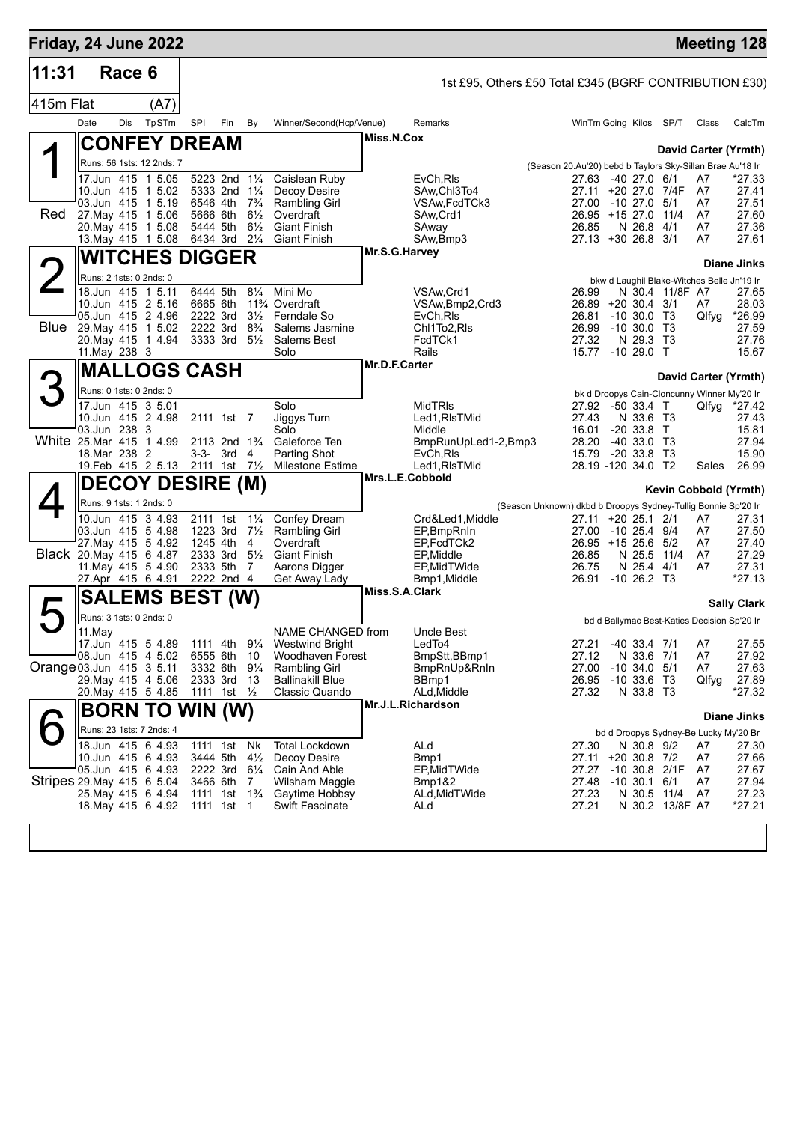| Friday, 24 June 2022     |                                              |        |                                  |                                        |     |                                  |                                                     |                 |                                                        |                                                               |                                   |                 |                                             | <b>Meeting 128</b>    |
|--------------------------|----------------------------------------------|--------|----------------------------------|----------------------------------------|-----|----------------------------------|-----------------------------------------------------|-----------------|--------------------------------------------------------|---------------------------------------------------------------|-----------------------------------|-----------------|---------------------------------------------|-----------------------|
| 11:31                    |                                              | Race 6 |                                  |                                        |     |                                  |                                                     |                 |                                                        |                                                               |                                   |                 |                                             |                       |
| 415m Flat                |                                              |        | (A7)                             |                                        |     |                                  |                                                     |                 | 1st £95, Others £50 Total £345 (BGRF CONTRIBUTION £30) |                                                               |                                   |                 |                                             |                       |
|                          | Date                                         | Dis    | TpSTm                            | SPI                                    | Fin | By                               | Winner/Second(Hcp/Venue)                            |                 | Remarks                                                | WinTm Going Kilos SP/T                                        |                                   |                 | Class                                       | CalcTm                |
|                          |                                              |        |                                  |                                        |     |                                  |                                                     | Miss.N.Cox      |                                                        |                                                               |                                   |                 |                                             |                       |
|                          |                                              |        | <b>CONFEY DREAM</b>              |                                        |     |                                  |                                                     |                 |                                                        |                                                               |                                   |                 |                                             | David Carter (Yrmth)  |
|                          |                                              |        | Runs: 56 1sts: 12 2nds: 7        |                                        |     |                                  |                                                     |                 |                                                        | (Season 20.Au'20) bebd b Taylors Sky-Sillan Brae Au'18 Ir     |                                   |                 |                                             |                       |
|                          | 17.Jun 415 1 5.05<br>10.Jun 415 1 5.02       |        |                                  | 5223 2nd 11/4<br>5333 2nd 11/4         |     |                                  | Caislean Ruby<br>Decoy Desire                       |                 | EvCh, RIs<br>SAw, Chl3To4                              | 27.63<br>27.11                                                | -40 27.0 6/1<br>+20 27.0 7/4F     |                 | A7<br>A7                                    | *27.33<br>27.41       |
|                          | 03.Jun 415 1 5.19                            |        |                                  | 6546 4th 7 <sup>3</sup> / <sub>4</sub> |     |                                  | <b>Rambling Girl</b>                                |                 | VSAw, FcdTCk3                                          | 27.00                                                         | -10 27.0 5/1                      |                 | A7                                          | 27.51                 |
| Red                      | 27 May 415 1 5.06                            |        |                                  | 5666 6th 61/2                          |     |                                  | Overdraft                                           |                 | SAw, Crd1                                              | 26.95 +15 27.0                                                |                                   | 11/4            | A7                                          | 27.60                 |
|                          | 20. May 415 1 5.08<br>13 May 415 1 5.08      |        |                                  | 5444 5th<br>6434 3rd                   |     | $6\frac{1}{2}$<br>$2\frac{1}{4}$ | <b>Giant Finish</b><br><b>Giant Finish</b>          |                 | SAway<br>SAw, Bmp3                                     | 26.85<br>27.13 +30 26.8 3/1                                   | N 26.8 4/1                        |                 | A7<br>A7                                    | 27.36<br>27.61        |
|                          |                                              |        |                                  |                                        |     |                                  |                                                     | Mr.S.G.Harvey   |                                                        |                                                               |                                   |                 |                                             |                       |
|                          |                                              |        | <b>WITCHES DIGGER</b>            |                                        |     |                                  |                                                     |                 |                                                        |                                                               |                                   |                 |                                             | <b>Diane Jinks</b>    |
|                          | Runs: 2 1sts: 0 2nds: 0                      |        |                                  |                                        |     |                                  |                                                     |                 |                                                        |                                                               |                                   |                 | bkw d Laughil Blake-Witches Belle Jn'19 Ir  |                       |
|                          | 18.Jun 415 1 5.11<br>10.Jun 415 2 5.16       |        |                                  | 6444 5th<br>6665 6th                   |     | $8\frac{1}{4}$                   | Mini Mo<br>11 <sup>3</sup> / <sub>4</sub> Overdraft |                 | VSAw.Crd1<br>VSAw, Bmp2, Crd3                          | 26.99<br>26.89 +20 30.4 3/1                                   |                                   | N 30.4 11/8F A7 | A7                                          | 27.65<br>28.03        |
|                          | 05.Jun 415 2 4.96                            |        |                                  | 2222 3rd                               |     |                                  | 3 <sup>1</sup> / <sub>2</sub> Ferndale So           |                 | EvCh, RIs                                              | 26.81                                                         | $-10,30.0$ T <sub>3</sub>         |                 | Qlfyg                                       | *26.99                |
| Blue                     | 29. May 415 1 5.02                           |        |                                  | 2222 3rd 8 <sup>3</sup> / <sub>4</sub> |     |                                  | Salems Jasmine                                      |                 | Chl1To2,RIs                                            | 26.99                                                         | $-10,30.0$ T <sub>3</sub>         |                 |                                             | 27.59                 |
|                          | 20. May 415 1 4.94<br>11. May 238 3          |        |                                  | 3333 3rd 51/2                          |     |                                  | Salems Best<br>Solo                                 |                 | FcdTCk1<br>Rails                                       | 27.32<br>15.77                                                | N 29.3 T3<br>$-1029.0$ T          |                 |                                             | 27.76<br>15.67        |
|                          |                                              |        | <b>MALLOGS CASH</b>              |                                        |     |                                  |                                                     | Mr.D.F.Carter   |                                                        |                                                               |                                   |                 |                                             |                       |
|                          |                                              |        |                                  |                                        |     |                                  |                                                     |                 |                                                        |                                                               |                                   |                 |                                             | David Carter (Yrmth)  |
|                          | Runs: 0 1sts: 0 2nds: 0                      |        |                                  |                                        |     |                                  |                                                     |                 |                                                        |                                                               |                                   |                 | bk d Droopys Cain-Cloncunny Winner My'20 Ir |                       |
|                          | 17.Jun 415 3 5.01<br>10.Jun 415 2 4.98       |        |                                  | 2111 1st 7                             |     |                                  | Solo<br>Jiggys Turn                                 |                 | <b>MidTRIs</b><br>Led1, RIsTMid                        | 27.92<br>27.43                                                | $-50$ 33.4 T<br>N 33.6 T3         |                 |                                             | Qlfyg *27.42<br>27.43 |
|                          | 03.Jun 238 3                                 |        |                                  |                                        |     |                                  | Solo                                                |                 | Middle                                                 | 16.01                                                         | $-20$ 33.8 T                      |                 |                                             | 15.81                 |
|                          | White 25.Mar 415 1 4.99                      |        |                                  | 2113 2nd 1 <sup>3</sup> / <sub>4</sub> |     |                                  | Galeforce Ten                                       |                 | BmpRunUpLed1-2,Bmp3                                    | 28.20                                                         | $-4033.0$ T <sub>3</sub>          |                 |                                             | 27.94                 |
|                          | 18.Mar 238 2                                 |        | 19. Feb 415 2 5.13 2111 1st 71/2 | $3-3-3rd$                              |     | $\overline{4}$                   | <b>Parting Shot</b><br><b>Milestone Estime</b>      |                 | EvCh, RIs<br>Led1, RIsTMid                             | 15.79<br>28.19 -120 34.0 T2                                   | $-20$ 33.8                        | - T3            | Sales                                       | 15.90<br>26.99        |
|                          |                                              |        |                                  |                                        |     |                                  |                                                     | Mrs.L.E.Cobbold |                                                        |                                                               |                                   |                 |                                             |                       |
|                          |                                              |        | <b>DECOY DESIRE (M)</b>          |                                        |     |                                  |                                                     |                 |                                                        |                                                               |                                   |                 |                                             | Kevin Cobbold (Yrmth) |
|                          | Runs: 9 1sts: 1 2nds: 0<br>10.Jun 415 3 4.93 |        |                                  | 2111 1st                               |     | $1\frac{1}{4}$                   |                                                     |                 |                                                        | (Season Unknown) dkbd b Droopys Sydney-Tullig Bonnie Sp'20 Ir |                                   |                 |                                             |                       |
|                          | 03.Jun 415 5 4.98                            |        |                                  | 1223 3rd                               |     | $7\frac{1}{2}$                   | Confey Dream<br>Rambling Girl                       |                 | Crd&Led1, Middle<br>EP, BmpRnIn                        | 27.11 +20 25.1 2/1<br>27.00                                   | -10 25.4 9/4                      |                 | A7<br>A7                                    | 27.31<br>27.50        |
|                          | 27. May 415 5 4.92                           |        |                                  | 1245 4th 4                             |     |                                  | Overdraft                                           |                 | EP FcdTCk2                                             | 26.95 +15 25.6 5/2                                            |                                   |                 | A7                                          | 27.40                 |
|                          | Black 20. May 415 6 4.87                     |        |                                  | 2333 5th 7                             |     |                                  | 2333 3rd 51/2 Giant Finish<br>Aarons Digger         |                 | EP, Middle                                             | 26.85                                                         | N 25.5 11/4                       |                 | A7                                          | 27.29<br>27.31        |
|                          | 11 May 415 5 4.90<br>27.Apr 415 6 4.91       |        |                                  | 2222 2nd 4                             |     |                                  | Get Away Lady                                       |                 | EP, MidTWide<br>Bmp1, Middle                           | 26.75<br>26.91                                                | N 25.4 4/1<br>$-10, 26.2, 13$     |                 | A7                                          | $*27.13$              |
|                          |                                              |        | <b>SALEMS BEST (W)</b>           |                                        |     |                                  |                                                     | Miss.S.A.Clark  |                                                        |                                                               |                                   |                 |                                             |                       |
|                          |                                              |        |                                  |                                        |     |                                  |                                                     |                 |                                                        |                                                               |                                   |                 |                                             | <b>Sally Clark</b>    |
| $\blacktriangleright$    | Runs: 3 1sts: 0 2nds: 0<br>11.May            |        |                                  |                                        |     |                                  | NAME CHANGED from                                   |                 | Uncle Best                                             |                                                               |                                   |                 | bd d Ballymac Best-Katies Decision Sp'20 Ir |                       |
|                          | 17.Jun 415 5 4.89                            |        |                                  | 1111 4th 91/4                          |     |                                  | <b>Westwind Bright</b>                              |                 | LedTo4                                                 | 27.21                                                         | $-40$ 33.4 $7/1$                  |                 | A7                                          | 27.55                 |
|                          | 08.Jun 415 4 5.02                            |        |                                  | 6555 6th                               |     | 10                               | Woodhaven Forest                                    |                 | BmpStt,BBmp1                                           | 27.12                                                         | N 33.6 7/1                        |                 | A7                                          | 27.92                 |
| Orange 03.Jun 415 3 5.11 | 29. May 415 4 5.06                           |        |                                  | 3332 6th 91/4<br>2333 3rd 13           |     |                                  | <b>Rambling Girl</b><br><b>Ballinakill Blue</b>     |                 | BmpRnUp&RnIn<br>BBmp1                                  | 27.00<br>26.95                                                | $-10$ 34.0 $5/1$<br>$-10$ 33.6 T3 |                 | A7<br>Qlfyg                                 | 27.63<br>27.89        |
|                          | 20. May 415 5 4.85                           |        |                                  | 1111 1st 1/ <sub>2</sub>               |     |                                  | Classic Quando                                      |                 | ALd, Middle                                            | 27.32                                                         | N 33.8 T3                         |                 |                                             | *27.32                |
|                          |                                              |        | <b>BORN TO WIN (W)</b>           |                                        |     |                                  |                                                     |                 | Mr.J.L.Richardson                                      |                                                               |                                   |                 |                                             |                       |
|                          | Runs: 23 1sts: 7 2nds: 4                     |        |                                  |                                        |     |                                  |                                                     |                 |                                                        |                                                               |                                   |                 |                                             | <b>Diane Jinks</b>    |
|                          | 18.Jun 415 6 4.93                            |        |                                  | 1111 1st                               |     | Nk                               | <b>Total Lockdown</b>                               |                 | ALd                                                    | 27.30                                                         | N 30.8 9/2                        |                 | bd d Droopys Sydney-Be Lucky My'20 Br<br>A7 | 27.30                 |
|                          | 10.Jun 415 6 4.93                            |        |                                  | 3444 5th                               |     | $4\frac{1}{2}$                   | Decoy Desire                                        |                 | Bmp1                                                   | 27.11                                                         | $+20$ 30.8 7/2                    |                 | A7                                          | 27.66                 |
|                          | 05.Jun 415 6 4.93                            |        |                                  | 2222 3rd 61/4                          |     |                                  | Cain And Able                                       |                 | EP, MidTWide                                           | 27.27                                                         |                                   | $-10$ 30.8 2/1F | A7                                          | 27.67                 |
|                          | Stripes 29 May 415 6 5 04                    |        |                                  | 3466 6th 7                             |     |                                  | Wilsham Maggie                                      |                 | <b>Bmp1&amp;2</b>                                      | 27.48 -10 30.1 6/1                                            |                                   |                 | A7                                          | 27.94                 |

29.May 415 6 5.04 3466 6th 7 Wilsham Maggie Bmp1&2 27.48 -10 30.1 6/1 A7 27.94 25.May 415 6 4.94 1111 1st 1¾ Gaytime Hobbsy ALd,MidTWide 27.23 N 30.5 11/4 A7 27.23 18.May 415 6 4.92 1111 1st 1 Swift Fascinate ALd 27.21 N 30.2 13/8F A7 \*27.21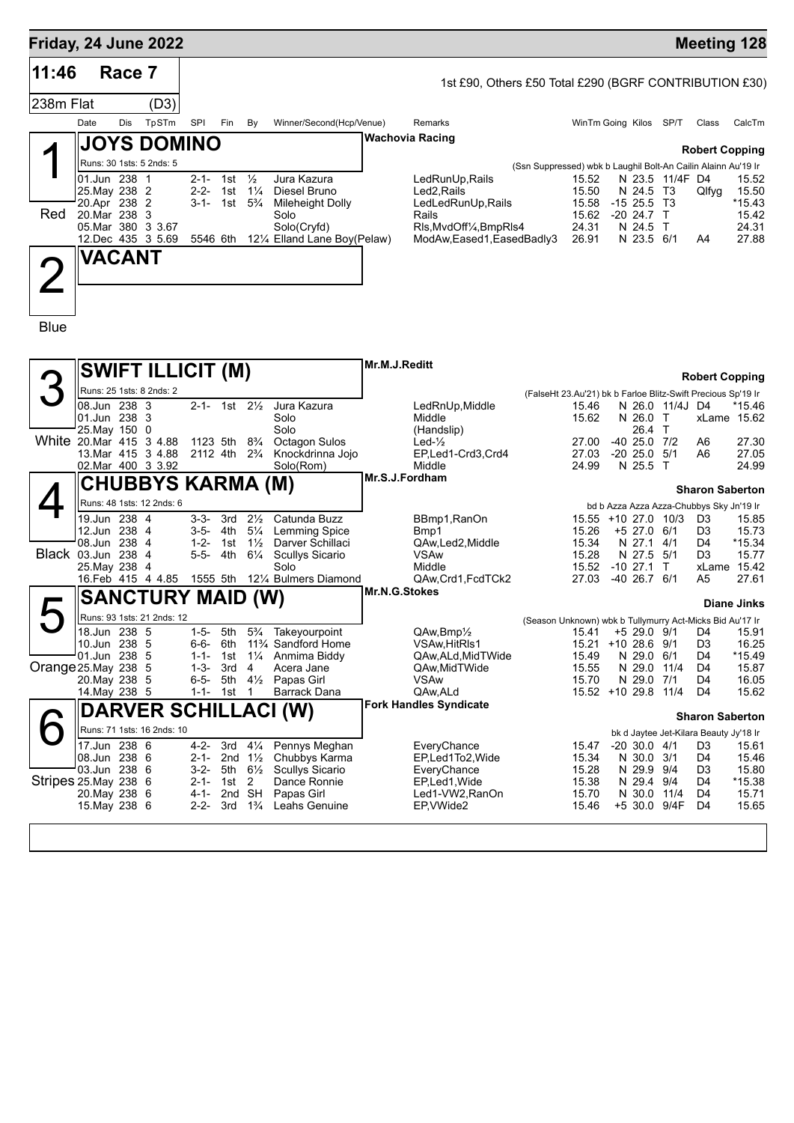| Friday, 24 June 2022  |                                        |        |                            |                        |                                                  |                |                                             |                |                                                        |                                                               |                         |                          |                         |                                                                    | <b>Meeting 128</b>    |
|-----------------------|----------------------------------------|--------|----------------------------|------------------------|--------------------------------------------------|----------------|---------------------------------------------|----------------|--------------------------------------------------------|---------------------------------------------------------------|-------------------------|--------------------------|-------------------------|--------------------------------------------------------------------|-----------------------|
| 11:46                 |                                        | Race 7 |                            |                        |                                                  |                |                                             |                | 1st £90, Others £50 Total £290 (BGRF CONTRIBUTION £30) |                                                               |                         |                          |                         |                                                                    |                       |
| 238m Flat             |                                        |        | (D3)                       |                        |                                                  |                |                                             |                |                                                        |                                                               |                         |                          |                         |                                                                    |                       |
|                       | Date                                   | Dis    | TpSTm                      | SPI                    | Fin                                              | By             | Winner/Second(Hcp/Venue)                    |                | Remarks                                                |                                                               | WinTm Going Kilos SP/T  |                          |                         | Class                                                              | CalcTm                |
|                       |                                        |        | <b>JOYS DOMINO</b>         |                        |                                                  |                |                                             |                | <b>Wachovia Racing</b>                                 |                                                               |                         |                          |                         |                                                                    |                       |
|                       | Runs: 30 1sts: 5 2nds: 5               |        |                            |                        |                                                  |                |                                             |                |                                                        | (Ssn Suppressed) wbk b Laughil Bolt-An Cailin Alainn Au'19 Ir |                         |                          |                         | <b>Robert Copping</b>                                              |                       |
|                       | 01.Jun 238 1<br>25. May 238 2          |        |                            | $2 - 2 -$              | 2-1- 1st<br>1st 1¼                               | $\frac{1}{2}$  | Jura Kazura<br>Diesel Bruno                 |                | LedRunUp, Rails<br>Led2,Rails                          |                                                               | 15.52<br>15.50          | N 24.5                   | N 23.5 11/4F D4<br>- T3 | Qlfyg                                                              | 15.52<br>15.50        |
|                       | 20.Apr 238                             |        | 2                          |                        | $3-1 - 1$ st $5\frac{3}{4}$                      |                | <b>Mileheight Dolly</b>                     |                | LedLedRunUp, Rails                                     |                                                               | 15.58                   | $-1525.5$                | -T3                     |                                                                    | *15.43                |
| Red                   | 20. Mar 238 3<br>05.Mar 380 3 3.67     |        |                            |                        |                                                  |                | Solo<br>Solo(Cryfd)                         |                | Rails<br>RIs, MvdOff <sup>1/4</sup> , BmpRIs4          |                                                               | 15.62<br>24.31          | $-20$ 24.7 T<br>N 24.5   | $\top$                  |                                                                    | 15.42<br>24.31        |
|                       | 12.Dec 435 3 5.69                      |        |                            | 5546 6th               |                                                  |                | 121/4 Elland Lane Boy(Pelaw)                |                | ModAw, Eased 1, Eased Badly 3                          |                                                               | 26.91                   | N 23.5 6/1               |                         | A4                                                                 | 27.88                 |
|                       | VACANT                                 |        |                            |                        |                                                  |                |                                             |                |                                                        |                                                               |                         |                          |                         |                                                                    |                       |
|                       |                                        |        |                            |                        |                                                  |                |                                             |                |                                                        |                                                               |                         |                          |                         |                                                                    |                       |
|                       |                                        |        |                            |                        |                                                  |                |                                             |                |                                                        |                                                               |                         |                          |                         |                                                                    |                       |
| <b>Blue</b>           |                                        |        |                            |                        |                                                  |                |                                             |                |                                                        |                                                               |                         |                          |                         |                                                                    |                       |
|                       |                                        |        |                            |                        |                                                  |                |                                             |                |                                                        |                                                               |                         |                          |                         |                                                                    |                       |
|                       |                                        |        | <b>SWIFT ILLICIT (M)</b>   |                        |                                                  |                |                                             | Mr.M.J.Reditt  |                                                        |                                                               |                         |                          |                         | <b>Robert Copping</b>                                              |                       |
|                       | Runs: 25 1sts: 8 2nds: 2               |        |                            |                        |                                                  |                |                                             |                |                                                        | (FalseHt 23.Au'21) bk b Farloe Blitz-Swift Precious Sp'19 Ir  |                         |                          |                         |                                                                    |                       |
|                       | 08.Jun 238 3<br>01.Jun 238 3           |        |                            |                        | 2-1- 1st $2\frac{1}{2}$                          |                | Jura Kazura<br>Solo                         |                | LedRnUp, Middle<br>Middle                              |                                                               | 15.46<br>15.62          | N 26.0 T                 | N 26.0 11/4J D4         |                                                                    | *15.46<br>xLame 15.62 |
|                       | 25. May 150<br>White 20 Mar 415 3 4.88 |        | 0                          |                        | 1123 5th                                         | $8\frac{3}{4}$ | Solo<br><b>Octagon Sulos</b>                |                | (Handslip)<br>Led- $\frac{1}{2}$                       |                                                               | 27.00                   | 26.4<br>$-4025.0$        | $\top$<br>7/2           | A6                                                                 | 27.30                 |
|                       | 13. Mar 415 3 4.88                     |        |                            |                        | 2112 4th 2 <sup>3</sup> / <sub>4</sub>           |                | Knockdrinna Jojo                            |                | EP,Led1-Crd3,Crd4<br>Middle                            |                                                               | 27.03<br>24.99          | $-2025.0$<br>N 25.5 T    | 5/1                     | A6                                                                 | 27.05                 |
|                       | 02. Mar 400 3 3.92                     |        | CHUBBYS KARMA (M)          |                        |                                                  |                | Solo(Rom)                                   | Mr.S.J.Fordham |                                                        |                                                               |                         |                          |                         |                                                                    | 24.99                 |
|                       |                                        |        | Runs: 48 1sts: 12 2nds: 6  |                        |                                                  |                |                                             |                |                                                        |                                                               |                         |                          |                         | <b>Sharon Saberton</b><br>bd b Azza Azza Azza-Chubbys Sky Jn'19 Ir |                       |
|                       | 19.Jun 238 4                           |        |                            | 3-3-                   | 3rd                                              | $2\frac{1}{2}$ | Catunda Buzz                                |                | BBmp1, RanOn                                           |                                                               | 15.55 +10 27.0 10/3     |                          |                         | D <sub>3</sub>                                                     | 15.85                 |
|                       | 12.Jun 238 4<br>08.Jun 238             |        | -4                         | $1 - 2 -$              | 3-5- 4th<br>1st 1½                               | $5\frac{1}{4}$ | <b>Lemming Spice</b><br>Darver Schillaci    |                | Bmp1<br>QAw,Led2,Middle                                |                                                               | 15.26<br>15.34          | +5 27.0 6/1<br>N 27.1    | 4/1                     | D3<br>D4                                                           | 15.73<br>*15.34       |
|                       | Black 03.Jun 238<br>25. May 238        |        | 4<br>-4                    | $5 - 5 -$              | 4th                                              | $6\frac{1}{4}$ | <b>Scullys Sicario</b><br>Solo              |                | <b>VSAw</b><br>Middle                                  |                                                               | 15.28<br>15.52          | N 27.5<br>$-1027.1$      | 5/1<br>$\top$           | D3                                                                 | 15.77<br>xLame 15.42  |
|                       | 16. Feb 415 4 4.85                     |        |                            |                        | 1555 5th                                         |                | 121/4 Bulmers Diamond                       |                | QAw,Crd1,FcdTCk2                                       |                                                               | 27.03                   | $-40$ 26.7 $6/1$         |                         | A5                                                                 | 27.61                 |
|                       |                                        |        | <b>SANCTURY MAID (W)</b>   |                        |                                                  |                |                                             | Mr.N.G.Stokes  |                                                        |                                                               |                         |                          |                         |                                                                    | <b>Diane Jinks</b>    |
|                       |                                        |        | Runs: 93 1sts: 21 2nds: 12 |                        |                                                  |                |                                             |                |                                                        | (Season Unknown) wbk b Tullymurry Act-Micks Bid Au'17 Ir      |                         |                          |                         |                                                                    |                       |
|                       | 18.Jun 238 5<br>10.Jun 238 5           |        |                            | $1 - 5 -$<br>6-6-      | 5th<br>6th                                       | $5\frac{3}{4}$ | Takeyourpoint<br>11% Sandford Home          |                | QAw, Bmp <sup>1/2</sup><br>VSAw, HitRIs1               |                                                               | 15.41<br>15.21 +10 28.6 | +5 29.0 9/1              | 9/1                     | D <sub>4</sub><br>D3                                               | 15.91<br>16.25        |
| Orange 25. May 238    | 01.Jun 238 5                           |        | - 5                        | $1 - 1 -$<br>$1 - 3 -$ | 1st<br>3rd                                       | $\overline{4}$ | 11/4 Anmima Biddy<br>Acera Jane             |                | QAw, ALd, MidTWide<br>QAw, Mid TWide                   |                                                               | 15.49<br>15.55          | N 29.0 6/1<br>N 29.0     | 11/4                    | D4<br>D4                                                           | *15.49<br>15.87       |
|                       | 20. May 238 5                          |        |                            | $6 - 5 -$              |                                                  |                | 5th 41/ <sub>2</sub> Papas Girl             |                | VSAw                                                   |                                                               | 15.70                   | N 29.0 7/1               |                         | D4                                                                 | 16.05                 |
|                       | 14. May 238 5                          |        |                            | $1 - 1 -$              | 1st                                              | $\overline{1}$ | Barrack Dana<br><b>DARVER SCHILLACI (W)</b> |                | QAw, ALd<br><b>Fork Handles Syndicate</b>              |                                                               | 15.52 +10 29.8 11/4     |                          |                         | D <sub>4</sub>                                                     | 15.62                 |
|                       |                                        |        | Runs: 71 1sts: 16 2nds: 10 |                        |                                                  |                |                                             |                |                                                        |                                                               |                         |                          |                         | <b>Sharon Saberton</b>                                             |                       |
|                       | 17.Jun 238                             |        | 6                          | $4 - 2 -$              | 3rd                                              | $4\frac{1}{4}$ | Pennys Meghan                               |                | EveryChance                                            |                                                               | 15.47                   | $-20, 30.0, 4/1$         |                         | bk d Jaytee Jet-Kilara Beauty Jy'18 Ir<br>D3                       | 15.61                 |
|                       | 08.Jun 238 6<br>03.Jun 238 6           |        |                            | 2-1-                   | 2nd $1\frac{1}{2}$<br>$3-2$ - 5th $6\frac{1}{2}$ |                | Chubbys Karma<br><b>Scullys Sicario</b>     |                | EP,Led1To2,Wide<br>EveryChance                         |                                                               | 15.34<br>15.28          | N 30.0 3/1<br>N 29.9 9/4 |                         | D4<br>D3                                                           | 15.46<br>15.80        |
| Stripes 25. May 238 6 |                                        |        |                            | 2-1-                   | 1st                                              | 2              | Dance Ronnie                                |                | EP,Led1, Wide                                          |                                                               | 15.38                   | N 29.4 9/4               |                         | D4                                                                 | $*15.38$              |
|                       | 20. May 238 6<br>15. May 238 6         |        |                            | 4-1-<br>$2 - 2 -$      | 2nd SH<br>3rd                                    | $1\frac{3}{4}$ | Papas Girl<br>Leahs Genuine                 |                | Led1-VW2, RanOn<br>EP, VWide2                          |                                                               | 15.70<br>15.46          | N 30.0 11/4              | +5 30.0 9/4F            | D4<br>D4                                                           | 15.71<br>15.65        |
|                       |                                        |        |                            |                        |                                                  |                |                                             |                |                                                        |                                                               |                         |                          |                         |                                                                    |                       |
|                       |                                        |        |                            |                        |                                                  |                |                                             |                |                                                        |                                                               |                         |                          |                         |                                                                    |                       |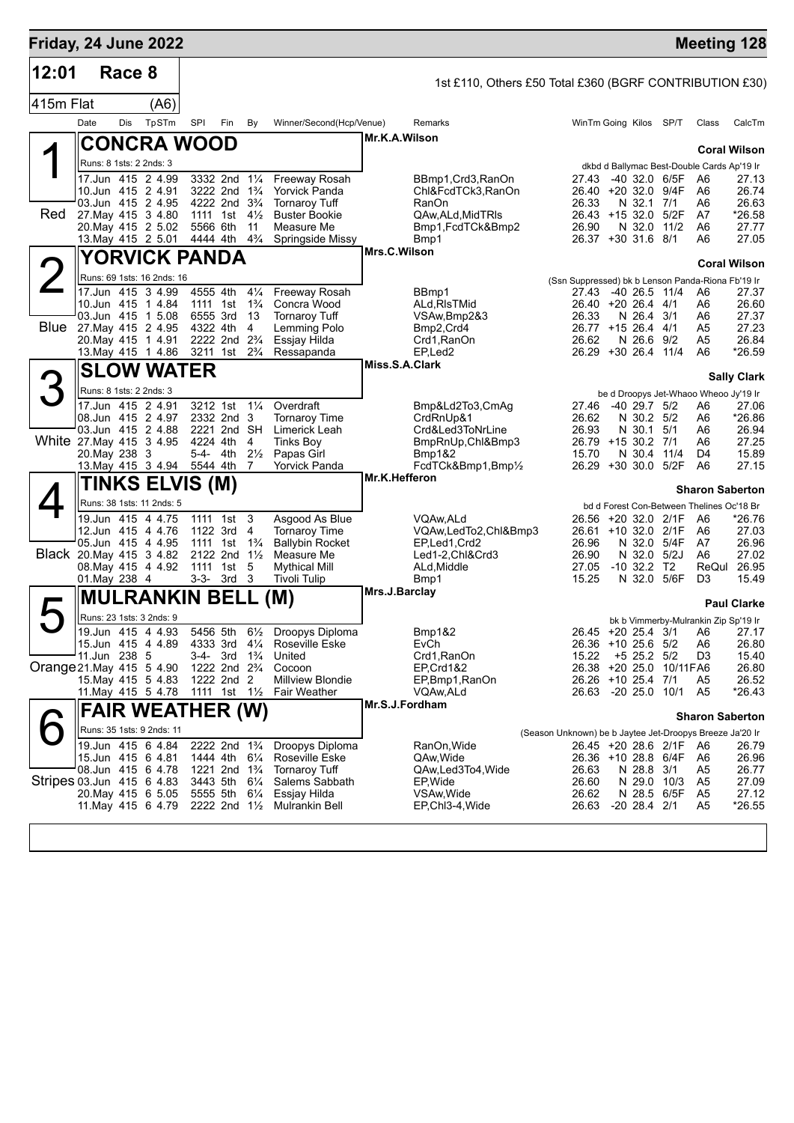|           | Friday, 24 June 2022                           |     |       |                                                         |     |                                  |                                                               |                |                                                         |                                                          |  |                                          |                            | <b>Meeting 128</b>                               |                     |
|-----------|------------------------------------------------|-----|-------|---------------------------------------------------------|-----|----------------------------------|---------------------------------------------------------------|----------------|---------------------------------------------------------|----------------------------------------------------------|--|------------------------------------------|----------------------------|--------------------------------------------------|---------------------|
| 12:01     | Race 8                                         |     |       |                                                         |     |                                  |                                                               |                | 1st £110, Others £50 Total £360 (BGRF CONTRIBUTION £30) |                                                          |  |                                          |                            |                                                  |                     |
| 415m Flat |                                                |     | (A6)  |                                                         |     |                                  |                                                               |                |                                                         |                                                          |  |                                          |                            |                                                  |                     |
|           | Date                                           | Dis | TpSTm | SPI                                                     | Fin | By                               | Winner/Second(Hcp/Venue)                                      |                | Remarks                                                 |                                                          |  | WinTm Going Kilos SP/T                   |                            | Class                                            | CalcTm              |
|           | <b>CONCRA WOOD</b>                             |     |       |                                                         |     |                                  |                                                               | Mr.K.A.Wilson  |                                                         |                                                          |  |                                          |                            |                                                  |                     |
|           | Runs: 8 1sts: 2 2nds: 3                        |     |       |                                                         |     |                                  |                                                               |                |                                                         |                                                          |  |                                          |                            |                                                  | <b>Coral Wilson</b> |
|           | 17.Jun 415 2 4.99                              |     |       | 3332 2nd                                                |     | $1\frac{1}{4}$                   | Freeway Rosah                                                 |                | BBmp1, Crd3, RanOn                                      | 27.43                                                    |  |                                          | -40 32.0 6/5F              | dkbd d Ballymac Best-Double Cards Ap'19 Ir<br>A6 | 27.13               |
|           | 10.Jun 415 2 4.91                              |     |       | 3222 2nd 1 <sup>3</sup> / <sub>4</sub>                  |     |                                  | <b>Yorvick Panda</b>                                          |                | Chl&FcdTCk3,RanOn                                       |                                                          |  |                                          | 26.40 +20 32.0 9/4F        | A6                                               | 26.74               |
| Red       | 03.Jun 415 2 4.95<br>27 May 415 3 4.80         |     |       | 4222 2nd 3 <sup>3</sup> / <sub>4</sub><br>1111 1st      |     | $4\frac{1}{2}$                   | <b>Tornarov Tuff</b><br><b>Buster Bookie</b>                  |                | RanOn<br>QAw, ALd, MidTRIs                              | 26.33                                                    |  | N 32.1                                   | 7/1<br>26.43 +15 32.0 5/2F | A6<br>A7                                         | 26.63<br>*26.58     |
|           | 20. May 415 2 5.02                             |     |       | 5566 6th                                                |     | 11                               | Measure Me                                                    |                | Bmp1,FcdTCk&Bmp2                                        | 26.90                                                    |  |                                          | N 32.0 11/2                | A6                                               | 27.77               |
|           | 13. May 415 2 5.01                             |     |       | 4444 4th                                                |     | $4\frac{3}{4}$                   | Springside Missy                                              |                | Bmp1                                                    |                                                          |  | 26.37 +30 31.6 8/1                       |                            | A6                                               | 27.05               |
|           | YORVICK PANDA                                  |     |       |                                                         |     |                                  |                                                               | Mrs.C.Wilson   |                                                         |                                                          |  |                                          |                            |                                                  | <b>Coral Wilson</b> |
|           | Runs: 69 1sts: 16 2nds: 16                     |     |       |                                                         |     |                                  |                                                               |                |                                                         | (Ssn Suppressed) bk b Lenson Panda-Riona Fb'19 Ir        |  |                                          |                            |                                                  |                     |
|           | 17.Jun 415 3 4.99<br>10.Jun 415 1 4.84         |     |       | 4555 4th                                                |     | $4\frac{1}{4}$<br>$1\frac{3}{4}$ | Freeway Rosah                                                 |                | BB <sub>mp1</sub>                                       | 27.43                                                    |  | -40 26.5 11/4                            |                            | A6                                               | 27.37               |
|           | 03.Jun 415 1 5.08                              |     |       | 1111 1st<br>6555 3rd                                    |     | 13                               | Concra Wood<br><b>Tornaroy Tuff</b>                           |                | ALd, RIsTMid<br>VSAw,Bmp2&3                             | 26.33                                                    |  | 26.40 +20 26.4<br>N 26.4                 | 4/1<br>3/1                 | A6<br>A6                                         | 26.60<br>27.37      |
| Blue      | 27. May 415 2 4.95                             |     |       | 4322 4th                                                |     | 4                                | Lemming Polo                                                  |                | Bmp2, Crd4                                              |                                                          |  | 26.77 +15 26.4                           | 4/1                        | A5                                               | 27.23               |
|           | 20. May 415 1 4.91<br>13. May 415 1 4.86       |     |       | 2222 2nd<br>3211 1st                                    |     | $2\frac{3}{4}$<br>$2\frac{3}{4}$ | Essjay Hilda<br>Ressapanda                                    |                | Crd1, RanOn<br>EP,Led2                                  | 26.62                                                    |  | N 26.6<br>26.29 +30 26.4 11/4            | 9/2                        | A <sub>5</sub><br>A6                             | 26.84<br>*26.59     |
|           | <b>SLOW WATER</b>                              |     |       |                                                         |     |                                  |                                                               | Miss.S.A.Clark |                                                         |                                                          |  |                                          |                            |                                                  |                     |
|           |                                                |     |       |                                                         |     |                                  |                                                               |                |                                                         |                                                          |  |                                          |                            |                                                  | <b>Sally Clark</b>  |
|           | Runs: 8 1sts: 2 2nds: 3<br>17.Jun 415 2 4.91   |     |       | 3212 1st                                                |     | $1\frac{1}{4}$                   | Overdraft                                                     |                |                                                         | 27.46                                                    |  |                                          |                            | be d Droopys Jet-Whaoo Wheoo Jy'19 Ir            |                     |
|           | 08.Jun 415 2 4.97                              |     |       | 2332 2nd 3                                              |     |                                  | <b>Tornaroy Time</b>                                          |                | Bmp&Ld2To3,CmAg<br>CrdRnUp&1                            | 26.62                                                    |  | -40 29.7 5/2<br>N 30.2 5/2               |                            | A6<br>A6                                         | 27.06<br>*26.86     |
|           | 03.Jun 415 2 4.88                              |     |       | 2221 2nd SH                                             |     |                                  | Limerick Leah                                                 |                | Crd&Led3ToNrLine                                        | 26.93                                                    |  | N 30.1                                   | 5/1                        | A6                                               | 26.94               |
|           | White 27. May 415 3 4.95<br>20. May 238 3      |     |       | 4224 4th<br>5-4- 4th                                    |     | 4<br>$2\frac{1}{2}$              | <b>Tinks Boy</b><br>Papas Girl                                |                | BmpRnUp, Chl&Bmp3<br>Bmp1&2                             | 15.70                                                    |  | 26.79 +15 30.2 7/1<br>N 30.4             | 11/4                       | A6<br>D <sub>4</sub>                             | 27.25<br>15.89      |
|           | 13 May 415 3 4.94                              |     |       | 5544 4th                                                |     | 7                                | Yorvick Panda                                                 |                | FcdTCk&Bmp1,Bmp1/2                                      |                                                          |  |                                          | 26.29 +30 30.0 5/2F        | A6                                               | 27.15               |
|           | <b>TINKS ELVIS (M)</b>                         |     |       |                                                         |     |                                  |                                                               | Mr.K.Hefferon  |                                                         |                                                          |  |                                          |                            | <b>Sharon Saberton</b>                           |                     |
|           | Runs: 38 1sts: 11 2nds: 5                      |     |       |                                                         |     |                                  |                                                               |                |                                                         |                                                          |  |                                          |                            | bd d Forest Con-Between Thelines Oc'18 Br        |                     |
|           | 19.Jun 415 4 4.75                              |     |       | 1111 1st                                                |     | 3                                | Asgood As Blue                                                |                | VQAw,ALd                                                |                                                          |  |                                          | 26.56 +20 32.0 2/1F        | A6                                               | *26.76              |
|           | 12.Jun 415 4 4.76                              |     |       | 1122 3rd                                                |     | 4                                | <b>Tornaroy Time</b>                                          |                | VQAw,LedTo2,Chl&Bmp3                                    |                                                          |  |                                          | 26.61 +10 32.0 2/1F        | A6                                               | 27.03               |
|           | 05.Jun 415 4 4.95<br>Black 20. May 415 3 4.82  |     |       | 1111 1st<br>$2122$ 2nd $1\frac{1}{2}$                   |     | $1\frac{3}{4}$                   | <b>Ballybin Rocket</b><br>Measure Me                          |                | EP,Led1,Crd2<br>Led1-2, Chl&Crd3                        | 26.96<br>26.90                                           |  |                                          | N 32.0 5/4F<br>N 32.0 5/2J | A7<br>A6                                         | 26.96<br>27.02      |
|           | 08. May 415 4 4.92                             |     |       | 1111 1st                                                |     | 5                                | <b>Mythical Mill</b>                                          |                | ALd, Middle                                             | 27.05                                                    |  | $-10.32.2$                               | T <sub>2</sub>             | ReQul                                            | 26.95               |
|           | 01. May 238 4                                  |     |       | $3-3-3rd$ 3                                             |     |                                  | <b>Tivoli Tulip</b>                                           | Mrs.J.Barclay  | Bmp1                                                    | 15.25                                                    |  |                                          | N 32.0 5/6F                | D3                                               | 15.49               |
|           | <b>MULRANKIN BELL</b>                          |     |       |                                                         |     |                                  | (M)                                                           |                |                                                         |                                                          |  |                                          |                            |                                                  | <b>Paul Clarke</b>  |
|           | Runs: 23 1sts: 3 2nds: 9                       |     |       |                                                         |     |                                  |                                                               |                |                                                         |                                                          |  |                                          |                            | bk b Vimmerby-Mulrankin Zip Sp'19 Ir             |                     |
|           | 19.Jun 415 4 4.93<br>15.Jun 415 4 4.89         |     |       |                                                         |     |                                  | 5456 5th 61/2 Droopys Diploma<br>4333 3rd 41/4 Roseville Eske |                | Bmp1&2<br>EvCh                                          |                                                          |  | 26.45 +20 25.4 3/1<br>26.36 +10 25.6 5/2 |                            | A6<br>A6                                         | 27.17<br>26.80      |
|           | 11.Jun 238 5                                   |     |       | 3-4- 3rd                                                |     | $1\frac{3}{4}$                   | United                                                        |                | Crd1, RanOn                                             | 15.22                                                    |  | $+5$ 25.2 $5/2$                          |                            | D <sub>3</sub>                                   | 15.40               |
|           | Orange 21. May 415 5 4.90                      |     |       | 1222 2nd 2 <sup>3</sup> / <sub>4</sub>                  |     |                                  | Cocoon                                                        |                | EP, Crd1&2                                              |                                                          |  |                                          | 26.38 +20 25.0 10/11FA6    |                                                  | 26.80               |
|           | 15. May 415 5 4.83<br>11 May 415 5 4.78        |     |       | 1222 2nd 2<br>1111 1st 1½                               |     |                                  | <b>Millview Blondie</b><br><b>Fair Weather</b>                |                | EP, Bmp1, RanOn<br>VQAw,ALd                             |                                                          |  | 26.26 +10 25.4 7/1                       | 26.63 -20 25.0 10/1        | A5<br>A <sub>5</sub>                             | 26.52<br>*26.43     |
|           | <b>FAIR WEATHER (W)</b>                        |     |       |                                                         |     |                                  |                                                               | Mr.S.J.Fordham |                                                         |                                                          |  |                                          |                            |                                                  |                     |
|           | Runs: 35 1sts: 9 2nds: 11                      |     |       |                                                         |     |                                  |                                                               |                |                                                         |                                                          |  |                                          |                            | <b>Sharon Saberton</b>                           |                     |
|           | 19.Jun 415 6 4.84                              |     |       | 2222 2nd 1 <sup>3</sup> / <sub>4</sub>                  |     |                                  | Droopys Diploma                                               |                | RanOn, Wide                                             | (Season Unknown) be b Jaytee Jet-Droopys Breeze Ja'20 Ir |  |                                          | 26.45 +20 28.6 2/1F        | - A6                                             | 26.79               |
|           | 15 Jun 415 6 4.81                              |     |       | 1444 4th 61/4                                           |     |                                  | Roseville Eske                                                |                | QAw,Wide                                                |                                                          |  |                                          | 26.36 +10 28.8 6/4F        | A6                                               | 26.96               |
|           | 08.Jun 415 6 4.78<br>Stripes 03.Jun 415 6 4.83 |     |       | 1221 2nd 1 <sup>3</sup> / <sub>4</sub><br>3443 5th 61/4 |     |                                  | <b>Tornaroy Tuff</b><br>Salems Sabbath                        |                | QAw,Led3To4,Wide<br>EP, Wide                            | 26.63<br>26.60                                           |  | N 28.8 3/1                               | N 29.0 10/3                | A5<br>A5                                         | 26.77<br>27.09      |
|           | 20. May 415 6 5.05                             |     |       | 5555 5th 61/4                                           |     |                                  | Essjay Hilda                                                  |                | VSAw, Wide                                              | 26.62                                                    |  |                                          | N 28.5 6/5F                | A <sub>5</sub>                                   | 27.12               |
|           | 11 May 415 6 4.79                              |     |       | 2222 2nd 1½                                             |     |                                  | Mulrankin Bell                                                |                | EP,Chl3-4,Wide                                          | 26.63                                                    |  | $-20$ 28.4 $2/1$                         |                            | A5                                               | *26.55              |
|           |                                                |     |       |                                                         |     |                                  |                                                               |                |                                                         |                                                          |  |                                          |                            |                                                  |                     |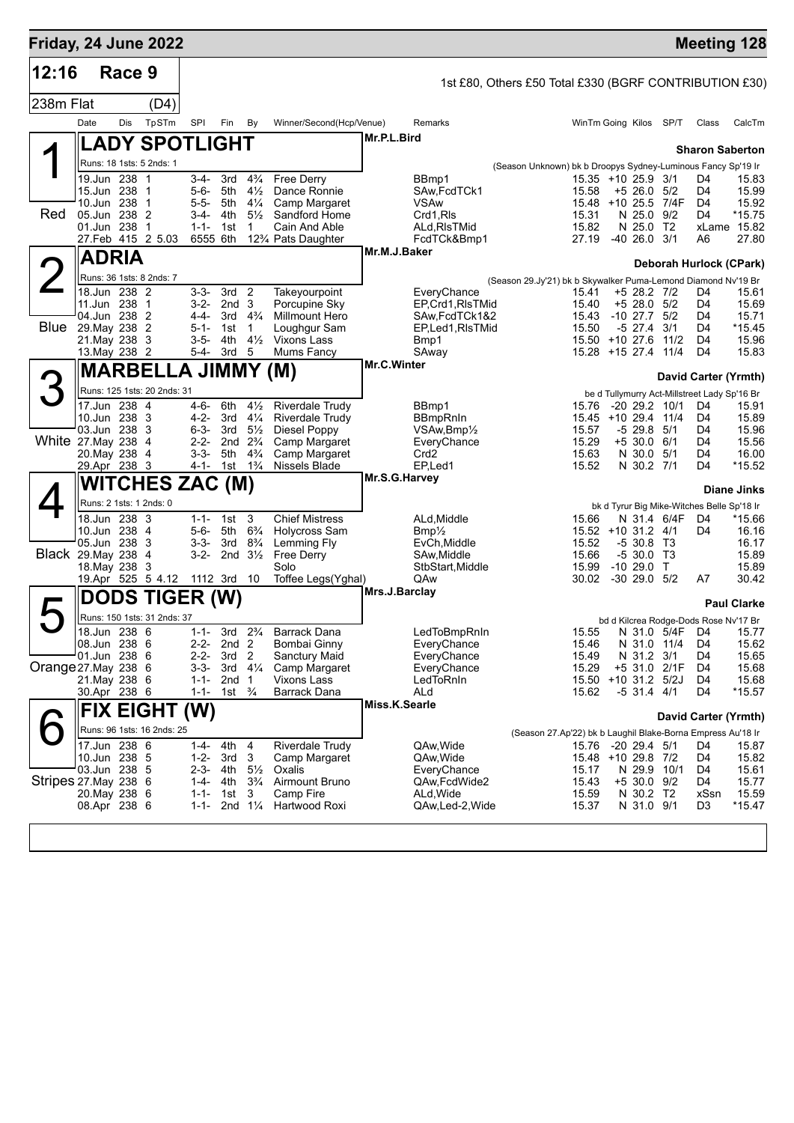| Friday, 24 June 2022      |                              |                            |                             |                        |                                        |                                      |                                                  |               |                                  |                                                               |                              |                                     |                |                                              | <b>Meeting 128</b>   |
|---------------------------|------------------------------|----------------------------|-----------------------------|------------------------|----------------------------------------|--------------------------------------|--------------------------------------------------|---------------|----------------------------------|---------------------------------------------------------------|------------------------------|-------------------------------------|----------------|----------------------------------------------|----------------------|
| 12:16                     |                              | Race 9                     |                             |                        |                                        |                                      |                                                  |               |                                  | 1st £80, Others £50 Total £330 (BGRF CONTRIBUTION £30)        |                              |                                     |                |                                              |                      |
| 238m Flat                 |                              |                            | (D4)                        |                        |                                        |                                      |                                                  |               |                                  |                                                               |                              |                                     |                |                                              |                      |
|                           | Date                         | <b>Dis</b>                 | TpSTm                       | SPI                    | Fin                                    | By                                   | Winner/Second(Hcp/Venue)                         |               | Remarks                          |                                                               | WinTm Going Kilos SP/T       |                                     |                | Class                                        | CalcTm               |
|                           |                              |                            | <b>LADY SPOTLIGHT</b>       |                        |                                        |                                      |                                                  | Mr.P.L.Bird   |                                  |                                                               |                              |                                     |                |                                              |                      |
|                           |                              |                            | Runs: 18 1sts: 5 2nds: 1    |                        |                                        |                                      |                                                  |               |                                  | (Season Unknown) bk b Droopys Sydney-Luminous Fancy Sp'19 Ir  |                              |                                     |                | <b>Sharon Saberton</b>                       |                      |
|                           |                              | 19.Jun 238 1               |                             | $3 - 4 -$              | 3rd                                    | $4\frac{3}{4}$                       | Free Derry                                       |               | BBmp1                            |                                                               | 15.35 +10 25.9 3/1           |                                     |                | D4                                           | 15.83                |
|                           |                              | 15.Jun 238 1<br>10.Jun 238 | -1                          | $5 - 6 -$<br>$5 - 5 -$ | 5th<br>5th                             | $4\frac{1}{2}$<br>$4\frac{1}{4}$     | Dance Ronnie<br>Camp Margaret                    |               | SAw, FcdTCk1<br><b>VSAw</b>      |                                                               | 15.58<br>$15.48 + 10.25.5$   | $+5$ 26.0 $5/2$                     | 7/4F           | D4<br>D4                                     | 15.99<br>15.92       |
| Red                       | 05.Jun 238 2                 |                            |                             | $3-4-$                 | 4th                                    | $5\frac{1}{2}$                       | Sandford Home                                    |               | Crd1,RIs                         |                                                               | 15.31                        | N 25.0 9/2                          |                | D <sub>4</sub>                               | $*15.75$             |
|                           | 01.Jun 238                   |                            | -1<br>27.Feb 415 2 5.03     | $1 - 1 -$              | 1st<br>6555 6th                        | 1                                    | Cain And Able<br>12% Pats Daughter               |               | ALd, RIsTMid<br>FcdTCk&Bmp1      |                                                               | 15.82<br>27.19               | N 25.0 T2<br>$-4026.03/1$           |                | A6                                           | xLame 15.82<br>27.80 |
|                           |                              | <b>ADRIA</b>               |                             |                        |                                        |                                      |                                                  | Mr.M.J.Baker  |                                  |                                                               |                              |                                     |                |                                              |                      |
|                           |                              |                            |                             |                        |                                        |                                      |                                                  |               |                                  |                                                               |                              |                                     |                | Deborah Hurlock (CPark)                      |                      |
|                           |                              | 18.Jun 238 2               | Runs: 36 1sts: 8 2nds: 7    | $3 - 3 -$              | 3rd <sub>2</sub>                       |                                      | Takeyourpoint                                    |               | EveryChance                      | (Season 29.Jy'21) bk b Skywalker Puma-Lemond Diamond Nv'19 Br | 15.41                        | +5 28.2 7/2                         |                | D4                                           | 15.61                |
|                           | 11.Jun 238                   |                            | $\mathbf 1$                 | $3 - 2 -$              | 2nd <sub>3</sub>                       |                                      | Porcupine Sky                                    |               | EP, Crd1, RIsTMid                |                                                               | 15.40                        | $+5$ 28.0 $5/2$                     |                | D4                                           | 15.69                |
| <b>Blue</b> 29. May 238 2 | 04.Jun 238 2                 |                            |                             | $4 - 4 -$<br>$5 - 1 -$ | 1st                                    | 3rd $4\frac{3}{4}$<br>1              | <b>Millmount Hero</b><br>Loughgur Sam            |               | SAw,FcdTCk1&2<br>EP,Led1,RIsTMid |                                                               | 15.43<br>15.50               | $-10$ 27.7 $5/2$<br>$-5$ 27.4 $3/1$ |                | D4<br>D4                                     | 15.71<br>*15.45      |
|                           | 21. May 238 3                |                            |                             | $3 - 5 -$              | 4th                                    | $4\frac{1}{2}$                       | Vixons Lass                                      |               | Bmp1                             |                                                               | $15.50 + 10.276$             |                                     | 11/2           | D <sub>4</sub>                               | 15.96                |
|                           |                              | 13. May 238 2              |                             | 5-4-                   | 3rd                                    | 5                                    | Mums Fancy                                       | Mr.C.Winter   | SAway                            |                                                               | 15.28 +15 27.4 11/4          |                                     |                | D4                                           | 15.83                |
|                           |                              |                            | <b>MARBELLA JIMMY (M)</b>   |                        |                                        |                                      |                                                  |               |                                  |                                                               |                              |                                     |                | David Carter (Yrmth)                         |                      |
| З                         |                              |                            | Runs: 125 1sts: 20 2nds: 31 |                        |                                        |                                      |                                                  |               |                                  |                                                               |                              |                                     |                | be d Tullymurry Act-Millstreet Lady Sp'16 Br |                      |
|                           | 17.Jun 238 4<br>10.Jun 238 3 |                            |                             | 4-6-<br>4-2-           | 6th<br>3rd                             | $4\frac{1}{2}$<br>$4\frac{1}{4}$     | <b>Riverdale Trudy</b><br><b>Riverdale Trudy</b> |               | BBmp1<br><b>BBmpRnIn</b>         |                                                               | 15.76<br>15.45               | $-20$ 29.2 10/1<br>+10 29.4 11/4    |                | D4<br>D4                                     | 15.91<br>15.89       |
|                           | 03.Jun 238 3                 |                            |                             | $6 - 3 -$              | 3rd                                    | $5\frac{1}{2}$                       | Diesel Poppy                                     |               | $VSAw,Bmp\frac{1}{2}$            |                                                               | 15.57                        | $-5$ 29.8 $5/1$                     |                | D4                                           | 15.96                |
| White 27.May 238          | 20. May 238 4                |                            | -4                          | $2 - 2 -$<br>$3 - 3 -$ | 5th                                    | 2nd $2\frac{3}{4}$<br>$4\frac{3}{4}$ | Camp Margaret<br>Camp Margaret                   |               | EveryChance<br>Crd <sub>2</sub>  |                                                               | 15.29<br>15.63               | $+5$ 30.0 6/1<br>N 30.0             | 5/1            | D4<br>D4                                     | 15.56<br>16.00       |
|                           |                              | 29.Apr 238 3               |                             |                        | 4-1- 1st 1 <sup>3</sup> / <sub>4</sub> |                                      | Nissels Blade                                    |               | EP <sub>.</sub> Led1             |                                                               | 15.52                        | N 30.2 7/1                          |                | D4                                           | *15.52               |
|                           |                              |                            | <b>WITCHES ZAC (M)</b>      |                        |                                        |                                      |                                                  | Mr.S.G.Harvey |                                  |                                                               |                              |                                     |                |                                              | <b>Diane Jinks</b>   |
|                           |                              |                            | Runs: 2 1sts: 1 2nds: 0     |                        |                                        |                                      |                                                  |               |                                  |                                                               |                              |                                     |                | bk d Tyrur Big Mike-Witches Belle Sp'18 Ir   |                      |
|                           | 10.Jun 238 4                 | 18.Jun 238 3               |                             | $1 - 1 -$              | 1st <sub>3</sub>                       | $6\frac{3}{4}$                       | <b>Chief Mistress</b>                            |               | ALd, Middle                      |                                                               | 15.66                        |                                     | N 31.4 6/4F    | D4                                           | *15.66               |
|                           | 05.Jun 238                   |                            | - 3                         | $5 - 6 -$<br>$3 - 3 -$ | 5th<br>3rd $8\frac{3}{4}$              |                                      | <b>Holycross Sam</b><br>Lemming Fly              |               | $Bmp\frac{1}{2}$<br>EvCh, Middle |                                                               | 15.52 +10 31.2 4/1<br>15.52  | $-530.8$ T <sub>3</sub>             |                | D4                                           | 16.16<br>16.17       |
| <b>Black 29.May 238</b>   |                              |                            | 4                           | $3-2-$                 |                                        | 2nd $3\frac{1}{2}$                   | <b>Free Derry</b>                                |               | SAw, Middle                      |                                                               | 15.66                        | $-530.0$ T3                         |                |                                              | 15.89                |
|                           |                              | 18. May 238 3              | 19.Apr 525 5 4.12           |                        | 1112 3rd 10                            |                                      | Solo<br>Toffee Legs(Yghal)                       |               | StbStart, Middle<br>QAw          |                                                               | 15.99<br>30.02               | $-1029.0$ T<br>$-30,29.0$           | 5/2            | A7                                           | 15.89<br>30.42       |
|                           |                              |                            | <b>DODS TIGER (W)</b>       |                        |                                        |                                      |                                                  | Mrs.J.Barclay |                                  |                                                               |                              |                                     |                |                                              |                      |
|                           |                              |                            | Runs: 150 1sts: 31 2nds: 37 |                        |                                        |                                      |                                                  |               |                                  |                                                               |                              |                                     |                | bd d Kilcrea Rodge-Dods Rose Nv'17 Br        | <b>Paul Clarke</b>   |
|                           |                              | 18.Jun 238 6               |                             | $1 - 1 -$              | 3rd                                    | $2\frac{3}{4}$                       | <b>Barrack Dana</b>                              |               | LedToBmpRnIn                     |                                                               | 15.55                        |                                     | N 31.0 5/4F D4 |                                              | 15.77                |
|                           | 08.Jun 238 6<br>01.Jun 238 6 |                            |                             | $2 - 2 -$<br>$2 - 2 -$ | 2nd <sub>2</sub><br>3rd <sub>2</sub>   |                                      | <b>Bombai Ginny</b><br>Sanctury Maid             |               | EveryChance<br>EveryChance       |                                                               | 15.46<br>15.49               | N 31.0 11/4<br>N 31.2 3/1           |                | D4<br>D4                                     | 15.62<br>15.65       |
| Orange 27. May 238 6      |                              |                            |                             | 3-3-                   |                                        | 3rd $4\frac{1}{4}$                   | Camp Margaret                                    |               | EveryChance                      |                                                               | 15.29                        | $+5$ 31.0                           | 2/1F           | D4                                           | 15.68                |
|                           | 30.Apr 238 6                 | 21. May 238 6              |                             | $1 - 1 -$<br>$1 - 1 -$ | 2nd <sub>1</sub><br>1st $\frac{3}{4}$  |                                      | Vixons Lass<br>Barrack Dana                      |               | LedToRnIn<br>ALd                 |                                                               | 15.50 +10 31.2 5/2J<br>15.62 | $-5$ 31.4 4/1                       |                | D4<br>D4                                     | 15.68<br>*15.57      |
|                           |                              |                            | <b>FIX EIGHT (W)</b>        |                        |                                        |                                      |                                                  | Miss.K.Searle |                                  |                                                               |                              |                                     |                |                                              |                      |
|                           |                              |                            | Runs: 96 1sts: 16 2nds: 25  |                        |                                        |                                      |                                                  |               |                                  |                                                               |                              |                                     |                | David Carter (Yrmth)                         |                      |
|                           |                              | 17.Jun 238 6               |                             | 1-4-                   | 4th                                    | -4                                   | <b>Riverdale Trudy</b>                           |               | QAw, Wide                        | (Season 27.Ap'22) bk b Laughil Blake-Borna Empress Au'18 Ir   | 15.76 -20 29.4 5/1           |                                     |                | D4                                           | 15.87                |
|                           | 10.Jun 238 5                 |                            |                             | $1 - 2 -$              | 3rd                                    | 3                                    | Camp Margaret                                    |               | QAw,Wide                         |                                                               | 15.48 +10 29.8 7/2           |                                     |                | D4                                           | 15.82                |
| Stripes 27 May 238 6      | 03.Jun 238 5                 |                            |                             | 2-3-<br>1-4-           | 4th<br>4th                             | $5\frac{1}{2}$<br>$3\frac{3}{4}$     | Oxalis<br>Airmount Bruno                         |               | EveryChance<br>QAw,FcdWide2      |                                                               | 15.17<br>15.43               | N 29.9 10/1<br>$+5$ 30.0 9/2        |                | D4<br>D4                                     | 15.61<br>15.77       |
|                           |                              | 20.May 238 6               |                             | $1 - 1 -$              | 1st                                    | 3                                    | Camp Fire                                        |               | ALd, Wide                        |                                                               | 15.59                        | N 30.2 T2                           |                | xSsn                                         | 15.59                |
|                           | 08.Apr 238 6                 |                            |                             | $1 - 1 -$              |                                        | 2nd $1\frac{1}{4}$                   | Hartwood Roxi                                    |               | QAw,Led-2, Wide                  |                                                               | 15.37                        | N 31.0 9/1                          |                | D3                                           | *15.47               |
|                           |                              |                            |                             |                        |                                        |                                      |                                                  |               |                                  |                                                               |                              |                                     |                |                                              |                      |
|                           |                              |                            |                             |                        |                                        |                                      |                                                  |               |                                  |                                                               |                              |                                     |                |                                              |                      |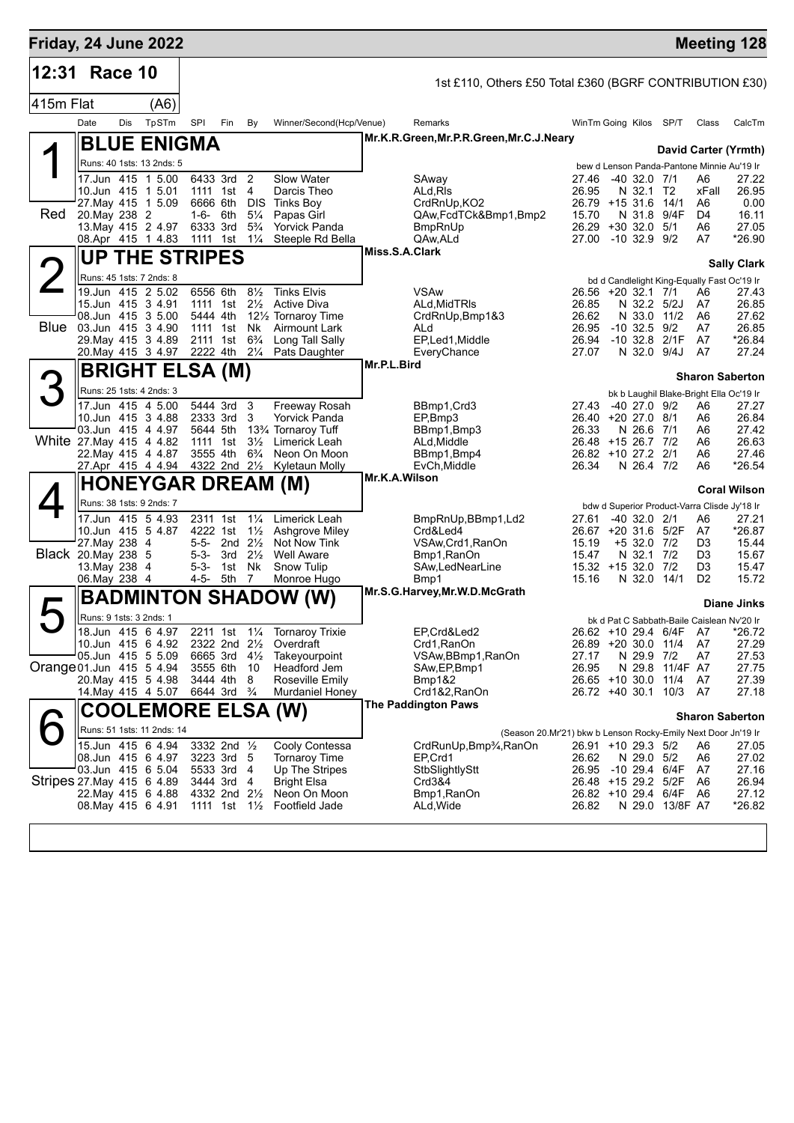| Friday, 24 June 2022      |                                     |     |                                                         |                      |                                                       |                                  |                                                                 |                |                                                               |                              |                           |                                           |                | <b>Meeting 128</b>                                                 |
|---------------------------|-------------------------------------|-----|---------------------------------------------------------|----------------------|-------------------------------------------------------|----------------------------------|-----------------------------------------------------------------|----------------|---------------------------------------------------------------|------------------------------|---------------------------|-------------------------------------------|----------------|--------------------------------------------------------------------|
| 12:31                     | Race 10                             |     |                                                         |                      |                                                       |                                  |                                                                 |                | 1st £110, Others £50 Total £360 (BGRF CONTRIBUTION £30)       |                              |                           |                                           |                |                                                                    |
| 415m Flat                 |                                     |     | (A6)                                                    |                      |                                                       |                                  |                                                                 |                |                                                               |                              |                           |                                           |                |                                                                    |
|                           | Date                                | Dis | TpSTm                                                   | SPI                  | Fin                                                   | By                               | Winner/Second(Hcp/Venue)                                        |                | Remarks                                                       | WinTm Going Kilos SP/T       |                           |                                           | Class          | CalcTm                                                             |
|                           |                                     |     | <b>BLUE ENIGMA</b>                                      |                      |                                                       |                                  |                                                                 |                | Mr.K.R.Green, Mr.P.R.Green, Mr.C.J.Neary                      |                              |                           |                                           |                |                                                                    |
|                           |                                     |     | Runs: 40 1sts: 13 2nds: 5                               |                      |                                                       |                                  |                                                                 |                |                                                               |                              |                           |                                           |                | David Carter (Yrmth)<br>bew d Lenson Panda-Pantone Minnie Au'19 Ir |
|                           |                                     |     | 17.Jun 415 1 5.00                                       |                      | 6433 3rd 2                                            |                                  | Slow Water                                                      |                | SAway                                                         | 27.46                        | $-40$ 32.0 $7/1$          |                                           | A6             | 27.22                                                              |
|                           |                                     |     | 10.Jun 415 1 5.01<br>27. May 415 1 5.09                 | 6666 6th             | 1111 1st 4                                            | DIS.                             | Darcis Theo<br>Tinks Boy                                        |                | ALd.RIs<br>CrdRnUp, KO2                                       | 26.95<br>26.79 +15 31.6      | N 32.1 T2                 | 14/1                                      | xFall<br>A6    | 26.95<br>0.00                                                      |
| Red                       | 20. May 238 2                       |     |                                                         | $1-6-6$ th           |                                                       | $5\frac{1}{4}$                   | Papas Girl                                                      |                | QAw,FcdTCk&Bmp1,Bmp2                                          | 15.70                        | N 31.8                    | 9/4F                                      | D4             | 16.11                                                              |
|                           |                                     |     | 13. May 415 2 4.97 6333 3rd<br>08.Apr 415 1 4.83        | 1111 1st             |                                                       | $5\frac{3}{4}$<br>$1\frac{1}{4}$ | <b>Yorvick Panda</b><br>Steeple Rd Bella                        |                | <b>BmpRnUp</b><br>QAw, ALd                                    | 26.29 +30 32.0 5/1<br>27.00  | $-10, 32.9, 9/2$          |                                           | A6<br>A7       | 27.05<br>*26.90                                                    |
|                           |                                     |     | <b>UP THE STRIPES</b>                                   |                      |                                                       |                                  |                                                                 | Miss.S.A.Clark |                                                               |                              |                           |                                           |                |                                                                    |
|                           |                                     |     | Runs: 45 1sts: 7 2nds: 8                                |                      |                                                       |                                  |                                                                 |                |                                                               |                              |                           |                                           |                | <b>Sally Clark</b>                                                 |
|                           |                                     |     | 19.Jun 415 2 5.02                                       | 6556 6th             |                                                       | $8\frac{1}{2}$                   | <b>Tinks Elvis</b>                                              |                | <b>VSAw</b>                                                   | 26.56 +20 32.1 7/1           |                           |                                           | A6             | bd d Candlelight King-Equally Fast Oc'19 Ir<br>27.43               |
|                           |                                     |     | 15.Jun 415 3 4.91<br>08.Jun 415 3 5.00                  | 5444 4th             | 1111 1st                                              |                                  | 21/ <sub>2</sub> Active Diva<br>121/ <sub>2</sub> Tornaroy Time |                | ALd, MidTRIs<br>CrdRnUp, Bmp1&3                               | 26.85<br>26.62               |                           | N 32.2 5/2J<br>N 33.0 11/2                | A7<br>A6       | 26.85<br>27.62                                                     |
| <b>Blue</b>               |                                     |     | 03.Jun 415 3 4.90                                       | 1111 1st             |                                                       | Nk                               | <b>Airmount Lark</b>                                            |                | ALd                                                           | 26.95                        | $-10$ 32.5 $9/2$          |                                           | A7             | 26.85                                                              |
|                           |                                     |     | 29. May 415 3 4.89<br>20 May 415 3 4.97                 | 2222 4th 21/4        | 2111 1st 6 <sup>3</sup> / <sub>4</sub>                |                                  | Long Tall Sally<br>Pats Daughter                                |                | EP,Led1, Middle<br>EveryChance                                | 26.94<br>27.07               |                           | $-10$ 32.8 $2/1F$<br>N 32.0 9/4J          | - A7<br>A7     | *26.84<br>27.24                                                    |
|                           |                                     |     | <b>BRIGHT ELSA (M)</b>                                  |                      |                                                       |                                  |                                                                 | Mr.P.L.Bird    |                                                               |                              |                           |                                           |                |                                                                    |
|                           |                                     |     | Runs: 25 1sts: 4 2nds: 3                                |                      |                                                       |                                  |                                                                 |                |                                                               |                              |                           |                                           |                | <b>Sharon Saberton</b>                                             |
|                           |                                     |     | 17.Jun 415 4 5.00                                       |                      | 5444 3rd                                              | -3                               | Freeway Rosah                                                   |                | BBmp1, Crd3                                                   | 27.43                        | $-40$ 27.0 $9/2$          |                                           | A6             | bk b Laughil Blake-Bright Ella Oc'19 Ir<br>27.27                   |
|                           |                                     |     | 10.Jun 415 3 4.88                                       | 2333 3rd             |                                                       | 3                                | <b>Yorvick Panda</b>                                            |                | EP,Bmp3                                                       | 26.40 +20 27.0 8/1           |                           |                                           | A6             | 26.84                                                              |
| White 27. May 415 4 4.82  |                                     |     | 03.Jun 415 4 4.97                                       | 5644 5th<br>1111 1st |                                                       | $3\frac{1}{2}$                   | 13% Tornaroy Tuff<br>Limerick Leah                              |                | BBmp1,Bmp3<br>ALd, Middle                                     | 26.33<br>26.48 +15 26.7 7/2  | N 26.6 7/1                |                                           | A6<br>A6       | 27.42<br>26.63                                                     |
|                           |                                     |     | 22. May 415 4 4.87                                      | 3555 4th             |                                                       | $6\frac{3}{4}$                   | Neon On Moon                                                    |                | BBmp1, Bmp4                                                   | 26.82 +10 27.2 2/1           |                           |                                           | A6             | 27.46                                                              |
|                           |                                     |     | 27.Apr 415 4 4.94                                       |                      |                                                       |                                  | 4322 2nd 21/2 Kyletaun Molly                                    | Mr.K.A.Wilson  | EvCh, Middle                                                  | 26.34                        | N 26.4 7/2                |                                           | A6             | *26.54                                                             |
|                           |                                     |     | <b>HONEYGAR DREAM (M)</b>                               |                      |                                                       |                                  |                                                                 |                |                                                               |                              |                           |                                           |                | <b>Coral Wilson</b>                                                |
|                           |                                     |     | Runs: 38 1sts: 9 2nds: 7<br>17.Jun 415 5 4.93           | 2311 1st             |                                                       | $1\frac{1}{4}$                   | Limerick Leah                                                   |                |                                                               | 27.61                        | $-40$ 32.0 $2/1$          |                                           | A6             | bdw d Superior Product-Varra Clisde Jy'18 Ir<br>27.21              |
|                           |                                     |     | 10.Jun 415 5 4.87                                       | 4222 1st             |                                                       | $1\frac{1}{2}$                   | Ashgrove Miley                                                  |                | BmpRnUp, BBmp1, Ld2<br>Crd&Led4                               | 26.67 +20 31.6 5/2F          |                           |                                           | A7             | *26.87                                                             |
|                           | 27. May 238 4<br>Black 20 May 238 5 |     |                                                         | $5 - 3 -$            | 5-5- 2nd $2\frac{1}{2}$<br>3rd                        | $2\frac{1}{2}$                   | Not Now Tink<br><b>Well Aware</b>                               |                | VSAw, Crd1, RanOn<br>Bmp1, RanOn                              | 15.19<br>15.47               | +5 32.0 7/2<br>N 32.1 7/2 |                                           | D3<br>D3       | 15.44<br>15.67                                                     |
|                           | 13. May 238 4                       |     |                                                         | $5 - 3 -$            | 1st                                                   | Nk                               | <b>Snow Tulip</b>                                               |                | SAw, LedNear Line                                             | 15.32 +15 32.0 7/2           |                           |                                           | D <sub>3</sub> | 15.47                                                              |
|                           | 06. May 238 4                       |     |                                                         | 4-5- 5th             |                                                       | - 7                              | Monroe Hugo                                                     |                | Bmp1<br>Mr.S.G.Harvey, Mr.W.D.McGrath                         | 15.16                        | N 32.0 14/1               |                                           | D <sub>2</sub> | 15.72                                                              |
|                           |                                     |     | <b>BADMINTON SHADOW</b>                                 |                      |                                                       |                                  | (W)                                                             |                |                                                               |                              |                           |                                           |                | <b>Diane Jinks</b>                                                 |
|                           | Runs: 9 1sts: 3 2nds: 1             |     |                                                         |                      |                                                       |                                  |                                                                 |                |                                                               |                              |                           |                                           |                | bk d Pat C Sabbath-Baile Caislean Nv'20 Ir                         |
|                           |                                     |     | 18.Jun 415 6 4.97<br>10.Jun 415 6 4.92 2322 2nd 21/2    |                      |                                                       |                                  | 2211 1st 11/4 Tornaroy Trixie<br>Overdraft                      |                | EP,Crd&Led2<br>Crd1, RanOn                                    | 26.89 +20 30.0 11/4          |                           | 26.62 +10 29.4 6/4F A7                    | A7             | *26.72<br>27.29                                                    |
|                           |                                     |     | 05.Jun 415 5 5.09                                       |                      | 6665 3rd 41/ <sub>2</sub>                             |                                  | Takeyourpoint                                                   |                | VSAw, BBmp1, RanOn                                            | 27.17                        | N 29.9 7/2                |                                           | A7             | 27.53                                                              |
| Orange 01.Jun 415 5 4.94  |                                     |     | 20. May 415 5 4.98                                      | 3555 6th<br>3444 4th |                                                       | - 10<br>-8                       | Headford Jem<br>Roseville Emily                                 |                | SAw, EP, Bmp1<br>Bmp1&2                                       | 26.95<br>26.65 +10 30.0      |                           | N 29.8 11/4F A7<br>11/4                   | A7             | 27.75<br>27.39                                                     |
|                           |                                     |     | 14. May 415 4 5.07 6644 3rd <sup>3</sup> / <sub>4</sub> |                      |                                                       |                                  | Murdaniel Honey                                                 |                | Crd1&2, RanOn                                                 |                              |                           | 26.72 +40 30.1 10/3 A7                    |                | 27.18                                                              |
|                           |                                     |     | <b>COOLEMORE ELSA (W)</b>                               |                      |                                                       |                                  |                                                                 |                | <b>The Paddington Paws</b>                                    |                              |                           |                                           |                | <b>Sharon Saberton</b>                                             |
|                           |                                     |     | Runs: 51 1sts: 11 2nds: 14                              |                      |                                                       |                                  |                                                                 |                | (Season 20.Mr'21) bkw b Lenson Rocky-Emily Next Door Jn'19 Ir |                              |                           |                                           |                |                                                                    |
|                           |                                     |     | 15.Jun 415 6 4.94                                       |                      | 3332 2nd 1/2                                          |                                  | Cooly Contessa                                                  |                | CrdRunUp, Bmp3/4, RanOn                                       | 26.91 +10 29.3 5/2           |                           |                                           | A6             | 27.05                                                              |
|                           |                                     |     | 08.Jun 415 6 4.97<br>03.Jun 415 6 5.04                  |                      | 3223 3rd 5<br>5533 3rd 4                              |                                  | <b>Tornaroy Time</b><br>Up The Stripes                          |                | EP.Crd1<br>StbSlightlyStt                                     | 26.62<br>26.95 -10 29.4 6/4F | N 29.0 5/2                |                                           | A6<br>A7       | 27.02<br>27.16                                                     |
| Stripes 27 May 415 6 4.89 |                                     |     |                                                         |                      | 3444 3rd 4                                            |                                  | Bright Elsa                                                     |                | Crd3&4                                                        | 26.48 +15 29.2 5/2F          |                           |                                           | A6             | 26.94                                                              |
|                           |                                     |     | 22.May 415 6 4.88<br>08. May 415 6 4.91                 |                      | 4332 2nd 2 <sup>1</sup> / <sub>2</sub><br>1111 1st 1½ |                                  | Neon On Moon<br>Footfield Jade                                  |                | Bmp1,RanOn<br>ALd, Wide                                       | 26.82                        |                           | 26.82 +10 29.4 6/4F A6<br>N 29.0 13/8F A7 |                | 27.12<br>*26.82                                                    |
|                           |                                     |     |                                                         |                      |                                                       |                                  |                                                                 |                |                                                               |                              |                           |                                           |                |                                                                    |
|                           |                                     |     |                                                         |                      |                                                       |                                  |                                                                 |                |                                                               |                              |                           |                                           |                |                                                                    |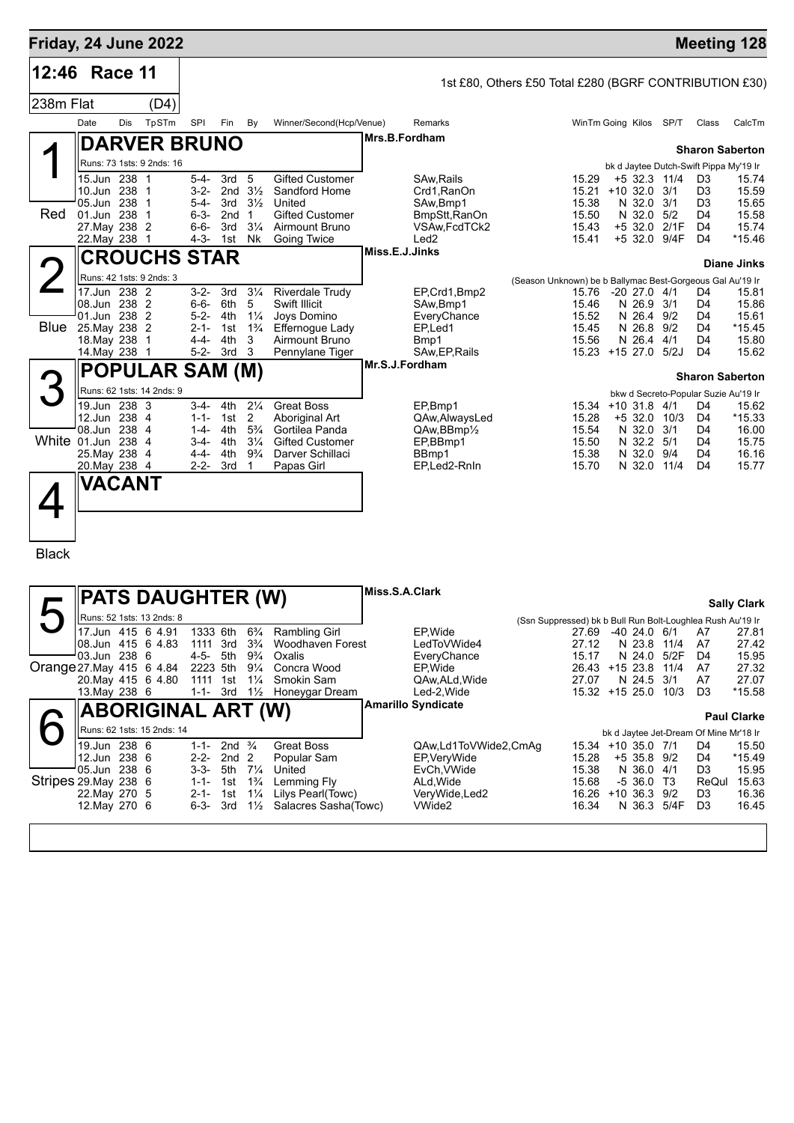| Friday, 24 June 2022      |                                |     |                            |                        |                                       |                                      |                                                                     |                |                                                        |                                                            |                              |          |                                |                       |                                        | <b>Meeting 128</b>     |
|---------------------------|--------------------------------|-----|----------------------------|------------------------|---------------------------------------|--------------------------------------|---------------------------------------------------------------------|----------------|--------------------------------------------------------|------------------------------------------------------------|------------------------------|----------|--------------------------------|-----------------------|----------------------------------------|------------------------|
| 12:46                     | Race 11                        |     |                            |                        |                                       |                                      |                                                                     |                | 1st £80, Others £50 Total £280 (BGRF CONTRIBUTION £30) |                                                            |                              |          |                                |                       |                                        |                        |
| 238m Flat                 |                                |     | (D4)                       |                        |                                       |                                      |                                                                     |                |                                                        |                                                            |                              |          |                                |                       |                                        |                        |
|                           | Date                           | Dis | TpSTm                      | SPI                    | Fin                                   | By                                   | Winner/Second(Hcp/Venue)                                            |                | Remarks                                                |                                                            | WinTm Going Kilos SP/T       |          |                                |                       | Class                                  | CalcTm                 |
|                           |                                |     | <b>DARVER BRUNO</b>        |                        |                                       |                                      |                                                                     |                | Mrs.B.Fordham                                          |                                                            |                              |          |                                |                       |                                        | <b>Sharon Saberton</b> |
|                           |                                |     | Runs: 73 1sts: 9 2nds: 16  |                        |                                       |                                      |                                                                     |                |                                                        |                                                            |                              |          |                                |                       | bk d Jaytee Dutch-Swift Pippa My'19 Ir |                        |
|                           | 15.Jun 238 1                   |     |                            | 5-4-                   | 3rd                                   | 5                                    | <b>Gifted Customer</b>                                              |                | SAw, Rails                                             |                                                            | 15.29                        |          | $+5$ 32.3 11/4                 |                       | D <sub>3</sub>                         | 15.74                  |
|                           | 10.Jun 238<br>05.Jun 238       |     | -1<br>$\overline{1}$       | $3 - 2 -$<br>$5 - 4 -$ | 3rd                                   | 2nd $3\frac{1}{2}$<br>$3\frac{1}{2}$ | Sandford Home<br>United                                             |                | Crd1, RanOn<br>SAw, Bmp1                               |                                                            | 15.21<br>15.38               | +10 32.0 | N 32.0 3/1                     | 3/1                   | D3<br>D3                               | 15.59<br>15.65         |
| Red                       | 01.Jun 238<br>27. May 238 2    |     | -1                         | $6 - 3 -$<br>$6 - 6 -$ | 2nd <sub>1</sub><br>3rd               | $3\frac{1}{4}$                       | <b>Gifted Customer</b><br>Airmount Bruno                            |                | BmpStt, RanOn<br>VSAw, FcdTCk2                         |                                                            | 15.50<br>15.43               |          | N 32.0                         | 5/2<br>+5 32.0 2/1F   | D4<br>D4                               | 15.58<br>15.74         |
|                           | 22. May 238                    |     | - 1                        | 4-3-                   | 1st Nk                                |                                      | Going Twice                                                         |                | Led <sub>2</sub>                                       |                                                            | 15.41                        |          | +5 32.0 9/4F                   |                       | D <sub>4</sub>                         | $*15.46$               |
|                           |                                |     | <b>CROUCHS STAR</b>        |                        |                                       |                                      |                                                                     | Miss.E.J.Jinks |                                                        |                                                            |                              |          |                                |                       |                                        | <b>Diane Jinks</b>     |
|                           |                                |     | Runs: 42 1sts: 9 2nds: 3   |                        |                                       |                                      |                                                                     |                |                                                        | (Season Unknown) be b Ballymac Best-Gorgeous Gal Au'19 Ir  |                              |          |                                |                       |                                        |                        |
|                           | 17.Jun 238 2<br>08.Jun 238 2   |     |                            | $3 - 2 -$<br>$6 - 6 -$ | 3rd<br>6th                            | $3\frac{1}{4}$<br>5                  | <b>Riverdale Trudy</b><br>Swift Illicit                             |                | EP, Crd1, Bmp2<br>SAw, Bmp1                            |                                                            | 15.76<br>15.46               |          | $-20$ 27.0 $4/1$<br>N 26.9 3/1 |                       | D4<br>D4                               | 15.81<br>15.86         |
|                           | 01.Jun 238                     |     | $\overline{2}$             | $5 - 2 -$              | 4th                                   | $1\frac{1}{4}$                       | Joys Domino                                                         |                | EveryChance                                            |                                                            | 15.52                        |          | N 26.4                         | 9/2                   | D4                                     | 15.61                  |
| Blue                      | 25. May 238<br>18. May 238     |     | $\overline{2}$<br>-1       | 2-1-<br>4-4-           | 1st<br>4th                            | $1\frac{3}{4}$<br>3                  | Effernogue Lady<br>Airmount Bruno                                   |                | EP,Led1<br>Bmp1                                        |                                                            | 15.45<br>15.56               |          | N 26.8<br>N 26.4               | 9/2<br>4/1            | D4<br>D4                               | $*15.45$<br>15.80      |
|                           | 14. May 238 1                  |     |                            | $5 - 2 -$              | 3rd                                   | 3                                    | Pennylane Tiger                                                     |                | SAw, EP, Rails                                         |                                                            | 15.23 +15 27.0 5/2J          |          |                                |                       | D4                                     | 15.62                  |
|                           |                                |     | <b>POPULAR SAM (M)</b>     |                        |                                       |                                      |                                                                     |                | Mr.S.J.Fordham                                         |                                                            |                              |          |                                |                       |                                        | <b>Sharon Saberton</b> |
|                           |                                |     | Runs: 62 1sts: 14 2nds: 9  |                        |                                       |                                      |                                                                     |                |                                                        |                                                            |                              |          |                                |                       | bkw d Secreto-Popular Suzie Au'19 Ir   |                        |
|                           | 19.Jun 238 3<br>12.Jun 238 4   |     |                            | 3-4-<br>$1 - 1 -$      | 4th<br>1st                            | $2\frac{1}{4}$<br>2                  | <b>Great Boss</b><br>Aboriginal Art                                 |                | EP,Bmp1<br>QAw, Always Led                             |                                                            | 15.34<br>15.28               |          | $+10$ 31.8 4/1<br>$+5$ 32.0    | 10/3                  | D4<br>D4                               | 15.62<br>$*15.33$      |
| White 01.Jun 238 4        | 08.Jun 238                     |     | -4                         | 1-4-                   | 4th                                   | $5\frac{3}{4}$                       | Gortilea Panda                                                      |                | QAw,BBmp½                                              |                                                            | 15.54                        |          | N 32.0                         | 3/1                   | D4                                     | 16.00                  |
|                           | 25. May 238                    |     | -4                         | 3-4-<br>4-4-           | 4th<br>4th                            | $3\frac{1}{4}$<br>$9\frac{3}{4}$     | <b>Gifted Customer</b><br>Darver Schillaci                          |                | EP,BBmp1<br>BBmp1                                      |                                                            | 15.50<br>15.38               |          | N 32.2 5/1<br>N 32.0           | 9/4                   | D4<br>D4                               | 15.75<br>16.16         |
|                           | 20. May 238 4                  |     |                            | $2 - 2 -$              | 3rd                                   | -1                                   | Papas Girl                                                          |                | EP,Led2-RnIn                                           |                                                            | 15.70                        |          | N 32.0                         | 11/4                  | D4                                     | 15.77                  |
|                           | VACANT                         |     |                            |                        |                                       |                                      |                                                                     |                |                                                        |                                                            |                              |          |                                |                       |                                        |                        |
|                           |                                |     |                            |                        |                                       |                                      |                                                                     |                |                                                        |                                                            |                              |          |                                |                       |                                        |                        |
|                           |                                |     |                            |                        |                                       |                                      |                                                                     |                |                                                        |                                                            |                              |          |                                |                       |                                        |                        |
| <b>Black</b>              |                                |     |                            |                        |                                       |                                      |                                                                     |                |                                                        |                                                            |                              |          |                                |                       |                                        |                        |
|                           |                                |     |                            |                        |                                       |                                      |                                                                     |                |                                                        |                                                            |                              |          |                                |                       |                                        |                        |
|                           |                                |     | <b>PATS DAUGHTER (W)</b>   |                        |                                       |                                      |                                                                     | Miss.S.A.Clark |                                                        |                                                            |                              |          |                                |                       |                                        |                        |
|                           |                                |     | Runs: 52 1sts: 13 2nds: 8  |                        |                                       |                                      |                                                                     |                |                                                        | (Ssn Suppressed) bk b Bull Run Bolt-Loughlea Rush Au'19 Ir |                              |          |                                |                       |                                        | <b>Sally Clark</b>     |
|                           |                                |     | 17.Jun 415 6 4.91          |                        |                                       |                                      | 1333 6th 6 <sup>3</sup> / <sub>4</sub> Rambling Girl                |                | EP, Wide                                               |                                                            |                              |          |                                | 27.69 -40 24.0 6/1 A7 |                                        | 27.81                  |
|                           | 03.Jun 238 6                   |     | 08.Jun 415 6 4.83          |                        | 4-5- 5th                              | $9\frac{3}{4}$                       | 1111 3rd 3 <sup>3</sup> / <sub>4</sub> Woodhaven Forest<br>Oxalis   |                | LedToVWide4<br>EveryChance                             |                                                            | 27.12<br>15.17               |          | N 23.8 11/4<br>N 24.0          | 5/2F                  | A7<br>D4                               | 27.42<br>15.95         |
| Orange 27. May 415 6 4.84 |                                |     |                            |                        | 2223 5th                              | $9\frac{1}{4}$                       | Concra Wood                                                         |                | EP, Wide                                               |                                                            | 26.43 +15 23.8 11/4          |          |                                |                       | A7                                     | 27.32                  |
|                           | 13. May 238 6                  |     | 20. May 415 6 4.80         |                        | 1111 1st                              | $1\frac{1}{4}$                       | Smokin Sam<br>1-1- 3rd 1 <sup>1</sup> / <sub>2</sub> Honeygar Dream |                | QAw,ALd,Wide<br>Led-2, Wide                            |                                                            | 27.07<br>15.32 +15 25.0 10/3 |          | N 24.5 3/1                     |                       | A7<br>D3                               | 27.07<br>*15.58        |
|                           |                                |     | <b>ABORIGINAL ART (W)</b>  |                        |                                       |                                      |                                                                     |                | <b>Amarillo Syndicate</b>                              |                                                            |                              |          |                                |                       |                                        |                        |
|                           |                                |     | Runs: 62 1sts: 15 2nds: 14 |                        |                                       |                                      |                                                                     |                |                                                        |                                                            |                              |          |                                |                       | bk d Jaytee Jet-Dream Of Mine Mr'18 Ir | <b>Paul Clarke</b>     |
|                           | 19.Jun 238 6                   |     |                            |                        | 1-1- 2nd $\frac{3}{4}$                |                                      | <b>Great Boss</b>                                                   |                | QAw,Ld1ToVWide2,CmAg                                   |                                                            | 15.34 +10 35.0 7/1           |          |                                |                       | D4                                     | 15.50                  |
|                           | 12.Jun 238 6<br>05.Jun 238 6   |     |                            |                        | $2-2-2nd2$<br>3-3- 5th $7\frac{1}{4}$ |                                      | Popular Sam<br>United                                               |                | EP.VeryWide<br>EvCh, VWide                             |                                                            | 15.28<br>15.38               |          | $+5$ 35.8 9/2<br>N 36.0 4/1    |                       | D4<br>D3                               | $*15.49$<br>15.95      |
| Stripes 29. May 238 6     |                                |     |                            |                        | 1-1- 1st $1\frac{3}{4}$               |                                      | Lemming Fly                                                         |                | ALd,Wide                                               |                                                            | 15.68                        |          | $-536.0$ T3                    |                       |                                        | ReQul 15.63            |
|                           | 22. May 270 5<br>12. May 270 6 |     |                            |                        | 2-1- 1st<br>6-3- 3rd                  | $1\frac{1}{4}$<br>$1\frac{1}{2}$     | Lilys Pearl(Towc)<br>Salacres Sasha(Towc)                           |                | VeryWide,Led2<br>VWide2                                |                                                            | 16.26 +10 36.3 9/2<br>16.34  |          |                                | N 36.3 5/4F           | D3<br>D <sub>3</sub>                   | 16.36<br>16.45         |
|                           |                                |     |                            |                        |                                       |                                      |                                                                     |                |                                                        |                                                            |                              |          |                                |                       |                                        |                        |
|                           |                                |     |                            |                        |                                       |                                      |                                                                     |                |                                                        |                                                            |                              |          |                                |                       |                                        |                        |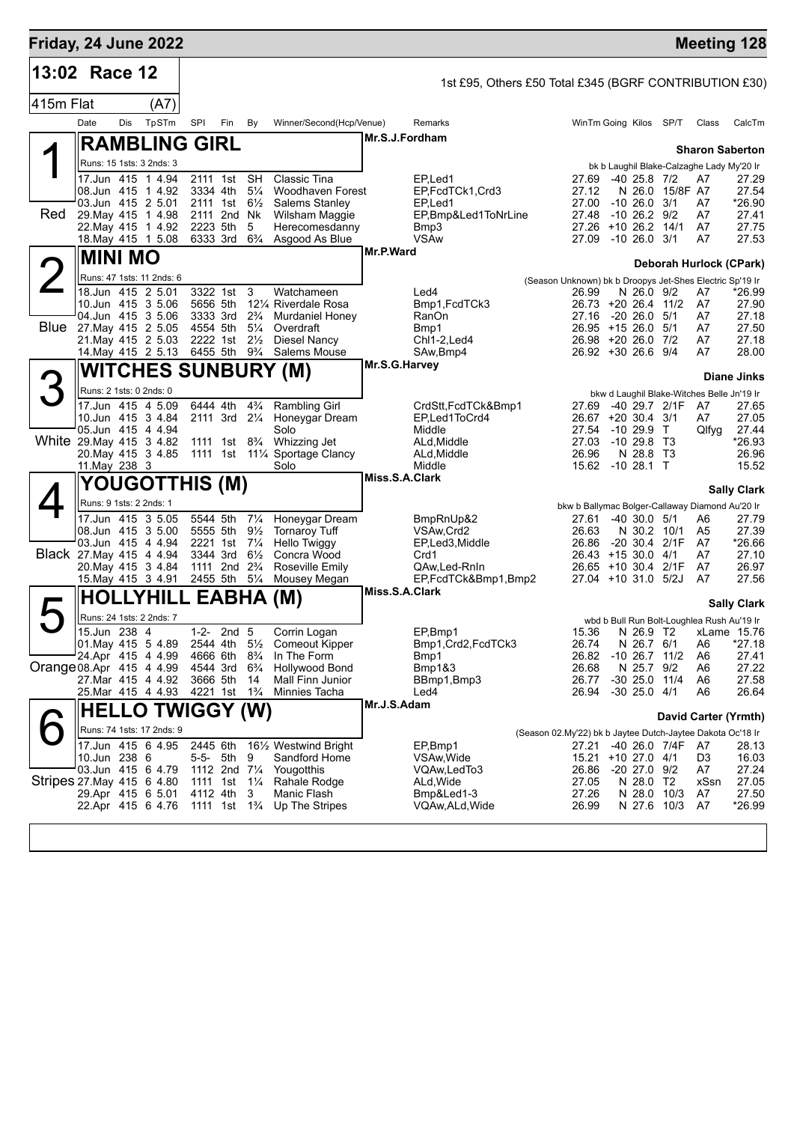| Friday, 24 June 2022       |                                              |     |                                         |                                                      |                  |                                  |                                                                |                |                                                        |                                                                   |                                     |                        |                                                 | <b>Meeting 128</b>      |
|----------------------------|----------------------------------------------|-----|-----------------------------------------|------------------------------------------------------|------------------|----------------------------------|----------------------------------------------------------------|----------------|--------------------------------------------------------|-------------------------------------------------------------------|-------------------------------------|------------------------|-------------------------------------------------|-------------------------|
| 13:02 Race 12              |                                              |     |                                         |                                                      |                  |                                  |                                                                |                | 1st £95, Others £50 Total £345 (BGRF CONTRIBUTION £30) |                                                                   |                                     |                        |                                                 |                         |
| 415m Flat                  |                                              |     | (A7)                                    |                                                      |                  |                                  |                                                                |                |                                                        |                                                                   |                                     |                        |                                                 |                         |
|                            | Date                                         | Dis | TpSTm                                   | SPI                                                  | Fin              | By                               | Winner/Second(Hcp/Venue)                                       |                | Remarks                                                | WinTm Going Kilos SP/T                                            |                                     |                        | Class                                           | CalcTm                  |
|                            |                                              |     | <b>RAMBLING GIRL</b>                    |                                                      |                  |                                  |                                                                | Mr.S.J.Fordham |                                                        |                                                                   |                                     |                        |                                                 |                         |
|                            |                                              |     | Runs: 15 1sts: 3 2nds: 3                |                                                      |                  |                                  |                                                                |                |                                                        |                                                                   |                                     |                        |                                                 | <b>Sharon Saberton</b>  |
|                            |                                              |     | 17.Jun 415 1 4.94                       | 2111 1st                                             |                  | <b>SH</b>                        | Classic Tina                                                   |                | EP.Led1                                                | 27.69                                                             | $-40$ 25.8 $7/2$                    |                        | bk b Laughil Blake-Calzaghe Lady My'20 Ir<br>A7 | 27.29                   |
|                            | 08.Jun 415 1 4.92<br>03.Jun 415 2 5.01       |     |                                         | 3334 4th<br>2111 1st                                 |                  | $5\frac{1}{4}$<br>$6\frac{1}{2}$ | Woodhaven Forest<br><b>Salems Stanley</b>                      |                | EP,FcdTCk1,Crd3<br>EP <sub>.</sub> Led1                | 27.12<br>27.00                                                    | $-10, 26.0$                         | N 26.0 15/8F A7<br>3/1 | A7                                              | 27.54<br>*26.90         |
| Red                        | 29. May 415 1 4.98                           |     |                                         | 2111 2nd Nk                                          |                  |                                  | Wilsham Maggie                                                 |                | EP,Bmp&Led1ToNrLine                                    | 27.48                                                             | $-10$ 26.2 $9/2$                    |                        | A7                                              | 27.41                   |
|                            | 22. May 415 1 4.92                           |     | 18. May 415 1 5.08                      | 2223 5th<br>6333 3rd 6 <sup>3</sup> / <sub>4</sub>   |                  | 5                                | Herecomesdanny<br>Asgood As Blue                               |                | Bmp3<br><b>VSAw</b>                                    | 27.26 +10 26.2 14/1<br>27.09 -10 26.0 3/1                         |                                     |                        | A7<br>A7                                        | 27.75<br>27.53          |
|                            |                                              |     |                                         |                                                      |                  |                                  |                                                                | Mr.P.Ward      |                                                        |                                                                   |                                     |                        |                                                 |                         |
|                            | <b>MINI MO</b>                               |     |                                         |                                                      |                  |                                  |                                                                |                |                                                        |                                                                   |                                     |                        |                                                 | Deborah Hurlock (CPark) |
|                            | 18.Jun 415 2 5.01                            |     | Runs: 47 1sts: 11 2nds: 6               | 3322 1st                                             |                  | 3                                | Watchameen                                                     |                | Led4                                                   | (Season Unknown) bk b Droopys Jet-Shes Electric Sp'19 Ir<br>26.99 | N 26.0 9/2                          |                        | A7                                              | *26.99                  |
|                            | 10.Jun 415 3 5.06                            |     |                                         | 5656 5th                                             |                  |                                  | 121/4 Riverdale Rosa                                           |                | Bmp1, FcdTCk3                                          | 26.73 +20 26.4 11/2                                               |                                     |                        | A7                                              | 27.90                   |
|                            | 04.Jun 415 3 5.06<br>Blue 27. May 415 2 5.05 |     |                                         | 3333 3rd<br>4554 5th                                 |                  | $2\frac{3}{4}$<br>$5\frac{1}{4}$ | Murdaniel Honey<br>Overdraft                                   |                | RanOn<br>Bmp1                                          | 27.16<br>$26.95 + 15.26.0$                                        | -20 26.0                            | 5/1<br>5/1             | A7<br>A7                                        | 27.18<br>27.50          |
|                            | 21. May 415 2 5.03                           |     |                                         | 2222 1st                                             |                  | $2\frac{1}{2}$                   | <b>Diesel Nancy</b>                                            |                | Chl1-2, Led4                                           | 26.98 +20 26.0 7/2                                                |                                     |                        | A7                                              | 27.18                   |
|                            |                                              |     | 14. May 415 2 5.13                      | 6455 5th                                             |                  | $9\frac{3}{4}$                   | Salems Mouse                                                   | Mr.S.G.Harvey  | SAw, Bmp4                                              | 26.92 +30 26.6 9/4                                                |                                     |                        | A7                                              | 28.00                   |
|                            |                                              |     |                                         |                                                      |                  |                                  | <b>WITCHES SUNBURY (M)</b>                                     |                |                                                        |                                                                   |                                     |                        |                                                 | <b>Diane Jinks</b>      |
| 3                          | Runs: 2 1sts: 0 2nds: 0                      |     |                                         |                                                      |                  |                                  |                                                                |                |                                                        |                                                                   |                                     |                        | bkw d Laughil Blake-Witches Belle Jn'19 Ir      |                         |
|                            |                                              |     | 17.Jun 415 4 5.09<br>10.Jun 415 3 4.84  | 6444 4th<br>2111 3rd 21/4                            |                  | $4\frac{3}{4}$                   | <b>Rambling Girl</b><br>Honeygar Dream                         |                | CrdStt,FcdTCk&Bmp1<br>EP,Led1ToCrd4                    | 27.69<br>26.67 +20 30.4 3/1                                       | -40 29.7 2/1F                       |                        | A7<br>A7                                        | 27.65<br>27.05          |
|                            | 05.Jun 415 4 4.94                            |     |                                         |                                                      |                  |                                  | Solo                                                           |                | Middle                                                 | 27.54                                                             | $-1029.9$ T                         |                        | Qlfyg                                           | 27.44                   |
| White 29. May 415 3 4.82   |                                              |     | 20. May 415 3 4.85                      | 1111 1st 8 <sup>3</sup> / <sub>4</sub>               |                  |                                  | Whizzing Jet<br>1111 1st 111/4 Sportage Clancy                 |                | ALd, Middle<br>ALd, Middle                             | 27.03<br>26.96                                                    | -10 29.8 T3<br>N 28.8 T3            |                        |                                                 | *26.93<br>26.96         |
|                            | 11. May 238 3                                |     |                                         |                                                      |                  |                                  | Solo                                                           |                | Middle                                                 | 15.62 -10 28.1 T                                                  |                                     |                        |                                                 | 15.52                   |
|                            |                                              |     | YOUGOTTHIS (M)                          |                                                      |                  |                                  |                                                                | Miss.S.A.Clark |                                                        |                                                                   |                                     |                        |                                                 | <b>Sally Clark</b>      |
|                            | Runs: 9 1sts: 2 2nds: 1                      |     |                                         |                                                      |                  |                                  |                                                                |                |                                                        | bkw b Ballymac Bolger-Callaway Diamond Au'20 Ir                   |                                     |                        |                                                 |                         |
|                            |                                              |     | 17.Jun 415 3 5.05                       | 5544 5th                                             |                  | $7\frac{1}{4}$<br>$9\frac{1}{2}$ | Honeygar Dream                                                 |                | BmpRnUp&2                                              | 27.61                                                             | $-40,30.0,5/1$                      |                        | A6                                              | 27.79<br>27.39          |
|                            |                                              |     | 08.Jun 415 3 5.00<br>03.Jun 415 4 4.94  | 5555 5th<br>2221 1st                                 |                  | $7\frac{1}{4}$                   | <b>Tornaroy Tuff</b><br>Hello Twiggy                           |                | VSAw, Crd2<br>EP,Led3,Middle                           | 26.63<br>26.86 -20 30.4 2/1F                                      | N 30.2 10/1                         |                        | A <sub>5</sub><br>A7                            | *26.66                  |
| Black 27. May 415 4 4.94   | 20. May 415 3 4.84                           |     |                                         | 3344 3rd<br>1111 2nd 2 <sup>3</sup> / <sub>4</sub>   |                  | $6\frac{1}{2}$                   | Concra Wood<br>Roseville Emily                                 |                | Crd1                                                   | 26.43 +15 30.0 4/1<br>26.65 +10 30.4 2/1F                         |                                     |                        | A7<br>A7                                        | 27.10<br>26.97          |
|                            | 15. May 415 3 4.91                           |     |                                         | 2455 5th 51/4                                        |                  |                                  | Mousey Megan                                                   |                | QAw,Led-RnIn<br>EP,FcdTCk&Bmp1,Bmp2                    | 27.04 +10 31.0 5/2J                                               |                                     |                        | A7                                              | 27.56                   |
|                            |                                              |     | <b>HOLLYHILL EABHA (M)</b>              |                                                      |                  |                                  |                                                                | Miss.S.A.Clark |                                                        |                                                                   |                                     |                        |                                                 |                         |
| 口                          |                                              |     | Runs: 24 1sts: 2 2nds: 7                |                                                      |                  |                                  |                                                                |                |                                                        |                                                                   |                                     |                        | wbd b Bull Run Bolt-Loughlea Rush Au'19 Ir      | <b>Sally Clark</b>      |
|                            | 15.Jun 238 4                                 |     |                                         | $1 - 2 -$                                            | 2nd <sub>5</sub> |                                  | Corrin Logan                                                   |                | EP,Bmp1                                                | 15.36                                                             |                                     |                        |                                                 | N 26.9 T2 xLame 15.76   |
|                            | 24.Apr 415 4 4.99                            |     |                                         | 4666 6th                                             |                  | $8\frac{3}{4}$                   | 01. May 415 5 4.89 2544 4th 51/2 Comeout Kipper<br>In The Form |                | Bmp1, Crd2, FcdTCk3<br>Bmp1                            | 26.74<br>26.82                                                    | N 26.7 6/1<br>$-10$ 26.7 $11/2$     |                        | A6<br>A6                                        | $*27.18$<br>27.41       |
| Orange 08.Apr 415 4 4.99   |                                              |     |                                         | 4544 3rd                                             |                  | $6\frac{3}{4}$                   | <b>Hollywood Bond</b>                                          |                | Bmp1&3                                                 | 26.68                                                             | N 25.7 9/2                          |                        | A6                                              | 27.22                   |
|                            |                                              |     | 27. Mar 415 4 4.92<br>25.Mar 415 4 4.93 | 3666 5th<br>4221 1st                                 |                  | 14<br>$1\frac{3}{4}$             | Mall Finn Junior<br>Minnies Tacha                              |                | BBmp1,Bmp3<br>Led4                                     | 26.77<br>26.94                                                    | $-30$ 25.0 11/4<br>$-30$ 25.0 $4/1$ |                        | A6<br>A6                                        | 27.58<br>26.64          |
|                            |                                              |     | <b>HELLO TWIGGY (W)</b>                 |                                                      |                  |                                  |                                                                | Mr.J.S.Adam    |                                                        |                                                                   |                                     |                        |                                                 |                         |
|                            |                                              |     | Runs: 74 1sts: 17 2nds: 9               |                                                      |                  |                                  |                                                                |                |                                                        |                                                                   |                                     |                        |                                                 | David Carter (Yrmth)    |
|                            |                                              |     | 17.Jun 415 6 4.95                       | 2445 6th                                             |                  |                                  | 16½ Westwind Bright                                            |                | EP,Bmp1                                                | (Season 02.My'22) bk b Jaytee Dutch-Jaytee Dakota Oc'18 Ir        |                                     | 27.21 -40 26.0 7/4F A7 |                                                 | 28.13                   |
|                            | 10.Jun 238 6                                 |     |                                         |                                                      | 5-5- 5th         | 9                                | Sandford Home                                                  |                | VSAw, Wide                                             | 15.21 +10 27.0 4/1                                                |                                     |                        | D3                                              | 16.03                   |
| Stripes 27. May 415 6 4.80 | 03.Jun 415 6 4.79                            |     |                                         | 1112 2nd $7\frac{1}{4}$<br>1111 1st 11/ <sub>4</sub> |                  |                                  | Yougotthis<br>Rahale Rodge                                     |                | VQAw,LedTo3<br>ALd, Wide                               | 26.86<br>27.05                                                    | -20 27.0 9/2<br>N 28.0 T2           |                        | A7<br>xSsn                                      | 27.24<br>27.05          |
|                            |                                              |     | 29.Apr 415 6 5.01                       | 4112 4th                                             |                  | 3                                | Manic Flash                                                    |                | Bmp&Led1-3                                             | 27.26                                                             | N 28.0                              | 10/3                   | A7                                              | 27.50                   |
|                            |                                              |     | 22.Apr 415 6 4.76                       | 1111 1st 1 <sup>3</sup> / <sub>4</sub>               |                  |                                  | Up The Stripes                                                 |                | VQAw,ALd,Wide                                          | 26.99                                                             | N 27.6 10/3                         |                        | A7                                              | *26.99                  |
|                            |                                              |     |                                         |                                                      |                  |                                  |                                                                |                |                                                        |                                                                   |                                     |                        |                                                 |                         |
|                            |                                              |     |                                         |                                                      |                  |                                  |                                                                |                |                                                        |                                                                   |                                     |                        |                                                 |                         |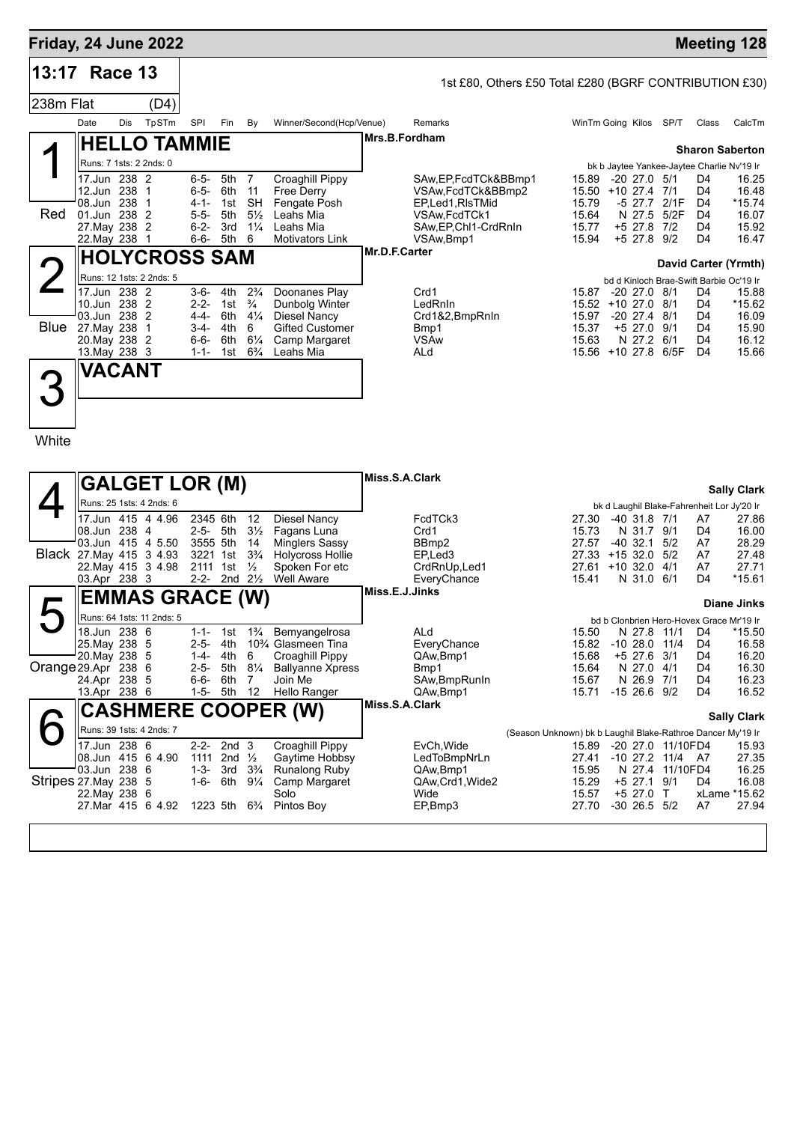| Friday, 24 June 2022 |                                                                                    |     |                                                      |                                                                            |                                        |                                                                            |                                                                                                          |               |                                                                                                                        |                                                    |                         |                                                                  |                                   |                                                                                                          | <b>Meeting 128</b>                                                             |  |
|----------------------|------------------------------------------------------------------------------------|-----|------------------------------------------------------|----------------------------------------------------------------------------|----------------------------------------|----------------------------------------------------------------------------|----------------------------------------------------------------------------------------------------------|---------------|------------------------------------------------------------------------------------------------------------------------|----------------------------------------------------|-------------------------|------------------------------------------------------------------|-----------------------------------|----------------------------------------------------------------------------------------------------------|--------------------------------------------------------------------------------|--|
| 13:17 Race 13        |                                                                                    |     |                                                      |                                                                            |                                        |                                                                            |                                                                                                          |               | 1st £80, Others £50 Total £280 (BGRF CONTRIBUTION £30)                                                                 |                                                    |                         |                                                                  |                                   |                                                                                                          |                                                                                |  |
| 238m Flat            |                                                                                    |     | (D4)                                                 |                                                                            |                                        |                                                                            |                                                                                                          |               |                                                                                                                        |                                                    |                         |                                                                  |                                   |                                                                                                          |                                                                                |  |
|                      | Date                                                                               | Dis | TpSTm                                                | SPI                                                                        | Fin                                    | By                                                                         | Winner/Second(Hcp/Venue)                                                                                 |               | Remarks                                                                                                                | WinTm Going Kilos                                  |                         |                                                                  | SP/T                              | Class                                                                                                    | CalcTm                                                                         |  |
|                      |                                                                                    |     | <b>HELLO TAMMIE</b>                                  |                                                                            |                                        |                                                                            |                                                                                                          | Mrs.B.Fordham |                                                                                                                        |                                                    |                         |                                                                  |                                   |                                                                                                          |                                                                                |  |
|                      |                                                                                    |     | Runs: 7 1sts: 2 2nds: 0                              |                                                                            |                                        |                                                                            |                                                                                                          |               | <b>Sharon Saberton</b><br>bk b Jaytee Yankee-Jaytee Charlie Nv'19 Ir                                                   |                                                    |                         |                                                                  |                                   |                                                                                                          |                                                                                |  |
| Red                  | 17.Jun 238 2<br>12.Jun 238<br>08.Jun<br>01.Jun 238<br>27. May 238<br>22. May 238 1 | 238 | $\mathbf 1$<br>-1<br>$\overline{2}$<br>2             | $6 - 5 -$<br>$6 - 5 -$<br>$4 - 1 -$<br>$5 - 5 -$<br>$6 - 2 -$<br>$6 - 6 -$ | 5th<br>6th<br>1st<br>5th<br>3rd<br>5th | $\overline{7}$<br>11<br><b>SH</b><br>$5\frac{1}{2}$<br>$1\frac{1}{4}$<br>6 | Croaghill Pippy<br><b>Free Derry</b><br>Fengate Posh<br>Leahs Mia<br>Leahs Mia<br><b>Motivators Link</b> |               | SAw, EP, FcdTCk&BBmp1<br>VSAw, FcdTCk&BBmp2<br>EP,Led1,RIsTMid<br>VSAw, FcdTCk1<br>SAw, EP, Chl1-CrdRnIn<br>VSAw, Bmp1 | 15.89<br>15.50<br>15.79<br>15.64<br>15.77<br>15.94 | $+10$ 27.4              | $-2027.0$<br>$-5$ 27.7<br>N 27.5<br>$+5$ 27.8<br>$+5$ 27.8 $9/2$ | 5/1<br>7/1<br>2/1F<br>5/2F<br>7/2 | D <sub>4</sub><br>D <sub>4</sub><br>D <sub>4</sub><br>D <sub>4</sub><br>D <sub>4</sub><br>D <sub>4</sub> | 16.25<br>16.48<br>$*15.74$<br>16.07<br>15.92<br>16.47                          |  |
|                      |                                                                                    |     |                                                      |                                                                            |                                        |                                                                            |                                                                                                          | Mr.D.F.Carter |                                                                                                                        |                                                    |                         |                                                                  |                                   |                                                                                                          |                                                                                |  |
|                      | <b>HOLYCROSS SAM</b>                                                               |     |                                                      |                                                                            |                                        |                                                                            |                                                                                                          |               |                                                                                                                        |                                                    | David Carter (Yrmth)    |                                                                  |                                   |                                                                                                          |                                                                                |  |
| <b>Blue</b>          | 17.Jun 238 2<br>10.Jun 238<br>03.Jun 238<br>27. May 238                            |     | Runs: 12 1sts: 2 2nds: 5<br>2<br>$\overline{2}$<br>1 | $3 - 6 -$<br>$2 - 2 -$<br>$4 - 4 -$<br>$3 - 4 -$                           | 4th<br>1st<br>6th<br>4th               | $2\frac{3}{4}$<br>$\frac{3}{4}$<br>$4\frac{1}{4}$<br>6                     | Doonanes Play<br>Dunbolg Winter<br>Diesel Nancy<br><b>Gifted Customer</b>                                |               | Crd1<br>LedRnIn<br>Crd1&2, BmpRnIn<br>Bmp1                                                                             | 15.87<br>15.52<br>15.97<br>15.37                   | $+1027.0$<br>$-20$ 27.4 | $-20$ 27.0 $8/1$<br>$+5$ 27.0                                    | 8/1<br>8/1<br>9/1                 | D4<br>D <sub>4</sub><br>D <sub>4</sub><br>D <sub>4</sub>                                                 | bd d Kinloch Brae-Swift Barbie Oc'19 Ir<br>15.88<br>$*15.62$<br>16.09<br>15.90 |  |
|                      | 20. May 238 2<br>13. May 238 3                                                     |     |                                                      | $6 - 6 -$<br>$1 - 1 -$                                                     | 6th<br>1st                             | $6\frac{1}{4}$<br>$6\frac{3}{4}$                                           | Camp Margaret<br>Leahs Mia                                                                               |               | <b>VSAw</b><br>ALd                                                                                                     | 15.63<br>15.56 +10 27.8                            |                         | N 27.2                                                           | 6/1<br>6/5F                       | D <sub>4</sub><br>D <sub>4</sub>                                                                         | 16.12<br>15.66                                                                 |  |
| White                | VACANT                                                                             |     |                                                      |                                                                            |                                        |                                                                            |                                                                                                          |               |                                                                                                                        |                                                    |                         |                                                                  |                                   |                                                                                                          |                                                                                |  |

|                            | <b>GALGET LOR (M)</b>                         |  |              |                  |                                            | Miss.S.A.Clark                               |                |                            |                                                             |                |  |                           |                           |                |                                          |
|----------------------------|-----------------------------------------------|--|--------------|------------------|--------------------------------------------|----------------------------------------------|----------------|----------------------------|-------------------------------------------------------------|----------------|--|---------------------------|---------------------------|----------------|------------------------------------------|
|                            | Runs: 25 1sts: 4 2nds: 6                      |  |              |                  |                                            |                                              |                |                            |                                                             |                |  |                           | <b>Sally Clark</b>        |                |                                          |
|                            |                                               |  |              |                  | bk d Laughil Blake-Fahrenheit Lor Jy'20 Ir |                                              |                |                            |                                                             |                |  |                           |                           |                |                                          |
|                            | 17.Jun 415 4 4.96                             |  | 2345 6th     |                  | 12                                         | Diesel Nancy                                 |                | FcdTCk3                    |                                                             | 27.30          |  | $-40$ 31.8 $7/1$          |                           | A7             | 27.86                                    |
|                            | 08.Jun 238 4                                  |  | $2 - 5 -$    | 5th              | $3\frac{1}{2}$                             | Fagans Luna                                  |                | Crd1                       |                                                             | 15.73          |  | N 31.7                    | 9/1                       | D <sub>4</sub> | 16.00                                    |
|                            | 03.Jun 415 4 5.50<br>Black 27. May 415 3 4.93 |  | 3555 5th     | 1st              | 14<br>$3\frac{3}{4}$                       | <b>Minglers Sassy</b>                        |                | BB <sub>mp2</sub>          |                                                             | 27.57<br>27.33 |  | $-40, 32.1$<br>$+15$ 32.0 | 5/2<br>5/2                | A7<br>A7       | 28.29<br>27.48                           |
|                            | 22. May 415 3 4.98                            |  | 3221<br>2111 | 1st              | $\frac{1}{2}$                              | <b>Holycross Hollie</b><br>Spoken For etc    |                | EP, Led 3<br>CrdRnUp, Led1 |                                                             | 27.61          |  | $+10.32.0$                | 4/1                       | A7             | 27.71                                    |
|                            | 03.Apr 238 3                                  |  | $2 - 2 -$    | 2nd              | $2\frac{1}{2}$                             | <b>Well Aware</b>                            |                | EveryChance                |                                                             | 15.41          |  | N 31.0 6/1                |                           | D <sub>4</sub> | $*15.61$                                 |
|                            |                                               |  |              |                  |                                            |                                              | Miss.E.J.Jinks |                            |                                                             |                |  |                           |                           |                |                                          |
|                            | <b>EMMAS GRACE (W)</b>                        |  |              |                  |                                            |                                              |                |                            |                                                             |                |  |                           |                           |                | Diane Jinks                              |
|                            | Runs: 64 1sts: 11 2nds: 5                     |  |              |                  |                                            |                                              |                |                            |                                                             |                |  |                           |                           |                | bd b Clonbrien Hero-Hovex Grace Mr'19 Ir |
|                            | 18.Jun 238 6                                  |  | $1 - 1 -$    | 1st              | $1\frac{3}{4}$                             | Bemyangelrosa                                |                | ALd                        |                                                             | 15.50          |  | N 27.8                    | 11/1                      | D <sub>4</sub> | $*15.50$                                 |
|                            | 25. May 238 5                                 |  | $2 - 5 -$    | 4th              |                                            | 10 <sup>3</sup> / <sub>4</sub> Glasmeen Tina |                | EveryChance                |                                                             | 15.82          |  | $-10, 28.0$               | 11/4                      | D <sub>4</sub> | 16.58                                    |
|                            | 20. May 238 5                                 |  | $1 - 4 -$    | 4th              | 6                                          | Croaghill Pippy                              |                | QAw.Bmp1                   |                                                             | 15.68          |  | $+5$ 27.6                 | 3/1                       | D <sub>4</sub> | 16.20                                    |
|                            | Orange 29.Apr 238 6                           |  | $2 - 5 -$    | 5th              | $8\frac{1}{4}$                             | <b>Ballyanne Xpress</b>                      |                | Bmp1                       |                                                             | 15.64          |  | N 27.0                    | 4/1                       | D <sub>4</sub> | 16.30                                    |
|                            | 24.Apr 238 5                                  |  | $6 - 6 -$    | 6th              | $\overline{7}$                             | Join Me                                      |                | SAw, BmpRunIn              |                                                             | 15.67          |  | N 26.9                    | 7/1                       | D <sub>4</sub> | 16.23                                    |
|                            | 13.Apr 238 6                                  |  | $1 - 5 -$    | 5th              | 12                                         | Hello Ranger                                 |                | QAw, Bmp1                  |                                                             | 15.71          |  | $-1526.69/2$              |                           | $\mathsf{D}4$  | 16.52                                    |
| <b>CASHMERE COOPER (W)</b> |                                               |  |              |                  | Miss.S.A.Clark                             |                                              |                |                            |                                                             |                |  |                           | <b>Sally Clark</b>        |                |                                          |
|                            | Runs: 39 1sts: 4 2nds: 7                      |  |              |                  |                                            |                                              |                |                            |                                                             |                |  |                           |                           |                |                                          |
|                            | 17.Jun 238 6                                  |  | $2 - 2 -$    | 2nd <sub>3</sub> |                                            |                                              |                | EvCh, Wide                 | (Season Unknown) bk b Laughil Blake-Rathroe Dancer My'19 Ir | 15.89          |  |                           |                           |                |                                          |
|                            | 08.Jun 415 6 4.90                             |  | 1111         | 2nd              | $\frac{1}{2}$                              | Croaghill Pippy<br>Gaytime Hobbsy            |                | LedToBmpNrLn               |                                                             | 27.41          |  | $-10$ 27.2                | -20 27.0 11/10FD4<br>11/4 | A7             | 15.93<br>27.35                           |
|                            | 03.Jun 238 6                                  |  | $1 - 3 -$    | 3rd              | $3\frac{3}{4}$                             | Runalong Ruby                                |                | QAw, Bmp1                  |                                                             | 15.95          |  | N 27.4                    | 11/10FD4                  |                | 16.25                                    |
|                            | Stripes 27. May 238 5                         |  | $1 - 6 -$    | 6th              | $9\frac{1}{4}$                             | Camp Margaret                                |                | QAw, Crd1, Wide2           |                                                             | 15.29          |  | $+5$ 27.1                 | 9/1                       | D <sub>4</sub> | 16.08                                    |
|                            | 22. May 238 6                                 |  |              |                  |                                            | Solo                                         |                | Wide                       |                                                             | 15.57          |  | $+5$ 27.0                 | $\mathsf{T}$              |                | xLame *15.62                             |
|                            | 27. Mar 415 6 4.92                            |  | 1223 5th     |                  | $6\frac{3}{4}$                             | Pintos Boy                                   |                | EP,Bmp3                    |                                                             | 27.70          |  | $-30$ 26.5 $5/2$          |                           | A7             | 27.94                                    |
|                            |                                               |  |              |                  |                                            |                                              |                |                            |                                                             |                |  |                           |                           |                |                                          |
|                            |                                               |  |              |                  |                                            |                                              |                |                            |                                                             |                |  |                           |                           |                |                                          |
|                            |                                               |  |              |                  |                                            |                                              |                |                            |                                                             |                |  |                           |                           |                |                                          |